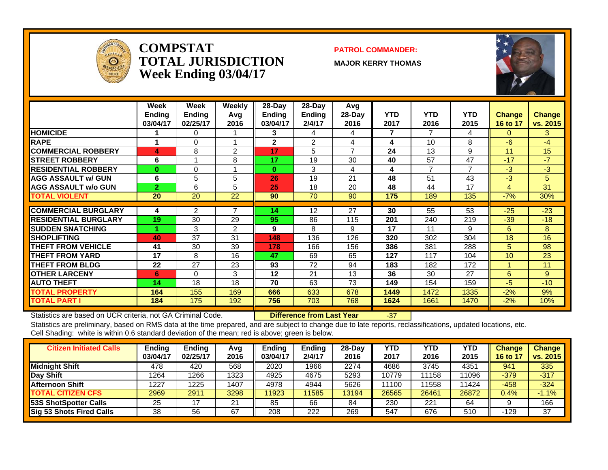

#### **COMPSTATTOTAL JURISDICTIONWeek Ending 03/04/17**

#### **PATROL COMMANDER:**

**MAJOR KERRY THOMAS**



|                             | Week<br><b>Ending</b><br>03/04/17 | Week<br><b>Ending</b><br>02/25/17 | <b>Weekly</b><br>Avq<br>2016 | 28-Day<br><b>Endina</b><br>03/04/17 | $28$ -Day<br>Ending<br>2/4/17 | Avg<br>28-Day<br>2016 | <b>YTD</b><br>2017 | <b>YTD</b><br>2016 | <b>YTD</b><br>2015 | <b>Change</b><br>16 to 17 | <b>Change</b><br>vs. 2015 |
|-----------------------------|-----------------------------------|-----------------------------------|------------------------------|-------------------------------------|-------------------------------|-----------------------|--------------------|--------------------|--------------------|---------------------------|---------------------------|
| <b>HOMICIDE</b>             |                                   | 0                                 |                              | 3                                   | 4                             | 4                     | 7                  | 7                  | 4                  | $\Omega$                  | 3.                        |
| RAPE                        |                                   | $\Omega$                          |                              | $\mathbf{2}$                        | $\overline{2}$                | 4                     | 4                  | 10                 | 8                  | $-6$                      | $-4$                      |
| <b>ICOMMERCIAL ROBBERY</b>  | 4                                 | 8                                 | 2                            | 17                                  | 5                             | $\overline{7}$        | 24                 | 13                 | 9                  | 11                        | 15                        |
| <b>ISTREET ROBBERY</b>      | 6                                 |                                   | 8                            | 17                                  | 19                            | 30                    | 40                 | 57                 | 47                 | $-17$                     | $-7$                      |
| <b>RESIDENTIAL ROBBERY</b>  | $\bf{0}$                          | 0                                 |                              | $\bf{0}$                            | 3                             | 4                     | 4                  |                    | ⇁                  | $-3$                      | $-3$                      |
| <b>AGG ASSAULT w/ GUN</b>   | 6                                 | 5                                 | 5                            | 26                                  | 19                            | 21                    | 48                 | 51                 | 43                 | $-3$                      | 5                         |
| <b>AGG ASSAULT w/o GUN</b>  | $\overline{2}$                    | 6                                 | 5                            | 25                                  | 18                            | 20                    | 48                 | 44                 | 17                 | 4                         | 31                        |
| <b>TOTAL VIOLENT</b>        | 20                                | 20                                | 22                           | 90                                  | 70                            | 90                    | 175                | 189                | 135                | $-7%$                     | 30%                       |
|                             |                                   |                                   |                              |                                     |                               |                       |                    |                    |                    |                           |                           |
| <b>COMMERCIAL BURGLARY</b>  | 4                                 | 2                                 |                              | 14                                  | 12                            | 27                    | 30                 | 55                 | 53                 | $-25$                     | $-23$                     |
| <b>RESIDENTIAL BURGLARY</b> | 19                                | 30                                | 29                           | 95                                  | 86                            | 115                   | 201                | 240                | 219                | $-39$                     | $-18$                     |
| <b>SUDDEN SNATCHING</b>     |                                   | 3                                 | 2                            | 9                                   | 8                             | 9                     | 17                 | 11                 | 9                  | 6.                        | 8                         |
| <b>SHOPLIFTING</b>          | 40                                | 37                                | 31                           | 148                                 | 136                           | 126                   | 320                | 302                | 304                | 18                        | 16                        |
| <b>THEFT FROM VEHICLE</b>   | 41                                | 30                                | 39                           | 178                                 | 166                           | 156                   | 386                | 381                | 288                | 5                         | 98                        |
| <b>THEFT FROM YARD</b>      | 17                                | 8                                 | 16                           | 47                                  | 69                            | 65                    | 127                | 117                | 104                | 10                        | 23                        |
| <b>THEFT FROM BLDG</b>      | 22                                | 27                                | 23                           | 93                                  | 72                            | 94                    | 183                | 182                | 172                |                           | 11                        |
| <b>OTHER LARCENY</b>        | 6                                 | $\Omega$                          | 3                            | 12                                  | 21                            | 13                    | 36                 | 30                 | 27                 | 6                         | 9                         |
| <b>AUTO THEFT</b>           | 14                                | 18                                | 18                           | 70                                  | 63                            | 73                    | 149                | 154                | 159                | $-5$                      | $-10$                     |
| <b>TOTAL PROPERTY</b>       | 164                               | 155                               | 169                          | 666                                 | 633                           | 678                   | 1449               | 1472               | 1335               | $-2%$                     | 9%                        |
| <b>TOTAL PART I</b>         | 184                               | 175                               | 192                          | 756                                 | 703                           | 768                   | 1624               | 1661               | 1470               | $-2\%$                    | 10%                       |

Statistics are based on UCR criteria, not GA Criminal Code. **Difference from Last Year** -37

| <b>Citizen Initiated Calls</b> | Ending<br>03/04/17 | <b>Ending</b><br>02/25/17 | Avg<br>2016 | <b>Ending</b><br>03/04/17 | <b>Ending</b><br>2/4/17 | $28-Dav$<br>2016 | YTD<br>2017 | YTD<br>2016 | YTD<br>2015 | Change<br>16 to 1 | Change<br>vs. 2015 |
|--------------------------------|--------------------|---------------------------|-------------|---------------------------|-------------------------|------------------|-------------|-------------|-------------|-------------------|--------------------|
| <b>Midnight Shift</b>          | 478                | 420                       | 568         | 2020                      | 1966                    | 2274             | 4686        | 3745        | 4351        | 941               | 335                |
| Day Shift                      | 1264               | 266                       | 1323        | 4925                      | 4675                    | 5293             | 10779       | 1158        | 11096       | $-379$            | $-317$             |
| <b>Afternoon Shift</b>         | 1227               | 1225                      | 1407        | 4978                      | 4944                    | 5626             | 11100       | 1558        | 11424       | $-458$            | $-324$             |
| <b>TOTAL CITIZEN CFS</b>       | 2969               | 2911                      | 3298        | 11923                     | 11585                   | 13194            | 26565       | 26461       | 26872       | 0.4%              | $-1.1%$            |
| <b>53S ShotSpotter Calls</b>   | 25                 |                           | 21          | 85                        | 66                      | 84               | 230         | 221         | 64          |                   | 166                |
| Sig 53 Shots Fired Calls       | 38                 | 56                        | 67          | 208                       | 222                     | 269              | 547         | 676         | 510         | -129              | 37                 |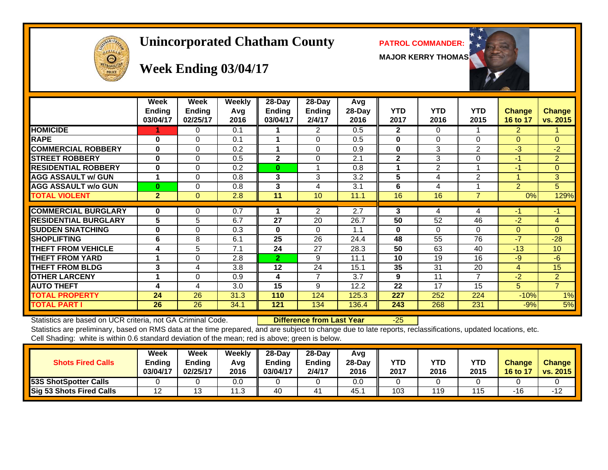

# **Unincorporated Chatham County PATROL COMMANDER:**

**MAJOR KERRY THOMAS**



# **Week Ending 03/04/17**

|                             | Week<br><b>Ending</b><br>03/04/17 | <b>Week</b><br><b>Ending</b><br>02/25/17 | <b>Weekly</b><br>Avg<br>2016 | 28-Day<br>Endina<br>03/04/17 | 28-Day<br>Ending<br>2/4/17 | <b>Avg</b><br>28-Day<br>2016 | <b>YTD</b><br>2017 | <b>YTD</b><br>2016 | <b>YTD</b><br>2015       | <b>Change</b><br>16 to 17 | <b>Change</b><br>vs. 2015 |
|-----------------------------|-----------------------------------|------------------------------------------|------------------------------|------------------------------|----------------------------|------------------------------|--------------------|--------------------|--------------------------|---------------------------|---------------------------|
| <b>HOMICIDE</b>             |                                   | 0                                        | 0.1                          |                              | $\overline{2}$             | 0.5                          | $\overline{2}$     | $\Omega$           |                          | $\overline{2}$            |                           |
| <b>RAPE</b>                 | 0                                 | $\Omega$                                 | 0.1                          |                              | $\Omega$                   | 0.5                          | 0                  | $\Omega$           | $\Omega$                 | $\Omega$                  | $\overline{0}$            |
| <b>COMMERCIAL ROBBERY</b>   | $\bf{0}$                          | $\Omega$                                 | 0.2                          |                              | $\Omega$                   | 0.9                          | 0                  | 3                  | $\overline{2}$           | $-3$                      | $-2$                      |
| <b>STREET ROBBERY</b>       | 0                                 | $\Omega$                                 | 0.5                          | $\mathbf{2}$                 | 0                          | 2.1                          | $\mathbf{2}$       | 3                  | 0                        | -1                        | $\overline{2}$            |
| <b>RESIDENTIAL ROBBERY</b>  | 0                                 | $\Omega$                                 | 0.2                          | $\bf{0}$                     |                            | 0.8                          | 1                  | $\overline{2}$     | $\overline{\phantom{a}}$ | $-1$                      | $\overline{0}$            |
| <b>AGG ASSAULT w/ GUN</b>   |                                   | $\Omega$                                 | 0.8                          | 3                            | 3                          | 3.2                          | 5                  | 4                  | $\overline{2}$           |                           | 3                         |
| <b>AGG ASSAULT w/o GUN</b>  | $\bf{0}$                          | 0                                        | 0.8                          | 3                            | 4                          | 3.1                          | 6                  | 4                  |                          | $\overline{2}$            | 5                         |
| <b>TOTAL VIOLENT</b>        | $\mathbf{2}$                      | $\Omega$                                 | 2.8                          | 11                           | 10                         | 11.1                         | 16                 | 16                 | $\overline{7}$           | 0%                        | 129%                      |
|                             |                                   |                                          |                              |                              |                            |                              |                    |                    |                          |                           |                           |
| <b>COMMERCIAL BURGLARY</b>  | 0                                 | 0                                        | 0.7                          |                              | 2                          | 2.7                          | 3                  | 4                  | 4                        | -1                        | $-1$                      |
| <b>RESIDENTIAL BURGLARY</b> | 5                                 | 5                                        | 6.7                          | 27                           | 20                         | 26.7                         | 50                 | 52                 | 46                       | $-2$                      | $\overline{4}$            |
| <b>SUDDEN SNATCHING</b>     | $\bf{0}$                          | $\Omega$                                 | 0.3                          | $\bf{0}$                     | $\Omega$                   | 1.1                          | 0                  | $\Omega$           | $\Omega$                 | $\Omega$                  | $\Omega$                  |
| <b>SHOPLIFTING</b>          | 6                                 | 8                                        | 6.1                          | 25                           | 26                         | 24.4                         | 48                 | 55                 | 76                       | $-7$                      | $-28$                     |
| <b>THEFT FROM VEHICLE</b>   | 4                                 | 5                                        | 7.1                          | 24                           | 27                         | 28.3                         | 50                 | 63                 | 40                       | $-13$                     | 10 <sup>1</sup>           |
| <b>THEFT FROM YARD</b>      |                                   | $\Omega$                                 | 2.8                          | $\overline{2}$               | 9                          | 11.1                         | 10                 | 19                 | 16                       | $-9$                      | $-6$                      |
| <b>THEFT FROM BLDG</b>      | 3                                 | 4                                        | 3.8                          | 12                           | 24                         | 15.1                         | 35                 | 31                 | 20                       | 4                         | 15                        |
| <b>OTHER LARCENY</b>        | 4                                 | $\Omega$                                 | 0.9                          | 4                            | $\overline{7}$             | 3.7                          | 9                  | 11                 | 7                        | $-2$                      | $\overline{2}$            |
| <b>AUTO THEFT</b>           | 4                                 | 4                                        | 3.0                          | 15                           | 9                          | 12.2                         | 22                 | 17                 | 15                       | 5                         | $\overline{7}$            |
| <b>TOTAL PROPERTY</b>       | 24                                | 26                                       | 31.3                         | 110                          | 124                        | 125.3                        | 227                | 252                | 224                      | $-10%$                    | 1%                        |
| <b>TOTAL PART I</b>         | 26                                | 26                                       | 34.1                         | 121                          | 134                        | 136.4                        | 243                | 268                | 231                      | $-9%$                     | 5%                        |

Statistics are based on UCR criteria, not GA Criminal Code. **Difference from Last Year** -25

| <b>Shots Fired Calls</b>     | Week<br><b>Ending</b><br>03/04/17 | Week<br><b>Ending</b><br>02/25/17 | Weekly<br>Avg<br>2016 | $28-Dav$<br><b>Endina</b><br>03/04/17 | $28-Day$<br>Ending<br>2/4/17 | Avg<br>28-Day<br>2016 | <b>YTD</b><br>2017 | YTD<br>2016 | YTD<br>2015 | <b>Change</b><br>16 to 17 | <b>Change</b><br>vs. 2015 |
|------------------------------|-----------------------------------|-----------------------------------|-----------------------|---------------------------------------|------------------------------|-----------------------|--------------------|-------------|-------------|---------------------------|---------------------------|
| <b>53S ShotSpotter Calls</b> |                                   |                                   | 0.0                   |                                       |                              | 0.0                   |                    |             |             |                           |                           |
| Sig 53 Shots Fired Calls     | 12                                | Ι3                                | ี่ 1 ว<br>ں. ا        | 40                                    | 41                           | 45.                   | 103                | 119         | 115         | -16                       | $-12$                     |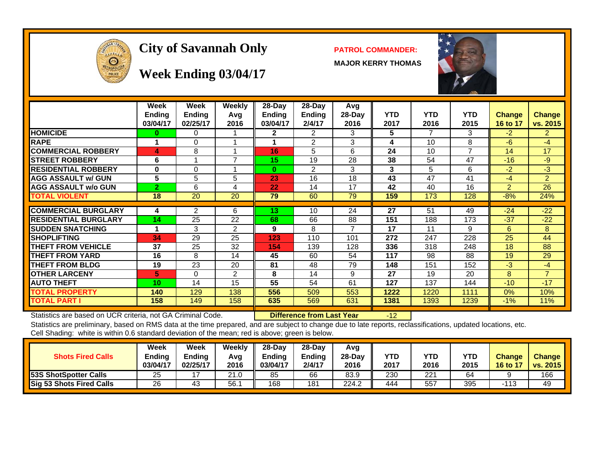

# **City of Savannah Only PATROL COMMANDER:**

**MAJOR KERRY THOMAS**



**Week Ending 03/04/17**

|                             | Week<br><b>Ending</b><br>03/04/17 | Week<br><b>Endina</b><br>02/25/17 | Weekly<br>Avg<br>2016 | $28-Dav$<br><b>Ending</b><br>03/04/17 | $28-Day$<br><b>Ending</b><br>2/4/17 | Avg<br>$28-Day$<br>2016  | <b>YTD</b><br>2017 | <b>YTD</b><br>2016 | YTD.<br>2015   | <b>Change</b><br>16 to 17 | <b>Change</b><br>vs. 2015 |
|-----------------------------|-----------------------------------|-----------------------------------|-----------------------|---------------------------------------|-------------------------------------|--------------------------|--------------------|--------------------|----------------|---------------------------|---------------------------|
| <b>HOMICIDE</b>             | 0                                 | 0                                 |                       | 2                                     | 2                                   | 3                        | 5                  | 7                  | 3              | $-2$                      | $\overline{2}$            |
| <b>RAPE</b>                 | 4                                 | 0                                 | 4                     |                                       | 2                                   | 3                        | 4                  | 10                 | 8              | $-6$                      | $-4$                      |
| <b>COMMERCIAL ROBBERY</b>   | 4                                 | 8                                 | 4                     | 16                                    | 5                                   | 6                        | 24                 | 10                 | $\overline{7}$ | 14                        | 17                        |
| <b>STREET ROBBERY</b>       | 6                                 |                                   | 7                     | 15                                    | 19                                  | 28                       | 38                 | 54                 | 47             | $-16$                     | $-9$                      |
| <b>RESIDENTIAL ROBBERY</b>  | 0                                 | 0                                 |                       | $\Omega$                              | 2                                   | 3                        | 3                  | 5                  | 6              | $-2$                      | $-3$                      |
| <b>AGG ASSAULT w/ GUN</b>   | 5                                 | 5                                 | 5                     | 23                                    | 16                                  | 18                       | 43                 | 47                 | 41             | $-4$                      | $\overline{2}$            |
| <b>AGG ASSAULT w/o GUN</b>  | $\overline{2}$                    | 6                                 | 4                     | 22                                    | 14                                  | 17                       | 42                 | 40                 | 16             | 2                         | 26                        |
| TOTAL VIOLENT               | 18                                | 20                                | 20                    | 79                                    | 60                                  | 79                       | 159                | 173                | 128            | $-8%$                     | 24%                       |
|                             |                                   |                                   |                       |                                       |                                     |                          |                    |                    |                |                           |                           |
| <b>COMMERCIAL BURGLARY</b>  | 4                                 | 2                                 | 6                     | 13                                    | 10                                  | 24                       | 27                 | 51                 | 49             | $-24$                     | $-22$                     |
| <b>RESIDENTIAL BURGLARY</b> | 14                                | 25                                | 22                    | 68                                    | 66                                  | 88                       | 151                | 188                | 173            | $-37$                     | $-22$                     |
| <b>SUDDEN SNATCHING</b>     | 4                                 | 3                                 | 2                     | 9                                     | 8                                   | $\overline{\phantom{a}}$ | 17                 | 11                 | 9              | 6                         | 8                         |
| <b>SHOPLIFTING</b>          | 34                                | 29                                | 25                    | 123                                   | 110                                 | 101                      | 272                | 247                | 228            | 25                        | 44                        |
| <b>THEFT FROM VEHICLE</b>   | 37                                | 25                                | 32                    | 154                                   | 139                                 | 128                      | 336                | 318                | 248            | 18                        | 88                        |
| THEFT FROM YARD             | 16                                | 8                                 | 14                    | 45                                    | 60                                  | 54                       | 117                | 98                 | 88             | 19                        | 29                        |
| <b>THEFT FROM BLDG</b>      | 19                                | 23                                | 20                    | 81                                    | 48                                  | 79                       | 148                | 151                | 152            | $-3$                      | $-4$                      |
| <b>OTHER LARCENY</b>        | 5                                 | 0                                 | 2                     | 8                                     | 14                                  | 9                        | 27                 | 19                 | 20             | 8                         | $\overline{z}$            |
| <b>AUTO THEFT</b>           | 10                                | 14                                | 15                    | 55                                    | 54                                  | 61                       | 127                | 137                | 144            | $-10$                     | $-17$                     |
| <b>TOTAL PROPERTY</b>       | 140                               | 129                               | 138                   | 556                                   | 509                                 | 553                      | 1222               | 1220               | 1111           | 0%                        | 10%                       |
| <b>TOTAL PART I</b>         | 158                               | 149                               | 158                   | 635                                   | 569                                 | 631                      | 1381               | 1393               | 1239           | $-1\%$                    | 11%                       |

Statistics are based on UCR criteria, not GA Criminal Code. **Difference from Last Year** -12

| <b>Shots Fired Calls</b>      | Week<br>Ending<br>03/04/17 | Week<br><b>Endina</b><br>02/25/17 | Weekly<br>Avg<br>2016 | 28-Dav<br>Endina<br>03/04/17 | $28-Dav$<br><b>Ending</b><br>2/4/17 | Avg<br>$28-Day$<br>2016 | YTD<br>2017 | YTD<br>2016 | <b>YTD</b><br>2015 | <b>Change</b><br><b>16 to 17</b> | <b>Change</b><br><b>VS. 2015</b> |
|-------------------------------|----------------------------|-----------------------------------|-----------------------|------------------------------|-------------------------------------|-------------------------|-------------|-------------|--------------------|----------------------------------|----------------------------------|
| <b>153S ShotSpotter Calls</b> | 25                         |                                   | 21.0                  | 85                           | 66                                  | 83.9                    | 230         | 221         | 64                 |                                  | 166                              |
| Sig 53 Shots Fired Calls      | 26                         | 43                                | 56.7                  | 168                          | 181                                 | 224.2                   | 444         | 557         | 395                | 112                              | 49                               |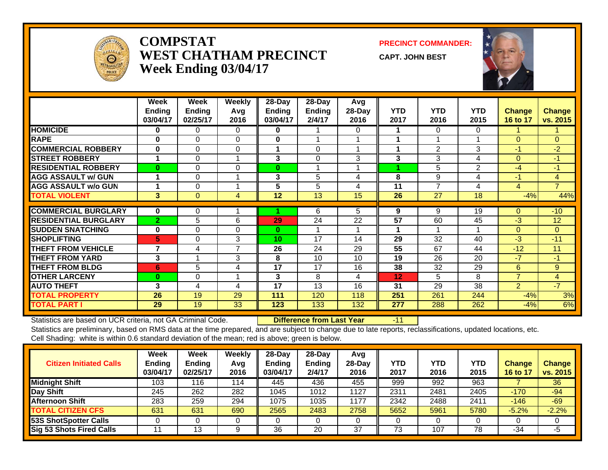

#### **COMPSTATWEST CHATHAM PRECINCTWeek Ending 03/04/17**

**PRECINCT COMMANDER:**

**CAPT. JOHN BEST**



|                             | Week           | Week          | Weekly         | 28-Day        | 28-Day        | Avg             |            |                |            |                |                |
|-----------------------------|----------------|---------------|----------------|---------------|---------------|-----------------|------------|----------------|------------|----------------|----------------|
|                             | <b>Ending</b>  | <b>Ending</b> | Avg            | <b>Ending</b> | <b>Ending</b> | 28-Day          | <b>YTD</b> | <b>YTD</b>     | <b>YTD</b> | <b>Change</b>  | <b>Change</b>  |
|                             | 03/04/17       | 02/25/17      | 2016           | 03/04/17      | 2/4/17        | 2016            | 2017       | 2016           | 2015       | 16 to 17       | vs. 2015       |
| <b>HOMICIDE</b>             | 0              | 0             | $\Omega$       | 0             |               | 0               |            | 0              | 0          |                |                |
| <b>RAPE</b>                 | 0              | $\Omega$      | $\Omega$       | 0             | 1             |                 |            |                |            | $\Omega$       | $\Omega$       |
| <b>COMMERCIAL ROBBERY</b>   | $\bf{0}$       | $\Omega$      | $\Omega$       | 1             | $\Omega$      |                 |            | $\overline{2}$ | 3          | $-1$           | $-2$           |
| <b>ISTREET ROBBERY</b>      |                | $\Omega$      | 1              | 3             | $\Omega$      | 3               | 3          | 3              | 4          | $\Omega$       | $-1$           |
| <b>RESIDENTIAL ROBBERY</b>  | $\bf{0}$       | $\Omega$      | $\Omega$       | 0             | 1             |                 | 4          | 5              | 2          | $-4$           | $-1$           |
| <b>AGG ASSAULT w/ GUN</b>   |                | $\Omega$      | 1              | 3             | 5             | 4               | 8          | 9              | 4          | $-1$           | $\overline{4}$ |
| <b>AGG ASSAULT w/o GUN</b>  |                | 0             | 1              | 5             | 5             | 4               | 11         | 7              | 4          | 4              | $\overline{7}$ |
| <b>TOTAL VIOLENT</b>        | 3              | $\mathbf{0}$  | 4              | 12            | 13            | 15              | 26         | 27             | 18         | $-4%$          | 44%            |
| <b>COMMERCIAL BURGLARY</b>  | $\bf{0}$       | 0             |                |               | 6             | 5.              | 9          | 9              | 19         | $\Omega$       | $-10^{-}$      |
| <b>RESIDENTIAL BURGLARY</b> | $\overline{2}$ | 5             | 6              | 29            | 24            | 22              | 57         | 60             | 45         | $-3$           | 12             |
| <b>SUDDEN SNATCHING</b>     | $\bf{0}$       | $\Omega$      | $\Omega$       | $\bf{0}$      | 1             |                 |            |                |            | $\Omega$       | $\Omega$       |
| <b>SHOPLIFTING</b>          | 5              | 0             | 3              | 10            | 17            | 14              | 29         | 32             | 40         | $-3$           | $-11$          |
| <b>THEFT FROM VEHICLE</b>   | $\overline{7}$ | 4             | $\overline{7}$ | 26            | 24            | 29              | 55         | 67             | 44         | $-12$          | 11             |
| <b>THEFT FROM YARD</b>      | 3              |               | 3              | 8             | 10            | 10 <sup>1</sup> | 19         | 26             | 20         | $-7$           | $-1$           |
| <b>THEFT FROM BLDG</b>      | 6              | 5             | 4              | 17            | 17            | 16              | 38         | 32             | 29         | 6              | 9              |
| <b>OTHER LARCENY</b>        | $\bf{0}$       | $\Omega$      | 1              | 3             | 8             | 4               | 12         | 5.             | 8          | $\overline{7}$ | 4              |
| <b>AUTO THEFT</b>           | 3              | 4             | $\overline{4}$ | 17            | 13            | 16              | 31         | 29             | 38         | $\overline{2}$ | $-7$           |
| <b>TOTAL PROPERTY</b>       | 26             | 19            | 29             | 111           | 120           | 118             | 251        | 261            | 244        | $-4%$          | 3%             |
| <b>TOTAL PART I</b>         | 29             | 19            | 33             | 123           | 133           | 132             | 277        | 288            | 262        | $-4%$          | 6%             |

Statistics are based on UCR criteria, not GA Criminal Code. **Difference from Last Year** -11

| <b>Citizen Initiated Calls</b>  | Week<br>Ending<br>03/04/17 | Week<br><b>Ending</b><br>02/25/17 | Weekly<br>Avg<br>2016 | $28-Day$<br><b>Ending</b><br>03/04/17 | 28-Day<br><b>Endina</b><br>2/4/17 | Avg<br>$28-Dav$<br>2016 | YTD<br>2017 | YTD<br>2016 | YTD<br>2015 | <b>Change</b><br>16 to 17 | <b>Change</b><br>vs. 2015 |
|---------------------------------|----------------------------|-----------------------------------|-----------------------|---------------------------------------|-----------------------------------|-------------------------|-------------|-------------|-------------|---------------------------|---------------------------|
| <b>Midnight Shift</b>           | 103                        | 116                               | 114                   | 445                                   | 436                               | 455                     | 999         | 992         | 963         |                           | 36                        |
| Day Shift                       | 245                        | 262                               | 282                   | 1045                                  | 1012                              | 1127                    | 2311        | 2481        | 2405        | $-170$                    | $-94$                     |
| <b>Afternoon Shift</b>          | 283                        | 259                               | 294                   | 1075                                  | 1035                              | 1177                    | 2342        | 2488        | 2411        | $-146$                    | $-69$                     |
| <b>TOTAL CITIZEN CFS</b>        | 631                        | 631                               | 690                   | 2565                                  | 2483                              | 2758                    | 5652        | 5961        | 5780        | $-5.2%$                   | $-2.2%$                   |
| <b>53S ShotSpotter Calls</b>    |                            |                                   |                       |                                       |                                   |                         |             |             |             |                           |                           |
| <b>Sig 53 Shots Fired Calls</b> |                            | 13                                | 9                     | 36                                    | 20                                | 37                      | 73          | 107         | 78          | $-34$                     | -5                        |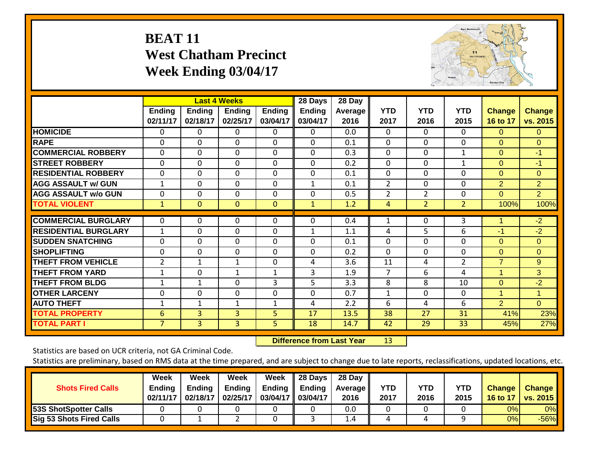#### **BEAT 11 West Chatham Precinct Week Ending 03/04/17**



|                             |                           |                           | <b>Last 4 Weeks</b>       |                           | 28 Days                   | 28 Day                 |                    |                    |                    |                           |                           |
|-----------------------------|---------------------------|---------------------------|---------------------------|---------------------------|---------------------------|------------------------|--------------------|--------------------|--------------------|---------------------------|---------------------------|
|                             | <b>Ending</b><br>02/11/17 | <b>Ending</b><br>02/18/17 | <b>Ending</b><br>02/25/17 | <b>Ending</b><br>03/04/17 | <b>Ending</b><br>03/04/17 | <b>Average</b><br>2016 | <b>YTD</b><br>2017 | <b>YTD</b><br>2016 | <b>YTD</b><br>2015 | <b>Change</b><br>16 to 17 | <b>Change</b><br>vs. 2015 |
| <b>HOMICIDE</b>             | 0                         | 0                         | 0                         | 0                         | 0                         | 0.0                    | $\mathbf{0}$       | 0                  | 0                  | $\Omega$                  | $\Omega$                  |
| <b>RAPE</b>                 | $\Omega$                  | $\Omega$                  | $\Omega$                  | 0                         | $\Omega$                  | 0.1                    | $\Omega$           | $\Omega$           | $\Omega$           | $\Omega$                  | $\Omega$                  |
| <b>COMMERCIAL ROBBERY</b>   | $\Omega$                  | $\Omega$                  | $\Omega$                  | $\Omega$                  | $\Omega$                  | 0.3                    | $\mathbf{0}$       | $\Omega$           | $\mathbf{1}$       | $\Omega$                  | $-1$                      |
| <b>STREET ROBBERY</b>       | 0                         | 0                         | $\Omega$                  | $\Omega$                  | 0                         | 0.2                    | $\Omega$           | 0                  | $\mathbf{1}$       | $\Omega$                  | $-1$                      |
| <b>RESIDENTIAL ROBBERY</b>  | 0                         | $\Omega$                  | $\Omega$                  | $\Omega$                  | 0                         | 0.1                    | $\mathbf 0$        | $\Omega$           | 0                  | $\Omega$                  | $\Omega$                  |
| <b>AGG ASSAULT w/ GUN</b>   | $\mathbf{1}$              | $\Omega$                  | $\Omega$                  | $\Omega$                  | $\mathbf{1}$              | 0.1                    | $\overline{2}$     | $\Omega$           | $\Omega$           | 2                         | $\overline{2}$            |
| <b>AGG ASSAULT w/o GUN</b>  | 0                         | 0                         | $\Omega$                  | 0                         | $\Omega$                  | 0.5                    | 2                  | $\overline{2}$     | $\Omega$           | $\Omega$                  | $\overline{2}$            |
| <b>TOTAL VIOLENT</b>        | $\mathbf{1}$              | $\mathbf{0}$              | $\mathbf{0}$              | $\mathbf{0}$              | $\mathbf{1}$              | 1.2                    | 4                  | $\overline{2}$     | $\overline{2}$     | 100%                      | 100%                      |
| <b>COMMERCIAL BURGLARY</b>  | $\Omega$                  | 0                         | $\Omega$                  | $\Omega$                  | 0                         | 0.4                    | 1                  | 0                  | 3                  | 1                         | $-2$                      |
| <b>RESIDENTIAL BURGLARY</b> | $\mathbf{1}$              | 0                         | $\Omega$                  | $\Omega$                  | 1                         | 1.1                    | 4                  | 5                  | 6                  | $-1$                      | $-2$                      |
| <b>SUDDEN SNATCHING</b>     | 0                         | $\Omega$                  | $\Omega$                  | $\Omega$                  | $\Omega$                  | 0.1                    | $\Omega$           | $\Omega$           | 0                  | $\Omega$                  | $\Omega$                  |
| <b>SHOPLIFTING</b>          | 0                         | 0                         | $\Omega$                  | $\Omega$                  | 0                         | 0.2                    | $\Omega$           | $\Omega$           | 0                  | $\Omega$                  | $\Omega$                  |
| <b>THEFT FROM VEHICLE</b>   | $\overline{2}$            | 1                         | 1                         | $\Omega$                  | 4                         | 3.6                    | 11                 | 4                  | $\overline{2}$     | $\overline{7}$            | 9                         |
| <b>THEFT FROM YARD</b>      | 1                         | 0                         | $\mathbf{1}$              | 1                         | 3                         | 1.9                    | 7                  | 6                  | 4                  | 1                         | 3                         |
| <b>THEFT FROM BLDG</b>      | 1                         | $\mathbf{1}$              | $\Omega$                  | 3                         | 5                         | 3.3                    | 8                  | 8                  | 10                 | $\Omega$                  | $-2$                      |
| <b>OTHER LARCENY</b>        | 0                         | 0                         | $\Omega$                  | $\Omega$                  | 0                         | 0.7                    | $\mathbf{1}$       | $\Omega$           | 0                  | $\overline{1}$            | $\mathbf{1}$              |
| <b>AUTO THEFT</b>           | $\mathbf 1$               | 1                         | $\mathbf{1}$              | $\mathbf{1}$              | 4                         | 2.2                    | 6                  | 4                  | 6                  | $\overline{2}$            | $\Omega$                  |
| <b>TOTAL PROPERTY</b>       | 6                         | 3                         | 3                         | 5                         | 17                        | 13.5                   | 38                 | 27                 | 31                 | 41%                       | 23%                       |
| <b>TOTAL PART I</b>         | $\overline{7}$            | 3                         | 3                         | 5                         | 18                        | 14.7                   | 42                 | 29                 | 33                 | 45%                       | 27%                       |

 **Difference from Last Year**r 13

Statistics are based on UCR criteria, not GA Criminal Code.

| <b>Shots Fired Calls</b>        | Week<br><b>Ending</b><br>02/11/17 | Week<br><b>Ending</b><br>02/18/17 | Week<br><b>Ending</b><br>02/25/17 | Week<br>Ending $\parallel$<br>03/04/17 03/04/17 | $\parallel$ 28 Days<br>Ending | 28 Day<br>Average II<br>2016 | YTD<br>2017 | YTD<br>2016 | YTD<br>2015 | <b>Change</b><br>16 to 17 | <b>Change</b><br><b>vs. 2015</b> |
|---------------------------------|-----------------------------------|-----------------------------------|-----------------------------------|-------------------------------------------------|-------------------------------|------------------------------|-------------|-------------|-------------|---------------------------|----------------------------------|
| 53S ShotSpotter Calls           |                                   |                                   |                                   |                                                 |                               | 0.0                          |             |             |             | 0%                        | $0\%$                            |
| <b>Sig 53 Shots Fired Calls</b> |                                   |                                   |                                   |                                                 |                               | 1.4                          |             |             |             | 0%                        | $-56%$                           |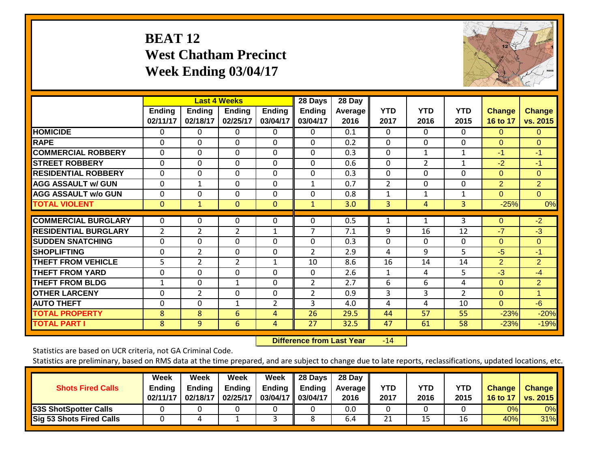# **BEAT 12 West Chatham Precinct Week Ending 03/04/17**



|                             |                    |                           | <b>Last 4 Weeks</b>       |                           | 28 Days            | 28 Day          |                    |                    |                    |                           |                           |
|-----------------------------|--------------------|---------------------------|---------------------------|---------------------------|--------------------|-----------------|--------------------|--------------------|--------------------|---------------------------|---------------------------|
|                             | Ending<br>02/11/17 | <b>Ending</b><br>02/18/17 | <b>Endina</b><br>02/25/17 | <b>Ending</b><br>03/04/17 | Ending<br>03/04/17 | Average<br>2016 | <b>YTD</b><br>2017 | <b>YTD</b><br>2016 | <b>YTD</b><br>2015 | <b>Change</b><br>16 to 17 | <b>Change</b><br>vs. 2015 |
| <b>HOMICIDE</b>             | 0                  | 0                         | $\Omega$                  | $\Omega$                  | 0                  | 0.1             | $\Omega$           | $\Omega$           | 0                  | $\Omega$                  | 0                         |
| <b>RAPE</b>                 | 0                  | $\Omega$                  | $\Omega$                  | $\Omega$                  | $\Omega$           | 0.2             | $\mathbf{0}$       | $\Omega$           | $\Omega$           | $\Omega$                  | $\Omega$                  |
| <b>COMMERCIAL ROBBERY</b>   | $\Omega$           | $\Omega$                  | $\Omega$                  | $\Omega$                  | 0                  | 0.3             | $\theta$           | 1                  | 1                  | -1                        | $-1$                      |
| <b>STREET ROBBERY</b>       | $\Omega$           | 0                         | $\mathbf{0}$              | $\mathbf 0$               | $\Omega$           | 0.6             | $\mathbf 0$        | $\overline{2}$     | 1                  | $-2$                      | $-1$                      |
| <b>RESIDENTIAL ROBBERY</b>  | 0                  | $\Omega$                  | $\Omega$                  | $\Omega$                  | $\Omega$           | 0.3             | $\Omega$           | 0                  | 0                  | $\Omega$                  | $\Omega$                  |
| <b>AGG ASSAULT w/ GUN</b>   | $\Omega$           | $\mathbf{1}$              | $\Omega$                  | 0                         | $\mathbf{1}$       | 0.7             | 2                  | 0                  | 0                  | 2                         | $\overline{2}$            |
| <b>AGG ASSAULT w/o GUN</b>  | $\Omega$           | 0                         | $\Omega$                  | 0                         | $\Omega$           | 0.8             | 1                  | $\mathbf{1}$       | 1                  | $\Omega$                  | $\Omega$                  |
| <b>TOTAL VIOLENT</b>        | $\mathbf{0}$       | $\mathbf{1}$              | $\mathbf{0}$              | $\mathbf{0}$              | $\mathbf{1}$       | 3.0             | 3                  | 4                  | 3                  | $-25%$                    | 0%                        |
| <b>COMMERCIAL BURGLARY</b>  | $\Omega$           | $\Omega$                  | $\Omega$                  | 0                         | $\Omega$           | 0.5             | 1                  |                    | 3                  | $\Omega$                  | $-2$                      |
| <b>RESIDENTIAL BURGLARY</b> | $\overline{2}$     | 2                         | $\overline{2}$            | $\mathbf{1}$              | 7                  | 7.1             | 9                  | 16                 | 12                 | $-7$                      | $-3$                      |
| <b>ISUDDEN SNATCHING</b>    | $\Omega$           | $\Omega$                  | $\Omega$                  | $\Omega$                  | $\Omega$           | 0.3             | $\Omega$           | 0                  | $\mathbf 0$        | $\Omega$                  | $\Omega$                  |
| <b>SHOPLIFTING</b>          | 0                  | $\overline{2}$            | $\Omega$                  | 0                         | $\overline{2}$     | 2.9             | 4                  | 9                  | 5                  | $-5$                      | $-1$                      |
| <b>THEFT FROM VEHICLE</b>   | 5                  | 2                         | $\overline{2}$            | $\mathbf{1}$              | 10                 | 8.6             | 16                 | 14                 | 14                 | 2                         | $\overline{2}$            |
| <b>THEFT FROM YARD</b>      | $\mathbf 0$        | $\Omega$                  | $\Omega$                  | 0                         | $\Omega$           | 2.6             | 1                  | 4                  | 5                  | $-3$                      | $-4$                      |
| <b>THEFT FROM BLDG</b>      | $\mathbf 1$        | $\Omega$                  | $\mathbf{1}$              | $\Omega$                  | $\overline{2}$     | 2.7             | 6                  | 6                  | 4                  | $\Omega$                  | $\overline{2}$            |
| <b>OTHER LARCENY</b>        | $\Omega$           | $\overline{2}$            | $\Omega$                  | $\Omega$                  | $\overline{2}$     | 0.9             | 3                  | 3                  | $\overline{2}$     | $\Omega$                  | $\mathbf{1}$              |
| <b>AUTO THEFT</b>           | 0                  | 0                         | $\mathbf{1}$              | $\overline{2}$            | 3                  | 4.0             | 4                  | 4                  | 10                 | $\Omega$                  | $-6$                      |
| <b>TOTAL PROPERTY</b>       | 8                  | 8                         | 6                         | 4                         | 26                 | 29.5            | 44                 | 57                 | 55                 | $-23%$                    | $-20%$                    |
| <b>TOTAL PART I</b>         | 8                  | 9                         | 6                         | 4                         | 27                 | 32.5            | 47                 | 61                 | 58                 | $-23%$                    | $-19%$                    |

 **Difference from Last Year**r -14

Statistics are based on UCR criteria, not GA Criminal Code.

| <b>Shots Fired Calls</b>        | Week<br><b>Ending</b><br>02/11/17 | Week<br><b>Ending</b><br>02/18/17 | Week<br><b>Ending</b><br>02/25/17 | Week<br><b>Ending</b><br>03/04/17 | 28 Days<br>Ending<br>03/04/17 | 28 Day<br><b>Average II</b><br>2016 | YTD<br>2017 | <b>YTD</b><br>2016 | <b>YTD</b><br>2015 | <b>Change</b><br>16 to 17 | <b>Change</b><br><b>vs. 2015</b> |
|---------------------------------|-----------------------------------|-----------------------------------|-----------------------------------|-----------------------------------|-------------------------------|-------------------------------------|-------------|--------------------|--------------------|---------------------------|----------------------------------|
| <b>53S ShotSpotter Calls</b>    |                                   |                                   |                                   |                                   |                               | 0.0                                 |             |                    |                    | 0%                        | 0%                               |
| <b>Sig 53 Shots Fired Calls</b> |                                   |                                   |                                   |                                   |                               | 6.4                                 | 21          | 15                 | 16                 | 40%                       | $31\%$                           |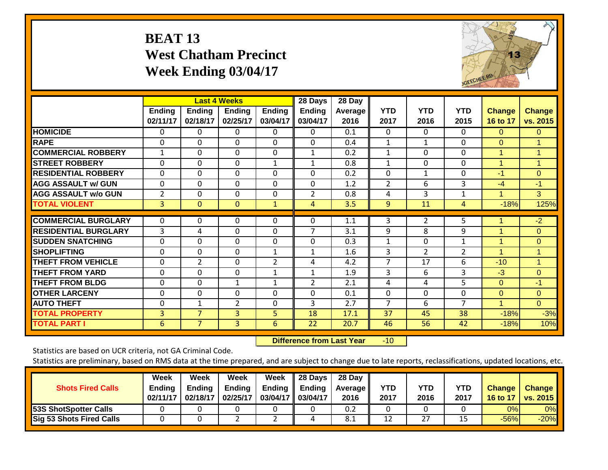#### **BEAT 13 West Chatham Precinct Week Ending 03/04/17**



|                             |                    |                           | <b>Last 4 Weeks</b>       |                           | 28 Days            | 28 Day          |                    |                    |                    |                           |                           |
|-----------------------------|--------------------|---------------------------|---------------------------|---------------------------|--------------------|-----------------|--------------------|--------------------|--------------------|---------------------------|---------------------------|
|                             | Ending<br>02/11/17 | <b>Ending</b><br>02/18/17 | <b>Ending</b><br>02/25/17 | <b>Ending</b><br>03/04/17 | Ending<br>03/04/17 | Average<br>2016 | <b>YTD</b><br>2017 | <b>YTD</b><br>2016 | <b>YTD</b><br>2015 | <b>Change</b><br>16 to 17 | <b>Change</b><br>vs. 2015 |
| <b>HOMICIDE</b>             | $\mathbf{0}$       | $\Omega$                  | 0                         | $\mathbf 0$               | $\Omega$           | 0.1             | $\mathbf{0}$       | $\Omega$           | 0                  | $\Omega$                  | $\overline{0}$            |
| <b>RAPE</b>                 | 0                  | 0                         | $\mathbf 0$               | $\mathbf 0$               | $\Omega$           | 0.4             | $\mathbf{1}$       | 1                  | $\Omega$           | $\mathbf{0}$              | 1                         |
| <b>COMMERCIAL ROBBERY</b>   | $\mathbf{1}$       | 0                         | $\mathbf 0$               | $\mathbf 0$               | $\mathbf{1}$       | 0.2             | $\mathbf{1}$       | $\mathbf 0$        | 0                  | 1                         | 1                         |
| <b>STREET ROBBERY</b>       | $\mathbf 0$        | $\mathbf 0$               | $\mathbf 0$               | $\mathbf{1}$              | $\mathbf{1}$       | 0.8             | $\mathbf{1}$       | $\mathbf 0$        | 0                  | $\overline{1}$            | 1                         |
| <b>RESIDENTIAL ROBBERY</b>  | $\mathbf{0}$       | 0                         | $\Omega$                  | $\Omega$                  | $\Omega$           | 0.2             | $\Omega$           | 1                  | 0                  | -1                        | $\Omega$                  |
| <b>AGG ASSAULT w/ GUN</b>   | $\Omega$           | 0                         | $\Omega$                  | $\Omega$                  | $\Omega$           | 1.2             | 2                  | 6                  | 3                  | $-4$                      | $-1$                      |
| <b>AGG ASSAULT w/o GUN</b>  | $\overline{2}$     | 0                         | $\Omega$                  | $\Omega$                  | $\overline{2}$     | 0.8             | 4                  | 3                  | $\mathbf{1}$       | $\overline{1}$            | 3                         |
| <b>TOTAL VIOLENT</b>        | 3                  | $\Omega$                  | $\mathbf{0}$              | $\mathbf{1}$              | 4                  | 3.5             | 9                  | 11                 | 4                  | $-18%$                    | 125%                      |
| <b>COMMERCIAL BURGLARY</b>  | $\mathbf 0$        | 0                         | 0                         | 0                         | $\Omega$           | 1.1             | 3                  | 2                  | 5                  |                           | $-2$                      |
| <b>RESIDENTIAL BURGLARY</b> | 3                  | 4                         | 0                         | $\Omega$                  | 7                  | 3.1             | 9                  | 8                  | 9                  | 1                         | $\Omega$                  |
| <b>SUDDEN SNATCHING</b>     | $\mathbf 0$        | $\Omega$                  | $\mathbf 0$               | $\mathbf 0$               | $\Omega$           | 0.3             | $\mathbf{1}$       | $\Omega$           | $\mathbf{1}$       | 1                         | $\Omega$                  |
| <b>SHOPLIFTING</b>          | $\Omega$           | 0                         | $\Omega$                  | $\mathbf{1}$              | 1                  | 1.6             | 3                  | $\overline{2}$     | $\overline{2}$     | 1                         | 1                         |
| <b>THEFT FROM VEHICLE</b>   | $\Omega$           | $\overline{2}$            | $\Omega$                  | $\overline{2}$            | 4                  | 4.2             | $\overline{7}$     | 17                 | 6                  | $-10$                     | $\blacktriangleleft$      |
| <b>THEFT FROM YARD</b>      | 0                  | $\Omega$                  | $\Omega$                  | $\mathbf{1}$              | 1                  | 1.9             | 3                  | 6                  | 3                  | $-3$                      | $\Omega$                  |
| <b>THEFT FROM BLDG</b>      | $\Omega$           | 0                         | $\mathbf{1}$              | $\mathbf{1}$              | 2                  | 2.1             | 4                  | 4                  | 5                  | $\Omega$                  | $-1$                      |
| <b>OTHER LARCENY</b>        | 0                  | $\Omega$                  | 0                         | 0                         | $\Omega$           | 0.1             | 0                  | $\Omega$           | 0                  | $\mathbf{0}$              | $\overline{0}$            |
| <b>AUTO THEFT</b>           | 0                  | $\mathbf 1$               | $\overline{2}$            | $\mathbf 0$               | 3                  | 2.7             | $\overline{7}$     | 6                  | 7                  | $\overline{4}$            | $\Omega$                  |
| <b>TOTAL PROPERTY</b>       | 3                  | $\overline{7}$            | 3                         | 5                         | 18                 | 17.1            | 37                 | 45                 | 38                 | $-18%$                    | $-3%$                     |
| <b>TOTAL PART I</b>         | 6                  | $\overline{7}$            | 3                         | 6                         | 22                 | 20.7            | 46                 | 56                 | 42                 | $-18%$                    | 10%                       |

 **Difference from Last Year**r -10

Statistics are based on UCR criteria, not GA Criminal Code.

| <b>Shots Fired Calls</b>        | Week<br><b>Ending</b><br>02/11/17 | Week<br>Endina<br>02/18/17 | Week<br><b>Ending</b><br>02/25/17 | Week<br>Ending<br>03/04/17 03/04/17 | 28 Days<br><b>Ending</b> | 28 Day<br><b>Average II</b><br>2016 | YTD<br>2017 | YTD<br>2016 | <b>YTD</b><br>2017 | <b>Change</b><br>16 to 17 | <b>Change</b><br>vs. $2015$ |
|---------------------------------|-----------------------------------|----------------------------|-----------------------------------|-------------------------------------|--------------------------|-------------------------------------|-------------|-------------|--------------------|---------------------------|-----------------------------|
| 53S ShotSpotter Calls           |                                   |                            |                                   |                                     |                          | 0.2                                 |             |             |                    | 0%                        | 0%                          |
| <b>Sig 53 Shots Fired Calls</b> |                                   |                            |                                   |                                     |                          | 8.1                                 | 12          | 27          | 15                 | $-56%$                    | $-20%$                      |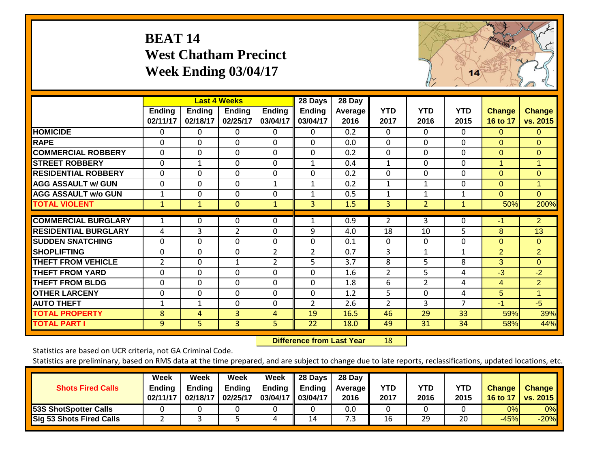### **BEAT 14 West Chatham Precinct Week Ending 03/04/17**



|                             |                    |                           | <b>Last 4 Weeks</b>       |                    | 28 Days                   | 28 Day                 |                    |                    |                    |                           |                           |
|-----------------------------|--------------------|---------------------------|---------------------------|--------------------|---------------------------|------------------------|--------------------|--------------------|--------------------|---------------------------|---------------------------|
|                             | Ending<br>02/11/17 | <b>Ending</b><br>02/18/17 | <b>Ending</b><br>02/25/17 | Ending<br>03/04/17 | <b>Ending</b><br>03/04/17 | <b>Average</b><br>2016 | <b>YTD</b><br>2017 | <b>YTD</b><br>2016 | <b>YTD</b><br>2015 | <b>Change</b><br>16 to 17 | <b>Change</b><br>vs. 2015 |
| <b>HOMICIDE</b>             | $\Omega$           | 0                         | $\mathbf{0}$              | $\Omega$           | 0                         | 0.2                    | $\Omega$           | $\Omega$           | $\Omega$           | $\Omega$                  | $\Omega$                  |
| <b>RAPE</b>                 | $\Omega$           | $\Omega$                  | $\Omega$                  | 0                  | $\Omega$                  | 0.0                    | $\Omega$           | $\Omega$           | $\Omega$           | $\Omega$                  | $\Omega$                  |
| <b>COMMERCIAL ROBBERY</b>   | $\Omega$           | $\Omega$                  | $\Omega$                  | $\Omega$           | $\Omega$                  | 0.2                    | $\mathbf{0}$       | $\Omega$           | $\Omega$           | $\Omega$                  | $\Omega$                  |
| <b>STREET ROBBERY</b>       | $\Omega$           | $\mathbf 1$               | $\Omega$                  | $\Omega$           | $\mathbf{1}$              | 0.4                    | $\mathbf{1}$       | $\Omega$           | $\Omega$           | 1                         | $\mathbf{1}$              |
| <b>RESIDENTIAL ROBBERY</b>  | $\mathbf 0$        | $\Omega$                  | $\mathbf 0$               | $\mathbf 0$        | $\Omega$                  | 0.2                    | $\Omega$           | $\Omega$           | $\Omega$           | $\Omega$                  | $\Omega$                  |
| <b>AGG ASSAULT w/ GUN</b>   | 0                  | $\Omega$                  | 0                         | $\mathbf{1}$       | $\mathbf{1}$              | 0.2                    | $\mathbf{1}$       | 1                  | $\Omega$           | $\mathbf{0}$              | $\blacktriangleleft$      |
| <b>AGG ASSAULT w/o GUN</b>  | $\mathbf 1$        | 0                         | $\Omega$                  | 0                  | $\mathbf{1}$              | 0.5                    | $\mathbf{1}$       |                    | 1                  | $\Omega$                  | $\Omega$                  |
| <b>TOTAL VIOLENT</b>        | 1                  | 1                         | $\mathbf{0}$              | $\mathbf{1}$       | 3                         | 1.5                    | 3                  | $\overline{2}$     | 1                  | 50%                       | 200%                      |
| <b>COMMERCIAL BURGLARY</b>  | 1                  | 0                         | 0                         | $\Omega$           | 1                         | 0.9                    | $\overline{2}$     | 3                  | $\Omega$           | -1                        | $\overline{2}$            |
| <b>RESIDENTIAL BURGLARY</b> | 4                  | 3                         | $\overline{2}$            | $\mathbf 0$        | 9                         | 4.0                    | 18                 | 10                 | 5                  | 8                         | 13                        |
| <b>SUDDEN SNATCHING</b>     | $\Omega$           | $\Omega$                  | $\Omega$                  | $\Omega$           | $\Omega$                  | 0.1                    | $\mathbf{0}$       | $\Omega$           | $\Omega$           | $\Omega$                  | $\Omega$                  |
| <b>SHOPLIFTING</b>          | $\Omega$           | $\Omega$                  | $\Omega$                  | 2                  | $\overline{2}$            | 0.7                    | 3                  | 1                  | 1                  | $\overline{2}$            | $\overline{2}$            |
| <b>THEFT FROM VEHICLE</b>   | $\overline{2}$     | $\Omega$                  | $\mathbf{1}$              | $\overline{2}$     | 5.                        | 3.7                    | 8                  | 5                  | 8                  | 3                         | $\Omega$                  |
| <b>THEFT FROM YARD</b>      | $\Omega$           | $\Omega$                  | $\Omega$                  | 0                  | $\Omega$                  | 1.6                    | 2                  | 5                  | 4                  | $-3$                      | $-2$                      |
| <b>THEFT FROM BLDG</b>      | $\mathbf 0$        | $\Omega$                  | $\mathbf 0$               | $\mathbf 0$        | $\Omega$                  | 1.8                    | 6                  | $\overline{2}$     | 4                  | 4                         | $\overline{2}$            |
| <b>OTHER LARCENY</b>        | $\mathbf 0$        | 0                         | $\mathbf 0$               | $\mathbf 0$        | $\Omega$                  | 1.2                    | 5                  | $\Omega$           | 4                  | 5                         | $\blacktriangleleft$      |
| <b>AUTO THEFT</b>           | 1                  | 1                         | $\Omega$                  | 0                  | 2                         | 2.6                    | $\overline{2}$     | 3                  | 7                  | $-1$                      | $-5$                      |
| <b>TOTAL PROPERTY</b>       | 8                  | 4                         | 3                         | 4                  | 19                        | 16.5                   | 46                 | 29                 | 33                 | 59%                       | 39%                       |
| <b>TOTAL PART I</b>         | 9                  | 5.                        | 3 <sup>1</sup>            | 5                  | 22                        | 18.0                   | 49                 | 31                 | 34                 | 58%                       | 44%                       |

 **Difference from Last Year**r 18

Statistics are based on UCR criteria, not GA Criminal Code.

| <b>Shots Fired Calls</b>        | Week<br><b>Ending</b><br>02/11/17 | Week<br>Ending<br>02/18/17 | Week<br><b>Ending</b><br>02/25/17 | <b>Week</b><br>Ending<br>03/04/17   03/04/17 | 28 Days<br><b>Ending</b> | 28 Day<br><b>Average II</b><br>2016 | <b>YTD</b><br>2017 | YTD<br>2016 | <b>YTD</b><br>2015 | <b>Change</b><br>16 to 17 | <b>Change</b><br><b>vs. 2015</b> |
|---------------------------------|-----------------------------------|----------------------------|-----------------------------------|----------------------------------------------|--------------------------|-------------------------------------|--------------------|-------------|--------------------|---------------------------|----------------------------------|
| <b>53S ShotSpotter Calls</b>    |                                   |                            |                                   |                                              |                          | 0.0                                 |                    |             |                    | 0%                        | 0%                               |
| <b>Sig 53 Shots Fired Calls</b> |                                   |                            |                                   | 4                                            | 14                       | 3.'                                 | 16                 | 29          | 20                 | $-45%$                    | $-20%$                           |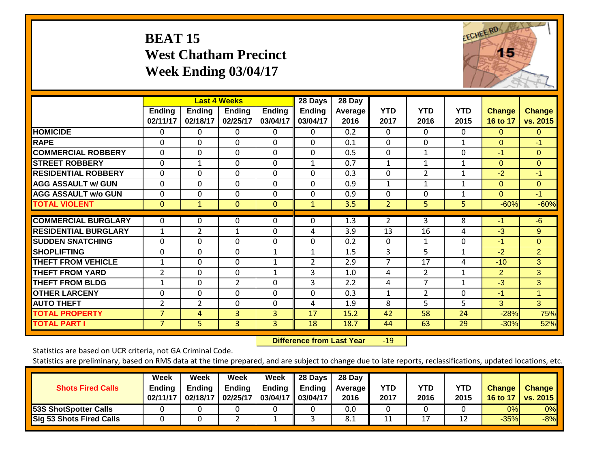#### **BEAT 15 West Chatham Precinct Week Ending 03/04/17**



|                             |                    |                           | <b>Last 4 Weeks</b>       |                           | 28 Days                   | 28 Day           |                    |                    |                    |                           |                           |
|-----------------------------|--------------------|---------------------------|---------------------------|---------------------------|---------------------------|------------------|--------------------|--------------------|--------------------|---------------------------|---------------------------|
|                             | Ending<br>02/11/17 | <b>Ending</b><br>02/18/17 | <b>Ending</b><br>02/25/17 | <b>Ending</b><br>03/04/17 | <b>Ending</b><br>03/04/17 | Average<br>2016  | <b>YTD</b><br>2017 | <b>YTD</b><br>2016 | <b>YTD</b><br>2015 | <b>Change</b><br>16 to 17 | <b>Change</b><br>vs. 2015 |
| <b>HOMICIDE</b>             | 0                  | 0                         | 0                         | 0                         | 0                         | 0.2              | $\Omega$           | 0                  | 0                  | $\Omega$                  | 0                         |
| <b>RAPE</b>                 | 0                  | $\Omega$                  | $\Omega$                  | 0                         | $\Omega$                  | 0.1              | $\mathbf{0}$       | 0                  | 1                  | $\Omega$                  | $-1$                      |
| <b>ICOMMERCIAL ROBBERY</b>  | $\Omega$           | $\Omega$                  | $\Omega$                  | $\Omega$                  | $\Omega$                  | 0.5              | $\mathbf{0}$       | $\mathbf{1}$       | $\Omega$           | -1                        | $\Omega$                  |
| <b>STREET ROBBERY</b>       | $\mathbf 0$        | $\mathbf{1}$              | $\mathbf 0$               | 0                         | $\mathbf{1}$              | 0.7              | $\mathbf{1}$       | $\mathbf{1}$       | 1                  | $\Omega$                  | $\overline{0}$            |
| <b>RESIDENTIAL ROBBERY</b>  | $\Omega$           | 0                         | $\mathbf{0}$              | 0                         | $\Omega$                  | 0.3              | $\Omega$           | $\overline{2}$     | $\mathbf 1$        | $-2$                      | $-1$                      |
| <b>AGG ASSAULT w/ GUN</b>   | $\Omega$           | $\Omega$                  | $\mathbf{0}$              | $\Omega$                  | $\Omega$                  | 0.9              | 1                  | 1                  | 1                  | $\Omega$                  | $\Omega$                  |
| <b>AGG ASSAULT w/o GUN</b>  | $\Omega$           | $\Omega$                  | $\Omega$                  | $\Omega$                  | $\Omega$                  | 0.9              | $\Omega$           | $\Omega$           | 1                  | $\Omega$                  | $-1$                      |
| <b>TOTAL VIOLENT</b>        | $\mathbf 0$        | $\mathbf{1}$              | $\mathbf{0}$              | $\mathbf{0}$              | $\mathbf{1}$              | 3.5              | $\overline{2}$     | 5                  | 5                  | $-60%$                    | $-60%$                    |
| <b>COMMERCIAL BURGLARY</b>  | 0                  | 0                         | 0                         | 0                         | 0                         | $\overline{1.3}$ | $\overline{2}$     | 3                  | 8                  | $-1$                      | $-6$                      |
| <b>RESIDENTIAL BURGLARY</b> | $\mathbf{1}$       | $\overline{2}$            | $\mathbf{1}$              | $\Omega$                  | 4                         | 3.9              | 13                 | 16                 | 4                  | $-3$                      | 9                         |
| <b>SUDDEN SNATCHING</b>     | $\Omega$           | $\Omega$                  | $\Omega$                  | $\Omega$                  | $\Omega$                  | 0.2              | $\mathbf{0}$       | 1                  | 0                  | -1                        | $\Omega$                  |
| <b>SHOPLIFTING</b>          | 0                  | $\Omega$                  | $\mathbf{0}$              | 1                         | 1                         | 1.5              | 3                  | 5                  | $\mathbf 1$        | $-2$                      | $\overline{2}$            |
| <b>THEFT FROM VEHICLE</b>   | 1                  | $\Omega$                  | $\Omega$                  | 1                         | $\overline{2}$            | 2.9              | $\overline{7}$     | 17                 | 4                  | $-10$                     | 3                         |
| <b>THEFT FROM YARD</b>      | $\overline{2}$     | $\mathbf 0$               | $\Omega$                  | $\mathbf{1}$              | 3                         | 1.0              | 4                  | $\overline{2}$     | $\mathbf 1$        | $\overline{2}$            | 3                         |
| <b>THEFT FROM BLDG</b>      | 1                  | $\Omega$                  | $\overline{2}$            | $\Omega$                  | 3                         | 2.2              | 4                  | $\overline{7}$     | 1                  | $-3$                      | 3                         |
| <b>OTHER LARCENY</b>        | $\Omega$           | 0                         | $\mathbf{0}$              | 0                         | $\Omega$                  | 0.3              | $\mathbf{1}$       | $\overline{2}$     | 0                  | $-1$                      | 1                         |
| <b>AUTO THEFT</b>           | 2                  | $\overline{2}$            | $\mathbf{0}$              | $\Omega$                  | 4                         | 1.9              | 8                  | 5                  | 5                  | 3                         | 3                         |
| <b>TOTAL PROPERTY</b>       | 7                  | 4                         | 3                         | $\overline{3}$            | 17                        | 15.2             | 42                 | 58                 | 24                 | $-28%$                    | 75%                       |
| <b>TOTAL PART I</b>         | $\overline{7}$     | 5                         | 3                         | 3                         | 18                        | 18.7             | 44                 | 63                 | 29                 | $-30%$                    | 52%                       |

 **Difference from Last Year**r -19

Statistics are based on UCR criteria, not GA Criminal Code.

| <b>Shots Fired Calls</b>        | Week<br><b>Ending</b><br>02/11/17 | Week<br><b>Ending</b><br>02/18/17 | Week<br><b>Ending</b><br>02/25/17 | Week<br><b>Ending</b><br>03/04/17 | 28 Days<br>Ending<br>03/04/17 | 28 Day<br><b>Average II</b><br>2016 | YTD<br>2017 | <b>YTD</b><br>2016 | <b>YTD</b><br>2015 | <b>Change</b><br><b>16 to 17</b> | <b>Change</b><br><b>vs. 2015</b> |
|---------------------------------|-----------------------------------|-----------------------------------|-----------------------------------|-----------------------------------|-------------------------------|-------------------------------------|-------------|--------------------|--------------------|----------------------------------|----------------------------------|
| <b>53S ShotSpotter Calls</b>    |                                   |                                   |                                   |                                   |                               | 0.0                                 |             |                    |                    | 0%                               | 0%                               |
| <b>Sig 53 Shots Fired Calls</b> |                                   |                                   |                                   |                                   |                               | 8.1                                 |             | 17                 | 12                 | $-35%$                           | $-8%$                            |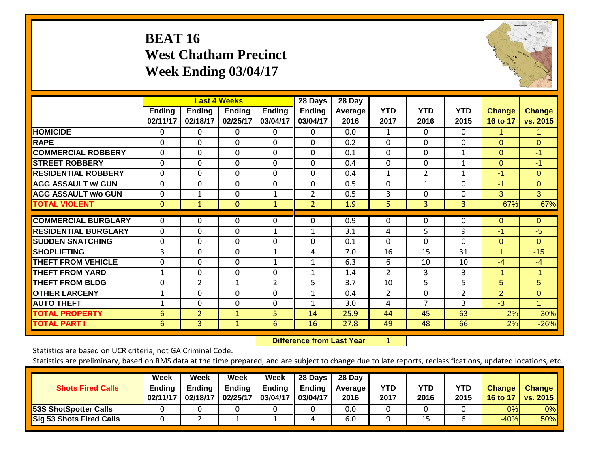### **BEAT 16 West Chatham Precinct Week Ending 03/04/17**



|                             |                           |                           | <b>Last 4 Weeks</b>       |                           | 28 Days            | 28 Day          |                    |                    |                    |                           |                           |
|-----------------------------|---------------------------|---------------------------|---------------------------|---------------------------|--------------------|-----------------|--------------------|--------------------|--------------------|---------------------------|---------------------------|
|                             | <b>Ending</b><br>02/11/17 | <b>Ending</b><br>02/18/17 | <b>Endina</b><br>02/25/17 | <b>Ending</b><br>03/04/17 | Ending<br>03/04/17 | Average<br>2016 | <b>YTD</b><br>2017 | <b>YTD</b><br>2016 | <b>YTD</b><br>2015 | <b>Change</b><br>16 to 17 | <b>Change</b><br>vs. 2015 |
| <b>HOMICIDE</b>             | 0                         | 0                         | $\Omega$                  | $\Omega$                  | 0                  | 0.0             | 1                  | $\Omega$           | 0                  | 1.                        | $\mathbf 1$               |
| <b>RAPE</b>                 | 0                         | $\Omega$                  | $\Omega$                  | $\Omega$                  | $\Omega$           | 0.2             | $\mathbf{0}$       | $\Omega$           | $\Omega$           | $\Omega$                  | $\Omega$                  |
| <b>COMMERCIAL ROBBERY</b>   | $\Omega$                  | $\Omega$                  | $\mathbf 0$               | $\Omega$                  | 0                  | 0.1             | $\theta$           | 0                  | 1                  | $\Omega$                  | $-1$                      |
| <b>STREET ROBBERY</b>       | $\Omega$                  | 0                         | $\mathbf{0}$              | $\mathbf 0$               | $\Omega$           | 0.4             | $\mathbf 0$        | $\Omega$           | $\mathbf 1$        | $\Omega$                  | $-1$                      |
| <b>RESIDENTIAL ROBBERY</b>  | 0                         | $\Omega$                  | $\Omega$                  | $\Omega$                  | $\Omega$           | 0.4             | 1                  | $\overline{2}$     | $\mathbf 1$        | -1                        | $\Omega$                  |
| <b>AGG ASSAULT w/ GUN</b>   | $\Omega$                  | $\Omega$                  | $\mathbf{0}$              | $\Omega$                  | $\Omega$           | 0.5             | $\Omega$           | $\mathbf{1}$       | 0                  | -1                        | $\Omega$                  |
| <b>AGG ASSAULT w/o GUN</b>  | $\Omega$                  | 1                         | $\mathbf{0}$              | 1                         | $\overline{2}$     | 0.5             | 3                  | 0                  | 0                  | 3                         | 3                         |
| <b>TOTAL VIOLENT</b>        | $\mathbf{0}$              | $\mathbf{1}$              | $\mathbf{0}$              | $\mathbf{1}$              | 2                  | 1.9             | 5                  | 3                  | 3                  | 67%                       | 67%                       |
| <b>COMMERCIAL BURGLARY</b>  | $\Omega$                  | $\Omega$                  | $\Omega$                  | 0                         | $\Omega$           | 0.9             | 0                  | 0                  | 0                  | $\Omega$                  | $\Omega$                  |
| <b>RESIDENTIAL BURGLARY</b> | $\Omega$                  | 0                         | $\mathbf{0}$              | $\mathbf{1}$              | $\mathbf{1}$       | 3.1             | 4                  | 5.                 | 9                  | -1                        | $-5$                      |
| <b>ISUDDEN SNATCHING</b>    | $\Omega$                  | $\Omega$                  | $\mathbf 0$               | $\Omega$                  | $\Omega$           | 0.1             | $\Omega$           | 0                  | $\Omega$           | $\Omega$                  | $\Omega$                  |
| <b>SHOPLIFTING</b>          | 3                         | 0                         | $\mathbf{0}$              | 1                         | 4                  | 7.0             | 16                 | 15                 | 31                 | 1                         | $-15$                     |
| <b>THEFT FROM VEHICLE</b>   | $\Omega$                  | $\Omega$                  | $\mathbf{0}$              | $\mathbf{1}$              | $\mathbf{1}$       | 6.3             | 6                  | 10                 | 10                 | $-4$                      | $-4$                      |
| <b>THEFT FROM YARD</b>      | $\mathbf 1$               | $\Omega$                  | $\Omega$                  | 0                         | $\mathbf{1}$       | 1.4             | $\overline{2}$     | 3                  | 3                  | $-1$                      | $-1$                      |
| <b>THEFT FROM BLDG</b>      | $\Omega$                  | $\overline{2}$            | $\mathbf{1}$              | $\overline{2}$            | 5                  | 3.7             | 10                 | 5                  | 5                  | 5                         | 5                         |
| <b>OTHER LARCENY</b>        | 1                         | 0                         | $\mathbf{0}$              | 0                         | $\mathbf{1}$       | 0.4             | 2                  | $\Omega$           | $\overline{2}$     | 2                         | $\Omega$                  |
| <b>AUTO THEFT</b>           | 1                         | 0                         | $\mathbf{0}$              | 0                         |                    | 3.0             | 4                  | $\overline{ }$     | 3                  | $-3$                      | $\mathbf 1$               |
| <b>TOTAL PROPERTY</b>       | 6                         | $\overline{2}$            | $\mathbf{1}$              | 5                         | 14                 | 25.9            | 44                 | 45                 | 63                 | $-2%$                     | $-30%$                    |
| <b>TOTAL PART I</b>         | 6                         | 3                         | $\mathbf{1}$              | 6                         | 16                 | 27.8            | 49                 | 48                 | 66                 | 2%                        | $-26%$                    |

 **Difference from Last Year**

1

Statistics are based on UCR criteria, not GA Criminal Code.

| <b>Shots Fired Calls</b>        | Week<br><b>Ending</b><br>02/11/17 | Week<br><b>Ending</b><br>02/18/17 | Week<br><b>Ending</b><br>02/25/17 | Week<br><b>Ending</b><br>03/04/17 | 28 Days<br>Ending<br>03/04/17 | 28 Day<br><b>Average II</b><br>2016 | YTD<br>2017 | <b>YTD</b><br>2016 | <b>YTD</b><br>2015 | <b>Change</b><br>16 to 17 | <b>Change</b><br><b>vs. 2015</b> |
|---------------------------------|-----------------------------------|-----------------------------------|-----------------------------------|-----------------------------------|-------------------------------|-------------------------------------|-------------|--------------------|--------------------|---------------------------|----------------------------------|
| <b>53S ShotSpotter Calls</b>    |                                   |                                   |                                   |                                   |                               | 0.0                                 |             |                    |                    | 0%                        | 0%                               |
| <b>Sig 53 Shots Fired Calls</b> |                                   |                                   |                                   |                                   | 4                             | 6.0                                 |             | 15                 |                    | $-40%$                    | <b>50%</b>                       |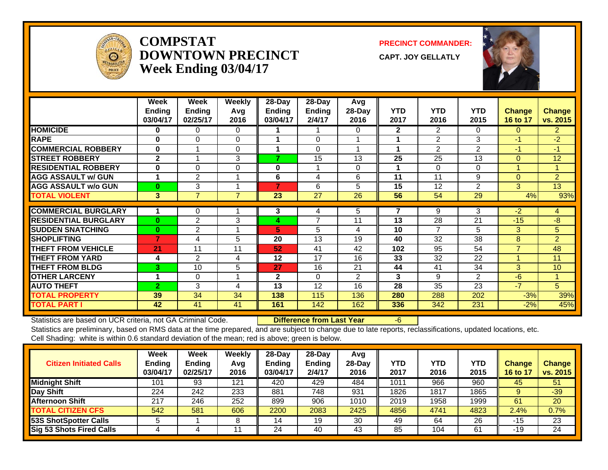

#### **COMPSTATDOWNTOWN PRECINCTWeek Ending 03/04/17**

**PRECINCT COMMANDER:**

**CAPT. JOY GELLATLY**



|                             | Week<br><b>Ending</b> | Week<br><b>Ending</b> | <b>Weekly</b><br>Avg | 28-Day<br><b>Ending</b> | 28-Day<br><b>Ending</b> | Avg<br>28-Day   | <b>YTD</b>   | <b>YTD</b>      | <b>YTD</b>      | <b>Change</b>  | <b>Change</b>  |
|-----------------------------|-----------------------|-----------------------|----------------------|-------------------------|-------------------------|-----------------|--------------|-----------------|-----------------|----------------|----------------|
|                             | 03/04/17              | 02/25/17              | 2016                 | 03/04/17                | 2/4/17                  | 2016            | 2017         | 2016            | 2015            | 16 to 17       | vs. 2015       |
| <b>HOMICIDE</b>             | 0                     | 0                     | 0                    |                         |                         | 0               | $\mathbf{2}$ | $\overline{2}$  | $\Omega$        | $\Omega$       | $\overline{2}$ |
| <b>RAPE</b>                 | $\bf{0}$              | $\Omega$              | $\Omega$             |                         | $\Omega$                |                 |              | 2               | 3               | $-1$           | $-2$           |
| <b>COMMERCIAL ROBBERY</b>   | $\mathbf 0$           |                       | 0                    |                         | $\Omega$                |                 |              | 2               | $\overline{2}$  | $-1$           | $-1$           |
| <b>STREET ROBBERY</b>       | $\mathbf{2}$          |                       | 3                    | 7                       | 15                      | 13              | 25           | 25              | 13              | $\Omega$       | 12             |
| <b>RESIDENTIAL ROBBERY</b>  | $\bf{0}$              | $\Omega$              | $\Omega$             | 0                       |                         | 0               |              | $\Omega$        | $\Omega$        |                |                |
| <b>AGG ASSAULT w/ GUN</b>   | $\mathbf 1$           | 2                     |                      | 6                       | 4                       | 6               | 11           | 11              | 9               | $\Omega$       | $\overline{2}$ |
| <b>AGG ASSAULT w/o GUN</b>  | $\bf{0}$              | 3                     | $\overline{ }$       | $\overline{7}$          | 6                       | 5               | 15           | 12              | 2               | 3 <sup>1</sup> | 13             |
| <b>TOTAL VIOLENT</b>        | 3                     | $\overline{7}$        | $\overline{7}$       | 23                      | 27                      | $\overline{26}$ | 56           | $\overline{54}$ | $\overline{29}$ | 4%             | 93%            |
| <b>COMMERCIAL BURGLARY</b>  |                       |                       |                      |                         |                         | 5               |              | 9               | 3               | $-2$           |                |
|                             |                       | 0                     |                      | 3                       | 4<br>7                  |                 |              |                 |                 |                | 4              |
| <b>RESIDENTIAL BURGLARY</b> | $\bf{0}$              | 2                     | 3                    | 4                       |                         | 11              | 13           | 28              | 21              | $-15$          | $-8$           |
| <b>SUDDEN SNATCHING</b>     | $\bf{0}$              | $\overline{2}$        |                      | 5                       | 5                       | 4               | 10           | $\overline{ }$  | 5               | 3              | 5              |
| <b>SHOPLIFTING</b>          | $\overline{7}$        | 4                     | 5                    | 20                      | 13                      | 19              | 40           | 32              | 38              | 8              | $\overline{2}$ |
| <b>THEFT FROM VEHICLE</b>   | 21                    | 11                    | 11                   | 52                      | 41                      | 42              | 102          | 95              | 54              | $\overline{7}$ | 48             |
| <b>THEFT FROM YARD</b>      | 4                     | $\overline{2}$        | 4                    | 12                      | 17                      | 16              | 33           | 32              | 22              |                | 11             |
| <b>THEFT FROM BLDG</b>      | 3                     | 10                    | 5                    | 27                      | 16                      | 21              | 44           | 41              | 34              | 3 <sup>1</sup> | 10             |
| <b>OTHER LARCENY</b>        |                       | 0                     |                      | $\mathbf 2$             | 0                       | $\overline{2}$  | 3            | 9               | $\overline{2}$  | $-6$           |                |
| <b>AUTO THEFT</b>           | $\overline{2}$        | 3                     | 4                    | 13                      | 12                      | 16              | 28           | 35              | 23              | $-7$           | 5              |
| <b>TOTAL PROPERTY</b>       | 39                    | 34                    | 34                   | 138                     | 115                     | 136             | 280          | 288             | 202             | $-3%$          | 39%            |
| <b>TOTAL PART I</b>         | 42                    | 41                    | 41                   | 161                     | 142                     | 162             | 336          | 342             | 231             | $-2%$          | 45%            |

Statistics are based on UCR criteria, not GA Criminal Code. **Difference from Last Year** -6

| <b>Citizen Initiated Calls</b> | Week<br>Ending<br>03/04/17 | Week<br><b>Ending</b><br>02/25/17 | Weekly<br>Avg<br>2016 | $28-Dav$<br><b>Ending</b><br>03/04/17 | 28-Day<br><b>Endina</b><br>2/4/17 | Avg<br>$28-Dav$<br>2016 | YTD<br>2017      | YTD<br>2016 | YTD<br>2015 | <b>Change</b><br>16 to 17 | <b>Change</b><br>vs. 2015 |
|--------------------------------|----------------------------|-----------------------------------|-----------------------|---------------------------------------|-----------------------------------|-------------------------|------------------|-------------|-------------|---------------------------|---------------------------|
| <b>Midnight Shift</b>          | 101                        | 93                                | 121                   | 420                                   | 429                               | 484                     | 101 <sup>2</sup> | 966         | 960         | 45                        | 51                        |
| Day Shift                      | 224                        | 242                               | 233                   | 881                                   | 748                               | 931                     | 1826             | 1817        | 1865        |                           | $-39$                     |
| Afternoon Shift                | 217                        | 246                               | 252                   | 899                                   | 906                               | 1010                    | 2019             | 1958        | 1999        | 61                        | 20                        |
| <b>TOTAL CITIZEN CFS</b>       | 542                        | 581                               | 606                   | 2200                                  | 2083                              | 2425                    | 4856             | 4741        | 4823        | 2.4%                      | 0.7%                      |
| <b>53S ShotSpotter Calls</b>   |                            |                                   | 8                     | 14                                    | 19                                | 30                      | 49               | 64          | 26          | $-15$                     | 23                        |
| Sig 53 Shots Fired Calls       |                            |                                   |                       | 24                                    | 40                                | 43                      | 85               | 104         | 61          | -19                       | 24                        |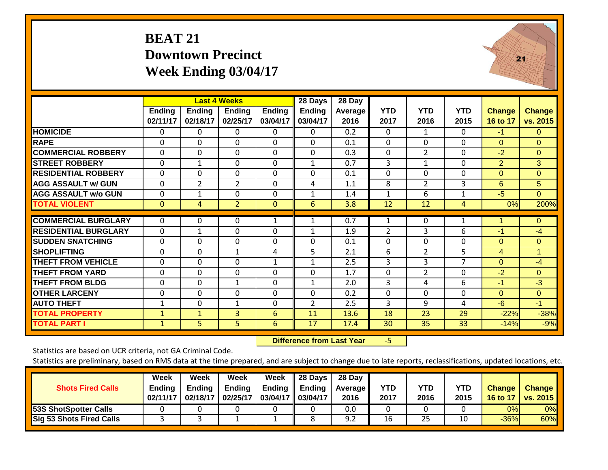#### **BEAT 21 Downtown Precinct Week Ending 03/04/17**



|                             |                    |                           | <b>Last 4 Weeks</b>       |                           | 28 Days                   | 28 Day                 |                    |                    |                    |                           |                           |
|-----------------------------|--------------------|---------------------------|---------------------------|---------------------------|---------------------------|------------------------|--------------------|--------------------|--------------------|---------------------------|---------------------------|
|                             | Ending<br>02/11/17 | <b>Ending</b><br>02/18/17 | <b>Ending</b><br>02/25/17 | <b>Ending</b><br>03/04/17 | <b>Ending</b><br>03/04/17 | <b>Average</b><br>2016 | <b>YTD</b><br>2017 | <b>YTD</b><br>2016 | <b>YTD</b><br>2015 | <b>Change</b><br>16 to 17 | <b>Change</b><br>vs. 2015 |
| <b>HOMICIDE</b>             | 0                  | 0                         | $\Omega$                  | 0                         | 0                         | 0.2                    | $\Omega$           | 1                  | 0                  | $-1$                      | $\Omega$                  |
| <b>RAPE</b>                 | 0                  | $\Omega$                  | $\Omega$                  | 0                         | $\Omega$                  | 0.1                    | $\mathbf{0}$       | 0                  | 0                  | $\Omega$                  | $\Omega$                  |
| <b>COMMERCIAL ROBBERY</b>   | $\Omega$           | $\Omega$                  | $\Omega$                  | $\Omega$                  | $\Omega$                  | 0.3                    | $\mathbf{0}$       | $\overline{2}$     | $\Omega$           | $-2$                      | $\Omega$                  |
| <b>STREET ROBBERY</b>       | $\Omega$           | $\mathbf{1}$              | $\Omega$                  | $\Omega$                  | $\mathbf{1}$              | 0.7                    | 3                  | $\mathbf{1}$       | 0                  | 2                         | 3                         |
| <b>RESIDENTIAL ROBBERY</b>  | $\Omega$           | $\Omega$                  | $\mathbf{0}$              | $\Omega$                  | $\Omega$                  | 0.1                    | $\Omega$           | 0                  | 0                  | $\Omega$                  | $\Omega$                  |
| <b>AGG ASSAULT w/ GUN</b>   | 0                  | $\overline{2}$            | $\overline{2}$            | $\Omega$                  | 4                         | 1.1                    | 8                  | $\overline{2}$     | 3                  | 6                         | 5                         |
| <b>AGG ASSAULT w/o GUN</b>  | $\Omega$           | $\mathbf{1}$              | $\mathbf{0}$              | 0                         | 1                         | 1.4                    | 1                  | 6                  | 1                  | $-5$                      | $\Omega$                  |
| <b>TOTAL VIOLENT</b>        | $\mathbf{0}$       | 4                         | $\overline{2}$            | $\mathbf{0}$              | 6                         | 3.8                    | 12                 | 12                 | 4                  | 0%                        | 200%                      |
| <b>COMMERCIAL BURGLARY</b>  | $\Omega$           | 0                         | 0                         | $\mathbf{1}$              |                           | 0.7                    | 1                  | $\Omega$           | 1                  | 1                         | $\Omega$                  |
| <b>RESIDENTIAL BURGLARY</b> | $\Omega$           | $\mathbf{1}$              | $\mathbf{0}$              | 0                         | 1                         | 1.9                    | $\overline{2}$     | 3                  | 6                  | -1                        | $-4$                      |
| <b>SUDDEN SNATCHING</b>     | $\Omega$           | $\Omega$                  | $\mathbf{0}$              | $\Omega$                  | $\Omega$                  | 0.1                    | $\Omega$           | 0                  | $\Omega$           | $\Omega$                  | $\Omega$                  |
| <b>SHOPLIFTING</b>          | $\Omega$           | $\Omega$                  | $\mathbf{1}$              | 4                         | 5.                        | 2.1                    | 6                  | $\overline{2}$     | 5                  | 4                         | $\mathbf 1$               |
| <b>THEFT FROM VEHICLE</b>   | $\Omega$           | $\Omega$                  | $\Omega$                  | $\mathbf{1}$              | 1                         | 2.5                    | 3                  | 3                  | $\overline{7}$     | $\Omega$                  | $-4$                      |
| <b>THEFT FROM YARD</b>      | $\Omega$           | $\mathbf 0$               | $\mathbf 0$               | 0                         | 0                         | 1.7                    | $\mathbf 0$        | $\overline{2}$     | $\mathbf 0$        | $-2$                      | $\Omega$                  |
| <b>THEFT FROM BLDG</b>      | $\Omega$           | $\Omega$                  | $\mathbf{1}$              | $\Omega$                  | $\mathbf{1}$              | 2.0                    | 3                  | 4                  | 6                  | $-1$                      | $-3$                      |
| <b>OTHER LARCENY</b>        | $\Omega$           | $\Omega$                  | $\mathbf{0}$              | $\Omega$                  | $\Omega$                  | 0.2                    | $\Omega$           | 0                  | 0                  | $\Omega$                  | $\Omega$                  |
| <b>AUTO THEFT</b>           | 1                  | 0                         | $\mathbf{1}$              | 0                         | $\overline{2}$            | 2.5                    | 3                  | 9                  | 4                  | $-6$                      | $-1$                      |
| <b>TOTAL PROPERTY</b>       | $\mathbf{1}$       | $\mathbf{1}$              | 3                         | 6                         | 11                        | 13.6                   | 18                 | 23                 | 29                 | $-22%$                    | $-38%$                    |
| <b>TOTAL PART I</b>         | $\mathbf{1}$       | 5                         | 5 <sup>1</sup>            | 6                         | 17                        | 17.4                   | 30                 | 35                 | 33                 | $-14%$                    | $-9%$                     |

 **Difference from Last Year**‐5

Statistics are based on UCR criteria, not GA Criminal Code.

| <b>Shots Fired Calls</b>        | Week<br><b>Ending</b><br>02/11/17 | Week<br><b>Ending</b><br>02/18/17 | Week<br><b>Ending</b><br>02/25/17 | Week<br><b>Ending</b><br>03/04/17 | 28 Days<br>Ending<br>03/04/17 | 28 Day<br><b>Average II</b><br>2016 | YTD<br>2017 | <b>YTD</b><br>2016 | <b>YTD</b><br>2015 | <b>Change</b><br>16 to 17 | <b>Change</b><br><b>vs. 2015</b> |
|---------------------------------|-----------------------------------|-----------------------------------|-----------------------------------|-----------------------------------|-------------------------------|-------------------------------------|-------------|--------------------|--------------------|---------------------------|----------------------------------|
| <b>53S ShotSpotter Calls</b>    |                                   |                                   |                                   |                                   |                               | 0.0                                 |             |                    |                    | 0%                        | 0%                               |
| <b>Sig 53 Shots Fired Calls</b> |                                   |                                   |                                   |                                   |                               | 9.2                                 | 16          | 25                 | 10                 | $-36%$                    | 60%                              |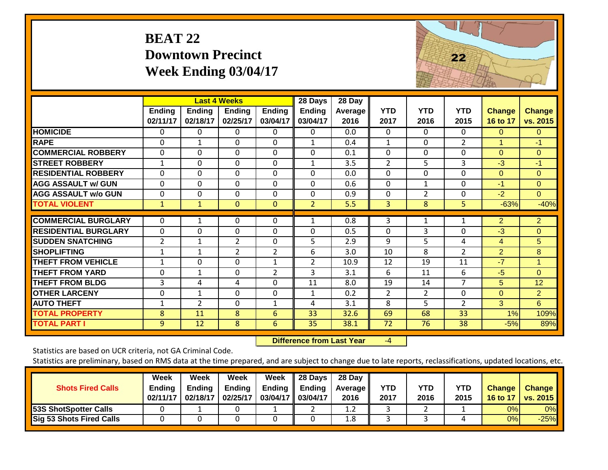#### **BEAT 22 Downtown Precinct Week Ending 03/04/17**



|                             |                |              | <b>Last 4 Weeks</b> |                | 28 Days        | 28 Day  |                |                |                |                |                      |
|-----------------------------|----------------|--------------|---------------------|----------------|----------------|---------|----------------|----------------|----------------|----------------|----------------------|
|                             | Ending         | Ending       | <b>Ending</b>       | <b>Ending</b>  | <b>Ending</b>  | Average | <b>YTD</b>     | <b>YTD</b>     | <b>YTD</b>     | <b>Change</b>  | <b>Change</b>        |
|                             | 02/11/17       | 02/18/17     | 02/25/17            | 03/04/17       | 03/04/17       | 2016    | 2017           | 2016           | 2015           | 16 to 17       | vs. 2015             |
| <b>HOMICIDE</b>             | $\Omega$       | $\Omega$     | $\Omega$            | $\Omega$       | 0              | 0.0     | $\mathbf{0}$   | $\mathbf{0}$   | $\Omega$       | $\Omega$       | $\Omega$             |
| <b>RAPE</b>                 | $\Omega$       | 1            | $\mathbf{0}$        | $\Omega$       | $\mathbf{1}$   | 0.4     | $\mathbf{1}$   | $\Omega$       | $\overline{2}$ | 1              | $-1$                 |
| <b>COMMERCIAL ROBBERY</b>   | $\mathbf 0$    | 0            | $\mathbf 0$         | $\mathbf 0$    | $\mathbf 0$    | 0.1     | $\Omega$       | $\mathbf 0$    | $\mathbf 0$    | $\Omega$       | $\overline{0}$       |
| <b>STREET ROBBERY</b>       | 1              | $\Omega$     | $\Omega$            | $\Omega$       | $\mathbf{1}$   | 3.5     | 2              | 5.             | 3              | $-3$           | $-1$                 |
| <b>RESIDENTIAL ROBBERY</b>  | $\mathbf 0$    | 0            | $\mathbf 0$         | $\mathbf 0$    | $\Omega$       | 0.0     | $\mathbf{0}$   | $\mathbf 0$    | $\mathbf 0$    | $\mathbf{0}$   | $\Omega$             |
| <b>AGG ASSAULT w/ GUN</b>   | $\mathbf 0$    | 0            | $\mathbf 0$         | $\Omega$       | $\Omega$       | 0.6     | $\mathbf{0}$   | 1              | $\mathbf 0$    | $-1$           | $\overline{0}$       |
| <b>AGG ASSAULT w/o GUN</b>  | 0              | 0            | $\mathbf{0}$        | $\Omega$       | 0              | 0.9     | $\mathbf{0}$   | $\overline{2}$ | $\Omega$       | $-2$           | $\Omega$             |
| <b>TOTAL VIOLENT</b>        | $\mathbf{1}$   | $\mathbf{1}$ | $\mathbf{0}$        | $\mathbf{0}$   | $\overline{2}$ | 5.5     | 3              | 8              | 5              | $-63%$         | $-40%$               |
| <b>COMMERCIAL BURGLARY</b>  |                |              |                     |                |                | 0.8     |                |                |                | $\overline{2}$ |                      |
|                             | 0              | 1            | 0                   | 0              | 1              |         | 3              | 1              | 1              |                | $\overline{2}$       |
| <b>RESIDENTIAL BURGLARY</b> | $\Omega$       | $\Omega$     | $\Omega$            | $\Omega$       | $\Omega$       | 0.5     | $\mathbf{0}$   | 3              | $\Omega$       | $-3$           | $\Omega$             |
| <b>SUDDEN SNATCHING</b>     | $\overline{2}$ | $\mathbf{1}$ | $\overline{2}$      | $\mathbf 0$    | 5              | 2.9     | 9              | 5              | 4              | 4              | 5                    |
| <b>SHOPLIFTING</b>          | 1              | 1            | $\overline{2}$      | $\overline{2}$ | 6              | 3.0     | 10             | 8              | $\overline{2}$ | $\overline{2}$ | 8                    |
| <b>THEFT FROM VEHICLE</b>   | 1              | $\Omega$     | $\Omega$            | $\mathbf{1}$   | $\overline{2}$ | 10.9    | 12             | 19             | 11             | $-7$           | $\blacktriangleleft$ |
| <b>THEFT FROM YARD</b>      | 0              | 1            | 0                   | $\overline{2}$ | 3              | 3.1     | 6              | 11             | 6              | $-5$           | $\Omega$             |
| <b>THEFT FROM BLDG</b>      | 3              | 4            | 4                   | $\Omega$       | 11             | 8.0     | 19             | 14             | $\overline{7}$ | 5              | 12                   |
| <b>OTHER LARCENY</b>        | $\mathbf 0$    | $\mathbf{1}$ | $\mathbf 0$         | $\mathbf 0$    | $\mathbf{1}$   | 0.2     | $\overline{2}$ | $\overline{2}$ | $\mathbf 0$    | $\Omega$       | $\overline{2}$       |
| <b>AUTO THEFT</b>           | 1              | 2            | $\mathbf{0}$        | $\mathbf{1}$   | 4              | 3.1     | 8              | 5              | $\overline{2}$ | 3              | 6                    |
| <b>TOTAL PROPERTY</b>       | 8              | 11           | 8                   | 6              | 33             | 32.6    | 69             | 68             | 33             | 1%             | 109%                 |
| <b>TOTAL PART I</b>         | 9              | 12           | 8                   | 6              | 35             | 38.1    | 72             | 76             | 38             | $-5%$          | 89%                  |

 **Difference from Last Year**

‐4

Statistics are based on UCR criteria, not GA Criminal Code.

| <b>Shots Fired Calls</b>        | Week<br><b>Ending</b><br>02/11/17 | Week<br>Endina<br>02/18/17 | Week<br><b>Ending</b><br>02/25/17 | Week<br>Ending<br>03/04/17 03/04/17 | 28 Days<br><b>Ending</b> | 28 Day<br><b>Average II</b><br>2016 | YTD<br>2017 | YTD<br>2016 | <b>YTD</b><br>2015 | <b>Change</b><br>16 to 17 | <b>Change</b><br><b>vs. 2015</b> |
|---------------------------------|-----------------------------------|----------------------------|-----------------------------------|-------------------------------------|--------------------------|-------------------------------------|-------------|-------------|--------------------|---------------------------|----------------------------------|
| 53S ShotSpotter Calls           |                                   |                            |                                   |                                     |                          | 1.Z                                 |             |             |                    | 0%                        | 0%                               |
| <b>Sig 53 Shots Fired Calls</b> |                                   |                            |                                   |                                     |                          | 1.8                                 |             |             |                    | 0%                        | $-25%$                           |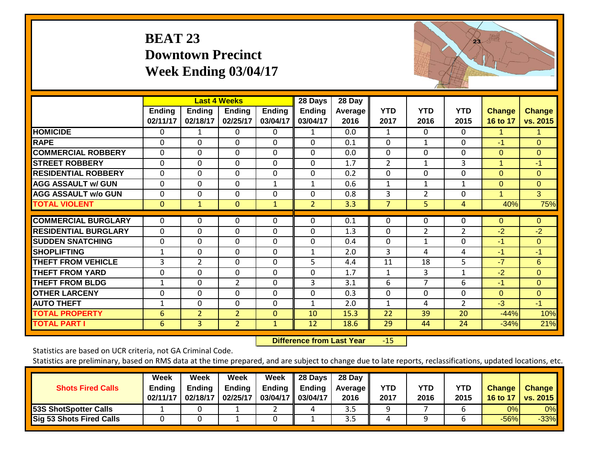#### **BEAT 23 Downtown Precinct Week Ending 03/04/17**



|                             |                           |                    | <b>Last 4 Weeks</b> |                           | 28 Days                   | 28 Day          |                    |                    |                    |                           |                           |
|-----------------------------|---------------------------|--------------------|---------------------|---------------------------|---------------------------|-----------------|--------------------|--------------------|--------------------|---------------------------|---------------------------|
|                             | <b>Ending</b><br>02/11/17 | Ending<br>02/18/17 | Ending<br>02/25/17  | <b>Ending</b><br>03/04/17 | <b>Ending</b><br>03/04/17 | Average<br>2016 | <b>YTD</b><br>2017 | <b>YTD</b><br>2016 | <b>YTD</b><br>2015 | <b>Change</b><br>16 to 17 | <b>Change</b><br>vs. 2015 |
|                             |                           |                    |                     |                           |                           |                 |                    |                    |                    |                           |                           |
| <b>HOMICIDE</b>             | 0                         | 1                  | 0                   | $\Omega$                  | 1                         | 0.0             | $\mathbf{1}$       | $\Omega$           | $\Omega$           | 1                         | 1                         |
| <b>RAPE</b>                 | $\Omega$                  | 0                  | $\Omega$            | $\Omega$                  | $\Omega$                  | 0.1             | $\Omega$           | 1                  | $\Omega$           | $-1$                      | $\Omega$                  |
| <b>COMMERCIAL ROBBERY</b>   | $\Omega$                  | 0                  | 0                   | $\Omega$                  | $\Omega$                  | 0.0             | $\Omega$           | 0                  | $\Omega$           | $\Omega$                  | $\Omega$                  |
| <b>STREET ROBBERY</b>       | $\Omega$                  | 0                  | $\Omega$            | $\Omega$                  | $\Omega$                  | 1.7             | $\overline{2}$     | 1                  | 3                  | 1                         | $-1$                      |
| <b>RESIDENTIAL ROBBERY</b>  | $\Omega$                  | 0                  | $\Omega$            | $\Omega$                  | $\Omega$                  | 0.2             | $\Omega$           | $\Omega$           | $\Omega$           | $\Omega$                  | $\Omega$                  |
| <b>AGG ASSAULT w/ GUN</b>   | $\mathbf 0$               | 0                  | $\mathbf 0$         | $\mathbf{1}$              | 1                         | 0.6             | $\mathbf{1}$       | $\mathbf{1}$       | $\mathbf{1}$       | $\Omega$                  | $\overline{0}$            |
| <b>AGG ASSAULT w/o GUN</b>  | $\Omega$                  | 0                  | $\mathbf{0}$        | $\Omega$                  | $\Omega$                  | 0.8             | 3                  | $\overline{2}$     | $\Omega$           | 1                         | 3                         |
| <b>TOTAL VIOLENT</b>        | $\mathbf{0}$              | $\mathbf{1}$       | $\Omega$            | $\mathbf{1}$              | 2                         | 3.3             | 7                  | 5                  | 4                  | 40%                       | 75%                       |
| <b>COMMERCIAL BURGLARY</b>  | $\mathbf 0$               | 0                  | 0                   | 0                         | 0                         | 0.1             | 0                  | 0                  | 0                  | $\overline{0}$            | $\overline{0}$            |
|                             |                           |                    |                     |                           |                           |                 |                    |                    |                    |                           |                           |
| <b>RESIDENTIAL BURGLARY</b> | $\Omega$                  | 0                  | $\Omega$            | $\Omega$                  | $\Omega$                  | 1.3             | $\Omega$           | 2                  | $\overline{2}$     | $-2$                      | $-2$                      |
| <b>SUDDEN SNATCHING</b>     | 0                         | 0                  | $\mathbf 0$         | $\Omega$                  | 0                         | 0.4             | $\Omega$           | $\mathbf{1}$       | 0                  | $-1$                      | $\Omega$                  |
| <b>SHOPLIFTING</b>          | $\mathbf{1}$              | 0                  | $\mathbf{0}$        | $\Omega$                  | $\mathbf{1}$              | 2.0             | 3                  | 4                  | 4                  | $-1$                      | $-1$                      |
| <b>THEFT FROM VEHICLE</b>   | 3                         | $\overline{2}$     | $\Omega$            | $\Omega$                  | 5                         | 4.4             | 11                 | 18                 | 5                  | $-7$                      | 6                         |
| <b>THEFT FROM YARD</b>      | 0                         | 0                  | $\mathbf{0}$        | $\Omega$                  | $\Omega$                  | 1.7             | $\mathbf{1}$       | 3                  | 1                  | $-2$                      | $\Omega$                  |
| <b>THEFT FROM BLDG</b>      | 1                         | 0                  | $\overline{2}$      | $\Omega$                  | 3                         | 3.1             | 6                  | $\overline{7}$     | 6                  | -1                        | $\Omega$                  |
| <b>OTHER LARCENY</b>        | 0                         | 0                  | $\mathbf{0}$        | $\Omega$                  | $\Omega$                  | 0.3             | $\Omega$           | 0                  | $\Omega$           | $\mathbf{0}$              | $\Omega$                  |
| <b>AUTO THEFT</b>           | 1                         | 0                  | $\Omega$            | 0                         | $\mathbf{1}$              | 2.0             | 1                  | 4                  | $\overline{2}$     | $-3$                      | $-1$                      |
| <b>TOTAL PROPERTY</b>       | 6                         | 2                  | $\overline{2}$      | $\mathbf 0$               | 10                        | 15.3            | 22                 | 39                 | 20                 | $-44%$                    | 10%                       |
| <b>TOTAL PART I</b>         | 6                         | 3                  | $\overline{2}$      | $\mathbf{1}$              | 12                        | 18.6            | 29                 | 44                 | 24                 | $-34%$                    | 21%                       |

 **Difference from Last Year**r -15

Statistics are based on UCR criteria, not GA Criminal Code.

| <b>Shots Fired Calls</b>        | Week<br><b>Ending</b><br>02/11/17 | Week<br>Endina<br>02/18/17 | Week<br><b>Ending</b><br>02/25/17 | Week<br>Ending<br>03/04/17 03/04/17 | 28 Days<br>Ending | 28 Day<br><b>Average II</b><br>2016 | YTD<br>2017 | YTD<br>2016 | <b>YTD</b><br>2015 | <b>Change</b><br>16 to 17 | <b>Change</b><br><b>vs. 2015</b> |
|---------------------------------|-----------------------------------|----------------------------|-----------------------------------|-------------------------------------|-------------------|-------------------------------------|-------------|-------------|--------------------|---------------------------|----------------------------------|
| 53S ShotSpotter Calls           |                                   |                            |                                   | _                                   |                   | ر.ر                                 |             |             |                    | 0%                        | 0%                               |
| <b>Sig 53 Shots Fired Calls</b> |                                   |                            |                                   |                                     |                   | ر.ر                                 |             |             |                    | $-56%$                    | $-33%$                           |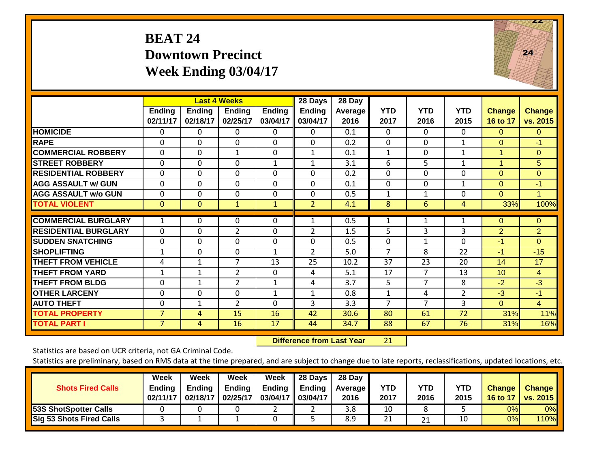#### **BEAT 24 Downtown Precinct Week Ending 03/04/17**



|                             |                    |                           | <b>Last 4 Weeks</b>       |                           | 28 Days                   | 28 Day          |                    |                    |                    |                    |                           |
|-----------------------------|--------------------|---------------------------|---------------------------|---------------------------|---------------------------|-----------------|--------------------|--------------------|--------------------|--------------------|---------------------------|
|                             | Ending<br>02/11/17 | <b>Ending</b><br>02/18/17 | <b>Ending</b><br>02/25/17 | <b>Ending</b><br>03/04/17 | <b>Ending</b><br>03/04/17 | Average<br>2016 | <b>YTD</b><br>2017 | <b>YTD</b><br>2016 | <b>YTD</b><br>2015 | Change<br>16 to 17 | <b>Change</b><br>vs. 2015 |
| <b>HOMICIDE</b>             | $\Omega$           | $\Omega$                  | $\Omega$                  | $\Omega$                  | 0                         | 0.1             | $\Omega$           | 0                  | 0                  | $\Omega$           | $\Omega$                  |
| <b>RAPE</b>                 | 0                  | 0                         | $\mathbf{0}$              | 0                         | $\Omega$                  | 0.2             | $\Omega$           | 0                  | $\mathbf{1}$       | $\Omega$           | $-1$                      |
| <b>COMMERCIAL ROBBERY</b>   | $\Omega$           | $\Omega$                  | $\mathbf{1}$              | $\Omega$                  | 1                         | 0.1             | 1                  | 0                  | $\mathbf{1}$       | -1                 | $\overline{0}$            |
| <b>STREET ROBBERY</b>       | $\mathbf 0$        | $\mathbf 0$               | $\mathbf{0}$              | $\mathbf{1}$              | $\mathbf{1}$              | 3.1             | 6                  | 5                  | $\mathbf 1$        | -4                 | 5                         |
| <b>RESIDENTIAL ROBBERY</b>  | $\Omega$           | 0                         | $\mathbf{0}$              | $\Omega$                  | $\Omega$                  | 0.2             | $\mathbf 0$        | 0                  | 0                  | $\Omega$           | $\overline{0}$            |
| <b>AGG ASSAULT w/ GUN</b>   | $\Omega$           | $\Omega$                  | $\Omega$                  | $\Omega$                  | $\Omega$                  | 0.1             | $\Omega$           | 0                  | 1                  | $\Omega$           | $-1$                      |
| <b>AGG ASSAULT w/o GUN</b>  | 0                  | 0                         | 0                         | $\Omega$                  | 0                         | 0.5             | 1                  | 1                  | $\Omega$           | $\Omega$           | $\mathbf 1$               |
| <b>TOTAL VIOLENT</b>        | $\mathbf{0}$       | $\Omega$                  | $\mathbf{1}$              | $\mathbf{1}$              | $\overline{2}$            | 4.1             | 8                  | 6                  | 4                  | 33%                | 100%                      |
|                             |                    |                           |                           |                           |                           |                 |                    |                    |                    |                    |                           |
| <b>COMMERCIAL BURGLARY</b>  | 1                  | 0                         | $\mathbf 0$               | 0                         | 1                         | 0.5             | 1                  | $\mathbf{1}$       | 1                  | $\Omega$           | $\overline{0}$            |
| <b>RESIDENTIAL BURGLARY</b> | $\Omega$           | 0                         | $\overline{2}$            | 0                         | 2                         | 1.5             | 5                  | 3                  | 3                  | $\overline{2}$     | $\overline{2}$            |
| <b>SUDDEN SNATCHING</b>     | 0                  | 0                         | 0                         | 0                         | 0                         | 0.5             | 0                  | $\mathbf{1}$       | $\Omega$           | $-1$               | $\overline{0}$            |
| <b>SHOPLIFTING</b>          | $\mathbf 1$        | $\Omega$                  | $\mathbf{0}$              | $\mathbf{1}$              | $\overline{2}$            | 5.0             | 7                  | 8                  | 22                 | $-1$               | $-15$                     |
| <b>THEFT FROM VEHICLE</b>   | 4                  | 1                         | 7                         | 13                        | 25                        | 10.2            | 37                 | 23                 | 20                 | 14                 | 17                        |
| <b>THEFT FROM YARD</b>      | $\mathbf 1$        | $\mathbf{1}$              | $\overline{2}$            | 0                         | 4                         | 5.1             | 17                 | 7                  | 13                 | 10                 | $\overline{4}$            |
| <b>THEFT FROM BLDG</b>      | 0                  | 1                         | $\overline{2}$            | 1                         | 4                         | 3.7             | 5                  | $\overline{7}$     | 8                  | $-2$               | $-3$                      |
| <b>OTHER LARCENY</b>        | $\Omega$           | 0                         | $\mathbf{0}$              | $\mathbf{1}$              | $\mathbf{1}$              | 0.8             | 1                  | 4                  | $\overline{2}$     | $-3$               | $-1$                      |
| <b>AUTO THEFT</b>           | $\mathbf 0$        | 1                         | $\overline{2}$            | $\mathbf 0$               | 3                         | 3.3             | $\overline{7}$     | $\overline{7}$     | 3                  | $\overline{0}$     | $\overline{4}$            |
| <b>TOTAL PROPERTY</b>       | $\overline{7}$     | 4                         | 15                        | 16                        | 42                        | 30.6            | 80                 | 61                 | 72                 | 31%                | 11%                       |
| <b>TOTAL PART I</b>         | 7                  | 4                         | 16                        | 17                        | 44                        | 34.7            | 88                 | 67                 | 76                 | 31%                | 16%                       |

 **Difference from Last Year**r 21

Statistics are based on UCR criteria, not GA Criminal Code.

| <b>Shots Fired Calls</b>     | Week<br>Ending<br>02/11/17 | Week<br><b>Ending</b><br>02/18/17 | Week<br><b>Ending</b><br>02/25/17 | Week<br><b>Ending</b><br>03/04/17 | 28 Days<br><b>Ending</b><br>03/04/17 | 28 Day<br>Average II<br>2016 | <b>YTD</b><br>2017 | <b>YTD</b><br>2016 | YTD<br>2015 | <b>Change</b><br><b>16 to 17</b> | <b>Change</b><br><b>vs. 2015</b> |
|------------------------------|----------------------------|-----------------------------------|-----------------------------------|-----------------------------------|--------------------------------------|------------------------------|--------------------|--------------------|-------------|----------------------------------|----------------------------------|
| <b>53S ShotSpotter Calls</b> |                            |                                   |                                   |                                   |                                      | 3.8                          | 10                 |                    |             | 0%                               | 0%                               |
| Sig 53 Shots Fired Calls     |                            |                                   |                                   |                                   |                                      | 8.9                          | 21                 | 21                 | 10          | 0%                               | <b>110%</b>                      |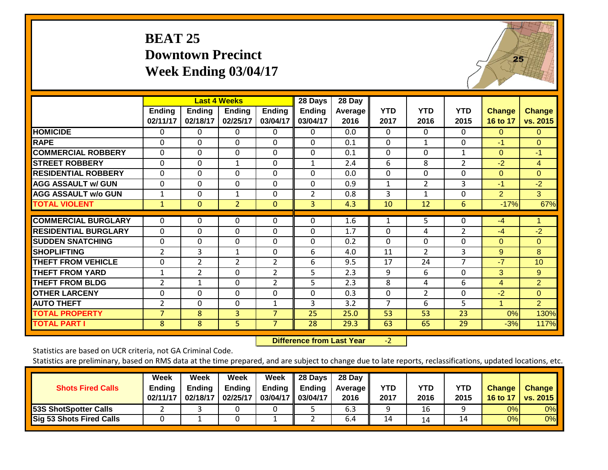#### **BEAT 25 Downtown Precinct Week Ending 03/04/17**



|                             |                    |                           | <b>Last 4 Weeks</b>       |                           | 28 Days                   | 28 Day          |                    |                    |                    |                           |                           |
|-----------------------------|--------------------|---------------------------|---------------------------|---------------------------|---------------------------|-----------------|--------------------|--------------------|--------------------|---------------------------|---------------------------|
|                             | Ending<br>02/11/17 | <b>Ending</b><br>02/18/17 | <b>Ending</b><br>02/25/17 | <b>Ending</b><br>03/04/17 | <b>Ending</b><br>03/04/17 | Average<br>2016 | <b>YTD</b><br>2017 | <b>YTD</b><br>2016 | <b>YTD</b><br>2015 | <b>Change</b><br>16 to 17 | <b>Change</b><br>vs. 2015 |
| <b>HOMICIDE</b>             | 0                  | 0                         | 0                         | 0                         | 0                         | 0.0             | $\Omega$           | 0                  | $\Omega$           | $\Omega$                  | $\Omega$                  |
| <b>RAPE</b>                 | $\Omega$           | 0                         | $\Omega$                  | $\Omega$                  | $\Omega$                  | 0.1             | $\Omega$           | 1                  | $\Omega$           | $-1$                      | $\Omega$                  |
| <b>COMMERCIAL ROBBERY</b>   | $\Omega$           | 0                         | $\mathbf{0}$              | $\Omega$                  | $\Omega$                  | 0.1             | $\Omega$           | $\Omega$           | $\mathbf{1}$       | $\Omega$                  | $-1$                      |
| <b>STREET ROBBERY</b>       | $\mathbf 0$        | 0                         | $\mathbf{1}$              | $\mathbf 0$               | $\mathbf{1}$              | 2.4             | 6                  | 8                  | $\overline{2}$     | $-2$                      | $\overline{4}$            |
| <b>RESIDENTIAL ROBBERY</b>  | 0                  | 0                         | $\Omega$                  | $\Omega$                  | $\Omega$                  | 0.0             | $\Omega$           | 0                  | 0                  | $\Omega$                  | $\Omega$                  |
| <b>AGG ASSAULT w/ GUN</b>   | $\Omega$           | 0                         | $\Omega$                  | $\Omega$                  | $\Omega$                  | 0.9             | $\mathbf{1}$       | 2                  | 3                  | -1                        | $-2$                      |
| <b>AGG ASSAULT w/o GUN</b>  | $\mathbf 1$        | 0                         | 1                         | 0                         | $\overline{2}$            | 0.8             | 3                  | 1                  | $\Omega$           | $\overline{2}$            | $\mathbf{3}$              |
| <b>TOTAL VIOLENT</b>        | $\mathbf{1}$       | $\mathbf{0}$              | $\overline{2}$            | $\mathbf 0$               | 3                         | 4.3             | 10                 | 12                 | 6                  | $-17%$                    | 67%                       |
| <b>COMMERCIAL BURGLARY</b>  | $\mathbf{0}$       | 0                         | 0                         | $\Omega$                  | $\Omega$                  | 1.6             | $\mathbf{1}$       | 5                  | $\Omega$           | $-4$                      |                           |
| <b>RESIDENTIAL BURGLARY</b> | $\Omega$           | 0                         | $\Omega$                  | $\Omega$                  | $\Omega$                  | 1.7             | $\Omega$           | 4                  | $\overline{2}$     | $-4$                      | $-2$                      |
| <b>ISUDDEN SNATCHING</b>    | 0                  | 0                         | $\Omega$                  | $\Omega$                  | $\Omega$                  | 0.2             | $\Omega$           | $\Omega$           | $\Omega$           | $\Omega$                  | $\Omega$                  |
| <b>SHOPLIFTING</b>          | $\overline{2}$     | 3                         | 1                         | $\Omega$                  | 6                         | 4.0             | 11                 | $\overline{2}$     | 3                  | 9                         | 8                         |
| <b>THEFT FROM VEHICLE</b>   | 0                  | $\overline{2}$            | $\overline{2}$            | $\overline{2}$            | 6                         | 9.5             | 17                 | 24                 | $\overline{7}$     | $-7$                      | 10 <sup>°</sup>           |
| <b>THEFT FROM YARD</b>      | $\mathbf{1}$       | $\overline{2}$            | $\mathbf{0}$              | $\overline{2}$            | 5                         | 2.3             | 9                  | 6                  | $\Omega$           | 3                         | 9                         |
| <b>THEFT FROM BLDG</b>      | $\overline{2}$     | 1                         | $\Omega$                  | $\overline{2}$            | 5                         | 2.3             | 8                  | 4                  | 6                  | 4                         | $\overline{2}$            |
| <b>OTHER LARCENY</b>        | 0                  | 0                         | $\Omega$                  | $\Omega$                  | $\Omega$                  | 0.3             | $\Omega$           | 2                  | $\Omega$           | $-2$                      | $\Omega$                  |
| <b>AUTO THEFT</b>           | $\overline{2}$     | 0                         | $\Omega$                  | $\mathbf{1}$              | 3                         | 3.2             | $\overline{7}$     | 6                  | 5                  | 1                         | $\overline{2}$            |
| <b>TOTAL PROPERTY</b>       | $\overline{7}$     | 8                         | 3                         | $\overline{7}$            | 25                        | 25.0            | 53                 | 53                 | 23                 | 0%                        | 130%                      |
| <b>TOTAL PART I</b>         | 8                  | 8                         | 5 <sup>1</sup>            | $\overline{7}$            | 28                        | 29.3            | 63                 | 65                 | 29                 | $-3%$                     | 117%                      |

 **Difference from Last Year**‐2

Statistics are based on UCR criteria, not GA Criminal Code.

| <b>Shots Fired Calls</b>        | Week<br><b>Ending</b><br>02/11/17 | Week<br><b>Ending</b><br>02/18/17 | Week<br><b>Ending</b><br>02/25/17 | Week<br>Ending<br>03/04/17 03/04/17 | 28 Days<br><b>Ending</b> | 28 Day<br>Average II<br>2016 | <b>YTD</b><br>2017 | YTD<br>2016 | <b>YTD</b><br>2015 | <b>Change</b><br>16 to 17 | <b>Change</b><br><b>vs. 2015</b> |
|---------------------------------|-----------------------------------|-----------------------------------|-----------------------------------|-------------------------------------|--------------------------|------------------------------|--------------------|-------------|--------------------|---------------------------|----------------------------------|
| <b>53S ShotSpotter Calls</b>    |                                   |                                   |                                   |                                     |                          | 6.3                          |                    | 16          |                    | 0%                        | 0%                               |
| <b>Sig 53 Shots Fired Calls</b> |                                   |                                   |                                   |                                     |                          | 6.4                          | 14                 | 14          | 14                 | 0%                        | 0%                               |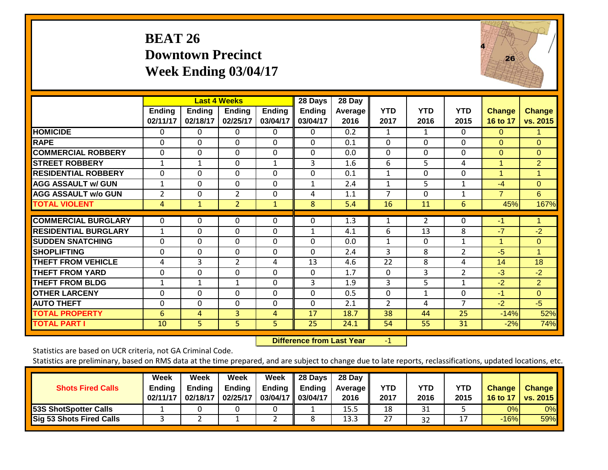#### **BEAT 26 Downtown Precinct Week Ending 03/04/17**



|                              |               |                | <b>Last 4 Weeks</b> |               | 28 Days        | 28 Day  |              |              |                |                |                |
|------------------------------|---------------|----------------|---------------------|---------------|----------------|---------|--------------|--------------|----------------|----------------|----------------|
|                              | <b>Ending</b> | <b>Ending</b>  | <b>Ending</b>       | <b>Ending</b> | <b>Ending</b>  | Average | <b>YTD</b>   | <b>YTD</b>   | <b>YTD</b>     | <b>Change</b>  | <b>Change</b>  |
|                              | 02/11/17      | 02/18/17       | 02/25/17            | 03/04/17      | 03/04/17       | 2016    | 2017         | 2016         | 2015           | 16 to 17       | vs. 2015       |
| <b>HOMICIDE</b>              | 0             | 0              | $\Omega$            | 0             | 0              | 0.2     | 1            | 1            | $\Omega$       | $\Omega$       | 1.             |
| <b>RAPE</b>                  | $\Omega$      | $\Omega$       | $\Omega$            | $\Omega$      | $\Omega$       | 0.1     | $\Omega$     | $\Omega$     | $\Omega$       | $\Omega$       | $\Omega$       |
| <b>COMMERCIAL ROBBERY</b>    | $\Omega$      | 0              | $\Omega$            | $\Omega$      | 0              | 0.0     | $\Omega$     | $\Omega$     | $\Omega$       | $\Omega$       | $\Omega$       |
| <b>STREET ROBBERY</b>        | 1             | 1              | $\Omega$            | 1             | 3              | 1.6     | 6            | 5            | 4              | 1              | $\overline{2}$ |
| <b>RESIDENTIAL ROBBERY</b>   | $\Omega$      | $\Omega$       | $\Omega$            | $\Omega$      | $\Omega$       | 0.1     | $\mathbf{1}$ | $\Omega$     | $\Omega$       | 1              | 1              |
| <b>AGG ASSAULT w/ GUN</b>    | $\mathbf{1}$  | $\Omega$       | $\mathbf{0}$        | $\Omega$      | $\mathbf{1}$   | 2.4     | 1            | 5            | $\mathbf{1}$   | $-4$           | $\Omega$       |
| <b>AGG ASSAULT w/o GUN</b>   | 2             | 0              | $\overline{2}$      | 0             | 4              | 1.1     | 7            | $\Omega$     | 1              | $\overline{7}$ | 6              |
| <b>TOTAL VIOLENT</b>         | 4             | $\mathbf{1}$   | $\overline{2}$      | $\mathbf{1}$  | 8              | 5.4     | 16           | 11           | 6              | 45%            | 167%           |
|                              |               |                |                     |               |                |         |              |              |                |                |                |
| <b>COMMERCIAL BURGLARY</b>   | $\Omega$      | 0              | $\Omega$            | $\Omega$      | 0              | 1.3     | 1            | 2            | $\mathbf{0}$   | $-1$           |                |
| <b>IRESIDENTIAL BURGLARY</b> | 1             | 0              | $\Omega$            | $\Omega$      | 1              | 4.1     | 6            | 13           | 8              | $-7$           | $-2$           |
| <b>ISUDDEN SNATCHING</b>     | $\Omega$      | 0              | $\mathbf{0}$        | $\Omega$      | 0              | 0.0     | $\mathbf{1}$ | $\Omega$     | 1              | 1              | $\overline{0}$ |
| <b>SHOPLIFTING</b>           | $\Omega$      | $\Omega$       | $\mathbf{0}$        | $\Omega$      | $\Omega$       | 2.4     | 3            | 8            | $\overline{2}$ | $-5$           | 1              |
| <b>THEFT FROM VEHICLE</b>    | 4             | 3              | $\overline{2}$      | 4             | 13             | 4.6     | 22           | 8            | 4              | 14             | 18             |
| <b>THEFT FROM YARD</b>       | $\Omega$      | $\mathbf 0$    | $\mathbf 0$         | $\Omega$      | $\mathbf 0$    | 1.7     | $\Omega$     | 3            | $\overline{2}$ | $-3$           | $-2$           |
| <b>THEFT FROM BLDG</b>       | 1             | 1              | $\mathbf{1}$        | $\Omega$      | $\overline{3}$ | 1.9     | 3            | 5            | $\mathbf{1}$   | $-2$           | $\overline{2}$ |
| <b>OTHER LARCENY</b>         | $\Omega$      | $\Omega$       | $\Omega$            | $\Omega$      | $\Omega$       | 0.5     | $\Omega$     | $\mathbf{1}$ | $\Omega$       | $-1$           | $\overline{O}$ |
| <b>AUTO THEFT</b>            | $\Omega$      | $\Omega$       | $\Omega$            | $\Omega$      | $\Omega$       | 2.1     | 2            | 4            | 7              | $-2$           | $-5$           |
| <b>TOTAL PROPERTY</b>        | 6             | 4              | 3 <sup>1</sup>      | 4             | 17             | 18.7    | 38           | 44           | 25             | $-14%$         | 52%            |
| <b>TOTAL PART I</b>          | 10            | 5 <sup>1</sup> | 5 <sup>1</sup>      | 5             | 25             | 24.1    | 54           | 55           | 31             | $-2%$          | 74%            |

 **Difference from Last Year**r -1

Statistics are based on UCR criteria, not GA Criminal Code.

| <b>Shots Fired Calls</b>        | Week<br><b>Ending</b><br>02/11/17 | Week<br><b>Ending</b><br>02/18/17 | Week<br><b>Ending</b><br>02/25/17 | Week<br>Ending<br>03/04/17 03/04/17 | 28 Days<br><b>Ending</b> | 28 Day<br><b>Average II</b><br>2016 | YTD<br>2017 | YTD<br>2016 | <b>YTD</b><br>2015 | <b>Change</b><br>16 to 17 | <b>Change</b><br><b>vs. 2015</b> |
|---------------------------------|-----------------------------------|-----------------------------------|-----------------------------------|-------------------------------------|--------------------------|-------------------------------------|-------------|-------------|--------------------|---------------------------|----------------------------------|
| 53S ShotSpotter Calls           |                                   |                                   |                                   |                                     |                          | 15.5                                | 18          | 31          |                    | 0%                        | 0%                               |
| <b>Sig 53 Shots Fired Calls</b> |                                   |                                   |                                   |                                     |                          | 13.3                                | 27          | 32          |                    | $-16%$                    | 59%                              |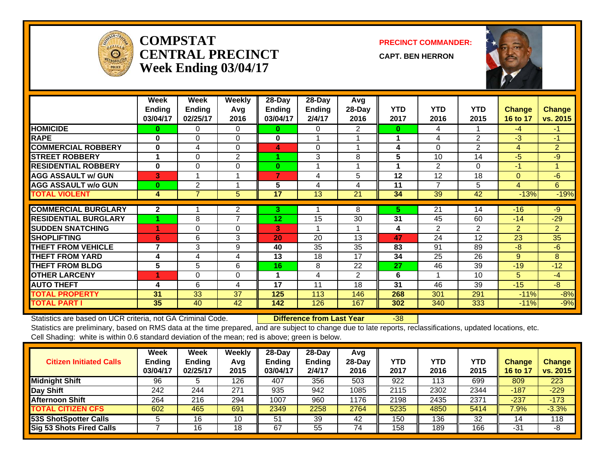

#### **COMPSTATCENTRAL PRECINCTWeek Ending 03/04/17**

**PRECINCT COMMANDER:**

**CAPT. BEN HERRON**



|                             | Week<br><b>Ending</b><br>03/04/17 | Week<br>Ending<br>02/25/17 | <b>Weekly</b><br>Avg<br>2016 | 28-Day<br><b>Ending</b><br>03/04/17 | 28-Day<br><b>Ending</b><br>2/4/17 | Avg<br>28-Day<br>2016 | <b>YTD</b><br>2017 | <b>YTD</b><br>2016 | <b>YTD</b><br>2015 | <b>Change</b><br>16 to 17 | <b>Change</b><br>vs. 2015 |
|-----------------------------|-----------------------------------|----------------------------|------------------------------|-------------------------------------|-----------------------------------|-----------------------|--------------------|--------------------|--------------------|---------------------------|---------------------------|
| <b>HOMICIDE</b>             | 0                                 | 0                          | 0                            | 0                                   | 0                                 | 2                     | 0                  | 4                  |                    | $-4$                      | $-1$                      |
| <b>RAPE</b>                 | $\bf{0}$                          | 0                          | $\Omega$                     | $\bf{0}$                            |                                   |                       |                    | 4                  | $\mathbf{2}$       | $-3$                      | -1                        |
| <b>COMMERCIAL ROBBERY</b>   | 0                                 | 4                          | $\Omega$                     | 4                                   | $\Omega$                          |                       | 4                  | $\Omega$           | $\overline{2}$     | 4                         | $\overline{2}$            |
| <b>STREET ROBBERY</b>       | 1                                 | $\Omega$                   | 2                            |                                     | 3                                 | 8                     | 5                  | 10                 | 14                 | $-5$                      | $-9$                      |
| <b>RESIDENTIAL ROBBERY</b>  | $\bf{0}$                          | $\Omega$                   | $\Omega$                     | 0                                   | 4                                 |                       |                    | $\overline{2}$     | $\Omega$           | $-1$                      | 1                         |
| <b>AGG ASSAULT w/ GUN</b>   | $\vert$ 3                         | $\overline{\mathbf{A}}$    | -1                           | 7                                   | 4                                 | 5                     | 12                 | 12                 | 18                 | $\Omega$                  | $-6$                      |
| <b>AGG ASSAULT w/o GUN</b>  | $\bf{0}$                          | $\overline{2}$             |                              | 5                                   | 4                                 | 4                     | 11                 | 7                  | 5                  | 4                         | 6                         |
| <b>TOTAL VIOLENT</b>        | 4                                 | $\overline{7}$             | 5                            | 17                                  | 13                                | 21                    | 34                 | 39                 | 42                 | $-13%$                    | $-19%$                    |
|                             |                                   |                            |                              |                                     |                                   |                       |                    |                    |                    |                           |                           |
| <b>COMMERCIAL BURGLARY</b>  | $\overline{2}$                    |                            | 2                            | 3.                                  |                                   | 8                     | 5.                 | 21                 | 14                 | $-16$                     | $-9$                      |
| <b>RESIDENTIAL BURGLARY</b> |                                   | 8                          | $\overline{7}$               | 12 <sub>2</sub>                     | 15                                | 30                    | 31                 | 45                 | 60                 | $-14$                     | $-29$                     |
| <b>SUDDEN SNATCHING</b>     |                                   | 0                          | $\Omega$                     | 3                                   | 1                                 |                       | 4                  | 2                  | $\mathbf{2}$       | $\overline{2}$            | $\overline{2}$            |
| <b>SHOPLIFTING</b>          | 6                                 | 6                          | 3                            | 20                                  | 20                                | 13                    | 47                 | 24                 | 12                 | 23                        | 35                        |
| <b>THEFT FROM VEHICLE</b>   | 7                                 | 3                          | 9                            | 40                                  | 35                                | 35                    | 83                 | 91                 | 89                 | -8                        | $-6$                      |
| <b>THEFT FROM YARD</b>      | 4                                 | 4                          | 4                            | 13                                  | 18                                | 17                    | 34                 | 25                 | 26                 | 9                         | 8                         |
| <b>THEFT FROM BLDG</b>      | 5                                 | 5                          | 6                            | 16                                  | 8                                 | 22                    | 27                 | 46                 | 39                 | $-19$                     | $-12$                     |
| <b>OTHER LARCENY</b>        |                                   | $\Omega$                   | $\Omega$                     | 1                                   | 4                                 | $\overline{2}$        | 6                  |                    | 10                 | 5                         | $-4$                      |
| <b>AUTO THEFT</b>           | 4                                 | 6                          | 4                            | 17                                  | 11                                | 18                    | 31                 | 46                 | 39                 | $-15$                     | $-8$                      |
| <b>TOTAL PROPERTY</b>       | 31                                | 33                         | 37                           | 125                                 | 113                               | 146                   | 268                | 301                | 291                | $-11%$                    | $-8%$                     |
| <b>TOTAL PART I</b>         | 35                                | 40                         | 42                           | 142                                 | 126                               | 167                   | 302                | 340                | 333                | $-11%$                    | $-9%$                     |

Statistics are based on UCR criteria, not GA Criminal Code. **Difference from Last Year** -38

| <b>Citizen Initiated Calls</b> | Week<br><b>Ending</b><br>03/04/17 | <b>Week</b><br>Ending<br>02/25/17 | Weekly<br>Avg<br>2015 | $28-Dav$<br><b>Ending</b><br>03/04/17 | $28-Dav$<br><b>Ending</b><br>2/4/17 | Avg<br>28-Day<br>2016 | YTD<br>2017 | YTD<br>2016 | <b>YTD</b><br>2015 | <b>Change</b><br>16 to 17 | <b>Change</b><br>vs. 2015 |
|--------------------------------|-----------------------------------|-----------------------------------|-----------------------|---------------------------------------|-------------------------------------|-----------------------|-------------|-------------|--------------------|---------------------------|---------------------------|
| <b>Midnight Shift</b>          | 96                                |                                   | 126                   | 407                                   | 356                                 | 503                   | 922         | 113         | 699                | 809                       | 223                       |
| Day Shift                      | 242                               | 244                               | 271                   | 935                                   | 942                                 | 1085                  | 2115        | 2302        | 2344               | $-187$                    | $-229$                    |
| <b>Afternoon Shift</b>         | 264                               | 216                               | 294                   | 1007                                  | 960                                 | 1176                  | 2198        | 2435        | 2371               | $-237$                    | $-173$                    |
| <b>TOTAL CITIZEN CFS</b>       | 602                               | 465                               | 691                   | 2349                                  | 2258                                | 2764                  | 5235        | 4850        | 5414               | $7.9\%$                   | $-3.3%$                   |
| <b>53S ShotSpotter Calls</b>   |                                   | 16                                | 10                    | 51                                    | 39                                  | 42                    | 150         | 136         | 32                 | 14                        | 118                       |
| Sig 53 Shots Fired Calls       |                                   | 16                                | 18                    | 67                                    | 55                                  | 74                    | 158         | 189         | 166                | $-31$                     | -8                        |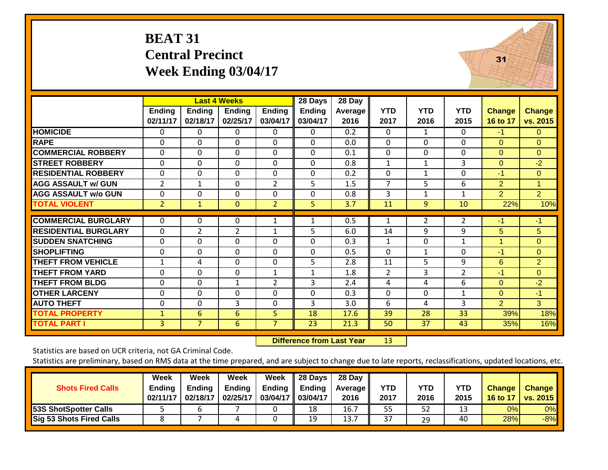# **BEAT 31 Central PrecinctWeek Ending 03/04/17**



 $31$ 

| <b>COMMERCIAL ROBBERY</b>   | $\Omega$       | $\Omega$     | $\Omega$       | $\Omega$       | 0  | 0.1  | $\Omega$              | $\Omega$ | $\mathbf{0}$   | 0              | $\Omega$       |
|-----------------------------|----------------|--------------|----------------|----------------|----|------|-----------------------|----------|----------------|----------------|----------------|
| <b>STREET ROBBERY</b>       | $\Omega$       | $\Omega$     | $\Omega$       | $\Omega$       | 0  | 0.8  |                       |          | 3              | $\Omega$       | $-2$           |
| <b>RESIDENTIAL ROBBERY</b>  | $\Omega$       | 0            | $\Omega$       | $\Omega$       | 0  | 0.2  | $\Omega$              |          | $\mathbf{0}$   | -1             | $\Omega$       |
| <b>AGG ASSAULT w/ GUN</b>   | 2              |              | $\Omega$       | $\overline{2}$ | 5  | 1.5  |                       | 5.       | 6              | $\overline{2}$ |                |
| <b>AGG ASSAULT w/o GUN</b>  | $\Omega$       | $\Omega$     | $\Omega$       | $\Omega$       | 0  | 0.8  | 3                     |          | 1              | $\overline{2}$ | $\overline{2}$ |
| <b>TOTAL VIOLENT</b>        | $\overline{2}$ |              | $\mathbf{0}$   | $\overline{2}$ | 5. | 3.7  | 11                    | 9        | 10             | 22%            | 10%            |
|                             |                |              |                |                |    |      |                       |          |                |                |                |
| <b>COMMERCIAL BURGLARY</b>  | $\Omega$       | 0            | $\Omega$       |                |    | 0.5  |                       | 2        |                | -1             | $-1$           |
| <b>RESIDENTIAL BURGLARY</b> | $\Omega$       |              | $\overline{2}$ | 1              | 5  | 6.0  | 14                    | 9        | 9              | 5              | 5              |
| <b>SUDDEN SNATCHING</b>     | 0              | 0            | $\Omega$       | $\Omega$       | 0  | 0.3  | 1                     | $\Omega$ | 1              |                | $\Omega$       |
| <b>SHOPLIFTING</b>          | $\Omega$       | $\Omega$     | $\Omega$       | $\Omega$       | 0  | 0.5  | $\Omega$              | 1        | $\Omega$       | $-1$           | $\Omega$       |
| THEFT FROM VEHICLE          |                | 4            | $\Omega$       | $\Omega$       | 5  | 2.8  | 11                    | 5.       | 9              | 6              | 2              |
| <b>THEFT FROM YARD</b>      | 0              | $\mathbf{0}$ | $\Omega$       | $\mathbf{1}$   |    | 1.8  | $\mathbf{2}^{\prime}$ | 3        | $\overline{2}$ | -1             | $\mathbf{0}$   |
| <b>THEFT FROM BLDG</b>      | 0              | 0            | 1              | 2              | 3  | 2.4  | 4                     | 4        | 6              | $\Omega$       | $-2$           |
| <b>OTHER LARCENY</b>        | $\Omega$       | $\Omega$     | $\Omega$       | $\Omega$       | 0  | 0.3  | $\Omega$              | $\Omega$ | 1              | $\Omega$       | $-1$           |
| <b>AUTO THEFT</b>           | $\Omega$       | $\Omega$     | 3              | $\Omega$       | 3  | 3.0  | 6                     | 4        | 3              | $\overline{2}$ | 3              |
| <b>TOTAL PROPERTY</b>       | $\mathbf{1}$   | 6            | 6              | 5              | 18 | 17.6 | 39                    | 28       | 33             | 39%            | 18%            |
| TOTAL PART I                | 3              |              | 6              | 7              | 23 | 21.3 | 50                    | 37       | 43             | 35%            | 16%            |

 **Difference from Last Year**13

Statistics are based on UCR criteria, not GA Criminal Code.

**HOMICIDE**

**RAPE**

| <b>Shots Fired Calls</b>        | Week<br><b>Ending</b><br>02/11/17 | Week<br><b>Ending</b><br>02/18/17 | Week<br><b>Ending</b><br>02/25/17 | Week<br>Ending<br>03/04/17 03/04/17 | 28 Days<br><b>Ending</b> | 28 Day<br><b>Average II</b><br>2016 | YTD<br>2017 | YTD<br>2016 | <b>YTD</b><br>2015 | <b>Change</b><br>16 to 17 | <b>Change</b><br>vs. $2015$ |
|---------------------------------|-----------------------------------|-----------------------------------|-----------------------------------|-------------------------------------|--------------------------|-------------------------------------|-------------|-------------|--------------------|---------------------------|-----------------------------|
| <b>53S ShotSpotter Calls</b>    |                                   |                                   |                                   |                                     | 18                       | 16.7                                | 55          | 52          | 13                 | 0%                        | 0%                          |
| <b>Sig 53 Shots Fired Calls</b> |                                   |                                   |                                   |                                     | 19                       | 13.7                                | 37          | 29          | 40                 | 28%                       | $-8%$                       |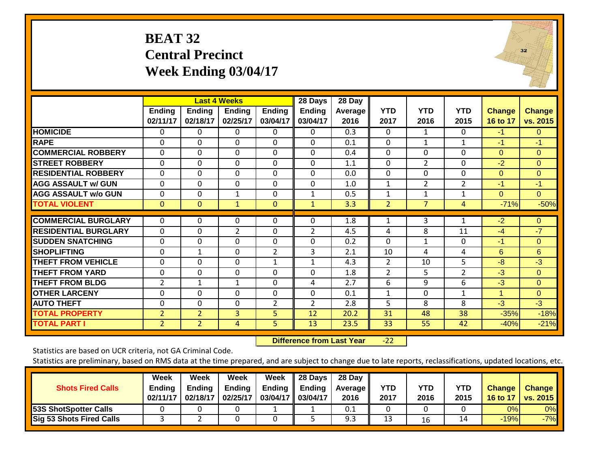# **BEAT 32 Central Precinct Week Ending 03/04/17**

|                             |                           |                           | <b>Last 4 Weeks</b>       |                    | 28 Days            | 28 Day                 |                    |                    |                    |                           |                           |
|-----------------------------|---------------------------|---------------------------|---------------------------|--------------------|--------------------|------------------------|--------------------|--------------------|--------------------|---------------------------|---------------------------|
|                             | <b>Ending</b><br>02/11/17 | <b>Ending</b><br>02/18/17 | <b>Ending</b><br>02/25/17 | Ending<br>03/04/17 | Ending<br>03/04/17 | <b>Average</b><br>2016 | <b>YTD</b><br>2017 | <b>YTD</b><br>2016 | <b>YTD</b><br>2015 | <b>Change</b><br>16 to 17 | <b>Change</b><br>vs. 2015 |
| <b>HOMICIDE</b>             | $\Omega$                  | 0                         | $\Omega$                  | $\Omega$           | $\Omega$           | 0.3                    | $\mathbf{0}$       | $\mathbf{1}$       | 0                  | $-1$                      | $\overline{0}$            |
| <b>RAPE</b>                 | $\Omega$                  | 0                         | $\Omega$                  | 0                  | $\Omega$           | 0.1                    | 0                  | 1                  | 1                  | $-1$                      | $-1$                      |
| <b>COMMERCIAL ROBBERY</b>   | $\Omega$                  | 0                         | $\Omega$                  | $\Omega$           | $\Omega$           | 0.4                    | $\mathbf{0}$       | $\Omega$           | $\Omega$           | $\Omega$                  | $\Omega$                  |
| <b>STREET ROBBERY</b>       | $\mathbf 0$               | $\Omega$                  | $\Omega$                  | 0                  | $\mathbf 0$        | 1.1                    | $\mathbf 0$        | $\overline{2}$     | $\Omega$           | $-2$                      | $\Omega$                  |
| <b>RESIDENTIAL ROBBERY</b>  | $\Omega$                  | 0                         | $\Omega$                  | $\Omega$           | $\Omega$           | 0.0                    | $\mathbf{0}$       | 0                  | $\Omega$           | $\Omega$                  | $\Omega$                  |
| <b>AGG ASSAULT w/ GUN</b>   | $\Omega$                  | $\Omega$                  | $\Omega$                  | 0                  | $\Omega$           | 1.0                    | $\mathbf{1}$       | $\overline{2}$     | $\overline{2}$     | $-1$                      | $-1$                      |
| <b>AGG ASSAULT w/o GUN</b>  | 0                         | 0                         | 1                         | 0                  | 1                  | 0.5                    | 1                  | 1                  | 1                  | $\Omega$                  | $\Omega$                  |
| <b>TOTAL VIOLENT</b>        | $\mathbf{0}$              | $\mathbf{0}$              | $\mathbf{1}$              | $\Omega$           | $\mathbf{1}$       | 3.3                    | $\overline{2}$     | 7                  | 4                  | $-71%$                    | $-50%$                    |
|                             |                           |                           |                           |                    |                    |                        |                    |                    |                    |                           |                           |
| <b>COMMERCIAL BURGLARY</b>  | $\Omega$                  | 0                         | 0                         | $\Omega$           | $\Omega$           | 1.8                    | $\mathbf{1}$       | 3                  | 1                  | $-2$                      | $\Omega$                  |
| <b>RESIDENTIAL BURGLARY</b> | $\Omega$                  | 0                         | 2                         | $\Omega$           | $\overline{2}$     | 4.5                    | 4                  | 8                  | 11                 | $-4$                      | $-7$                      |
| <b>SUDDEN SNATCHING</b>     | $\Omega$                  | $\Omega$                  | $\Omega$                  | 0                  | $\Omega$           | 0.2                    | $\Omega$           | 1                  | $\Omega$           | -1                        | $\Omega$                  |
| <b>SHOPLIFTING</b>          | $\mathbf 0$               | 1                         | $\Omega$                  | $\overline{2}$     | 3                  | 2.1                    | 10                 | 4                  | 4                  | 6                         | 6                         |
| <b>THEFT FROM VEHICLE</b>   | $\mathbf 0$               | 0                         | $\Omega$                  | $\mathbf{1}$       | $\mathbf{1}$       | 4.3                    | $\overline{2}$     | 10                 | 5                  | $-8$                      | $-3$                      |
| THEFT FROM YARD             | 0                         | 0                         | $\Omega$                  | 0                  | $\Omega$           | 1.8                    | 2                  | 5                  | 2                  | $-3$                      | $\Omega$                  |
| <b>THEFT FROM BLDG</b>      | 2                         | 1                         | $\mathbf{1}$              | 0                  | 4                  | 2.7                    | 6                  | 9                  | 6                  | $-3$                      | $\Omega$                  |
| <b>OTHER LARCENY</b>        | 0                         | 0                         | $\Omega$                  | $\Omega$           | $\Omega$           | 0.1                    | $\mathbf{1}$       | 0                  | 1                  | 1                         | $\Omega$                  |
| <b>AUTO THEFT</b>           | $\mathbf 0$               | 0                         | $\mathbf 0$               | 2                  | $\overline{2}$     | 2.8                    | 5                  | 8                  | 8                  | $-3$                      | $-3$                      |
| <b>TOTAL PROPERTY</b>       | $\overline{2}$            | $\overline{2}$            | $\overline{3}$            | 5                  | 12                 | 20.2                   | 31                 | 48                 | 38                 | $-35%$                    | $-18%$                    |
| <b>TOTAL PART I</b>         | $\overline{2}$            | $\overline{2}$            | 4                         | $\overline{5}$     | 13                 | 23.5                   | 33                 | 55                 | 42                 | $-40%$                    | $-21%$                    |

 **Difference from Last Year**‐22

Statistics are based on UCR criteria, not GA Criminal Code.

Statistics are preliminary, based on RMS data at the time prepared, and are subject to change due to late reports, reclassifications, updated locations, etc.

| <b>Shots Fired Calls</b>        | Week<br><b>Ending</b><br>02/11/17 | Week<br>Endina<br>02/18/17 | Week<br><b>Ending</b><br>02/25/17 | Week<br>Ending<br>03/04/17 03/04/17 | 28 Days<br><b>Ending</b> | 28 Day<br><b>Average II</b><br>2016 | YTD<br>2017 | YTD<br>2016 | <b>YTD</b><br>2015 | <b>Change</b><br>16 to 17 | <b>Change</b><br><b>vs. 2015</b> |
|---------------------------------|-----------------------------------|----------------------------|-----------------------------------|-------------------------------------|--------------------------|-------------------------------------|-------------|-------------|--------------------|---------------------------|----------------------------------|
| 53S ShotSpotter Calls           |                                   |                            |                                   |                                     |                          | 0.1                                 |             |             |                    | 0%                        | 0%                               |
| <b>Sig 53 Shots Fired Calls</b> |                                   |                            |                                   |                                     |                          | 9.3                                 | 13          | 16          | 14                 | $-19%$                    | $-7%$                            |

 $32$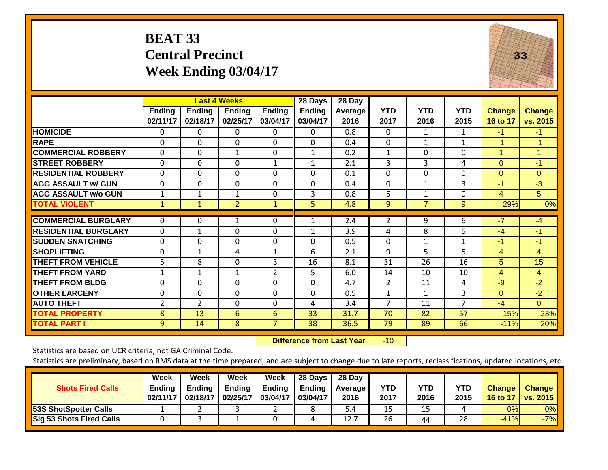# **BEAT 33 Central Precinct Week Ending 03/04/17**



|                             |                           |                           | <b>Last 4 Weeks</b>       |                           | 28 Days                   | 28 Day                 |                    |                    |                    |                           |                           |
|-----------------------------|---------------------------|---------------------------|---------------------------|---------------------------|---------------------------|------------------------|--------------------|--------------------|--------------------|---------------------------|---------------------------|
|                             | <b>Ending</b><br>02/11/17 | <b>Ending</b><br>02/18/17 | <b>Ending</b><br>02/25/17 | <b>Ending</b><br>03/04/17 | <b>Ending</b><br>03/04/17 | <b>Average</b><br>2016 | <b>YTD</b><br>2017 | <b>YTD</b><br>2016 | <b>YTD</b><br>2015 | <b>Change</b><br>16 to 17 | <b>Change</b><br>vs. 2015 |
| <b>HOMICIDE</b>             | $\Omega$                  | 0                         | $\mathbf{0}$              | $\Omega$                  | 0                         | 0.8                    | $\Omega$           | 1                  | 1                  | $-1$                      | $-1$                      |
| <b>RAPE</b>                 | $\Omega$                  | $\Omega$                  | $\Omega$                  | $\Omega$                  | $\Omega$                  | 0.4                    | $\Omega$           | 1                  | 1                  | $-1$                      | $-1$                      |
| <b>COMMERCIAL ROBBERY</b>   | $\Omega$                  | $\Omega$                  | $\mathbf{1}$              | $\Omega$                  | 1                         | 0.2                    | $\mathbf{1}$       | $\Omega$           | 0                  | $\blacktriangleleft$      | 1                         |
| <b>STREET ROBBERY</b>       | $\mathbf 0$               | $\mathbf 0$               | $\mathbf{0}$              | 1                         | $\mathbf{1}$              | 2.1                    | 3                  | 3                  | 4                  | $\Omega$                  | $-1$                      |
| <b>RESIDENTIAL ROBBERY</b>  | $\mathbf 0$               | $\Omega$                  | $\mathbf 0$               | $\mathbf 0$               | $\Omega$                  | 0.1                    | $\mathbf 0$        | $\mathbf 0$        | 0                  | $\Omega$                  | $\Omega$                  |
| <b>AGG ASSAULT w/ GUN</b>   | $\Omega$                  | $\Omega$                  | $\Omega$                  | $\Omega$                  | $\Omega$                  | 0.4                    | $\Omega$           | 1                  | 3                  | $-1$                      | $-3$                      |
| <b>AGG ASSAULT w/o GUN</b>  | 1                         | 1                         | 1                         | $\Omega$                  | 3                         | 0.8                    | 5                  | 1                  | 0                  | $\overline{4}$            | 5                         |
| <b>TOTAL VIOLENT</b>        | $\mathbf{1}$              | 1                         | $\overline{2}$            | $\mathbf{1}$              | 5                         | 4.8                    | 9                  | $\overline{7}$     | 9                  | 29%                       | 0%                        |
| <b>COMMERCIAL BURGLARY</b>  | 0                         | 0                         | 1                         | 0                         |                           | 2.4                    | 2                  | 9                  | 6                  | $-7$                      | $-4$                      |
| <b>RESIDENTIAL BURGLARY</b> | $\Omega$                  | 1                         | $\Omega$                  | $\Omega$                  |                           | 3.9                    | 4                  | 8                  | 5                  | $-4$                      | $-1$                      |
| <b>SUDDEN SNATCHING</b>     | $\Omega$                  | $\Omega$                  | $\Omega$                  | $\Omega$                  | $\Omega$                  | 0.5                    | $\Omega$           | $\mathbf{1}$       | 1                  | $-1$                      | $-1$                      |
| <b>SHOPLIFTING</b>          | $\Omega$                  | $\mathbf{1}$              | 4                         | $\mathbf{1}$              | 6                         | 2.1                    | 9                  | 5                  | 5                  | 4                         | $\overline{4}$            |
| <b>THEFT FROM VEHICLE</b>   | 5                         | 8                         | $\Omega$                  | 3                         | 16                        | 8.1                    | 31                 | 26                 | 16                 | 5                         | 15                        |
| <b>THEFT FROM YARD</b>      | 1                         | $\mathbf{1}$              | $\mathbf{1}$              | $\overline{2}$            | 5                         | 6.0                    | 14                 | 10                 | 10                 | 4                         | $\overline{4}$            |
| <b>THEFT FROM BLDG</b>      | 0                         | $\Omega$                  | 0                         | 0                         | $\Omega$                  | 4.7                    | 2                  | 11                 | 4                  | $-9$                      | $-2$                      |
| <b>OTHER LARCENY</b>        | 0                         | $\Omega$                  | $\Omega$                  | $\Omega$                  | $\Omega$                  | 0.5                    | $\mathbf{1}$       | 1                  | 3                  | $\Omega$                  | $-2$                      |
| <b>AUTO THEFT</b>           | 2                         | $\overline{2}$            | 0                         | $\Omega$                  | 4                         | 3.4                    | 7                  | 11                 | 7                  | $-4$                      | $\overline{0}$            |
| <b>TOTAL PROPERTY</b>       | 8                         | 13                        | 6                         | 6                         | 33                        | 31.7                   | 70                 | 82                 | 57                 | $-15%$                    | 23%                       |
| <b>TOTAL PART I</b>         | 9                         | 14                        | 8                         | $\overline{7}$            | 38                        | 36.5                   | 79                 | 89                 | 66                 | $-11%$                    | 20%                       |

 **Difference from Last Year**r -10

Statistics are based on UCR criteria, not GA Criminal Code.

| <b>Shots Fired Calls</b>        | Week<br><b>Ending</b><br>02/11/17 | Week<br><b>Ending</b><br>02/18/17 | Week<br><b>Ending</b><br>02/25/17 | Week<br><b>Ending</b><br>03/04/17 | 28 Days<br>Ending<br>03/04/17 | 28 Day<br><b>Average</b> II<br>2016 | YTD<br>2017 | <b>YTD</b><br>2016 | <b>YTD</b><br>2015 | <b>Change</b><br>16 to 17 | <b>Change</b><br><b>vs. 2015</b> |
|---------------------------------|-----------------------------------|-----------------------------------|-----------------------------------|-----------------------------------|-------------------------------|-------------------------------------|-------------|--------------------|--------------------|---------------------------|----------------------------------|
| <b>53S ShotSpotter Calls</b>    |                                   |                                   |                                   |                                   |                               | $5.4^{\circ}$                       | 15          | 15                 |                    | 0%                        | 0%                               |
| <b>Sig 53 Shots Fired Calls</b> |                                   |                                   |                                   |                                   | 4                             | 12.                                 | 26          | 44                 | 28                 | $-41%$                    | $-7%$                            |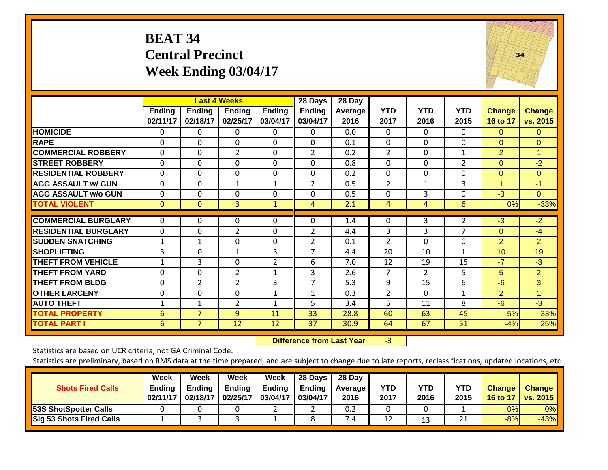# **BEAT 34 Central Precinct Week Ending 03/04/17**



|                             |                           |                           | <b>Last 4 Weeks</b>       |                           | 28 Days                   | 28 Day                 |                    |                    |                    |                           |                           |
|-----------------------------|---------------------------|---------------------------|---------------------------|---------------------------|---------------------------|------------------------|--------------------|--------------------|--------------------|---------------------------|---------------------------|
|                             | <b>Ending</b><br>02/11/17 | <b>Ending</b><br>02/18/17 | <b>Ending</b><br>02/25/17 | <b>Ending</b><br>03/04/17 | <b>Ending</b><br>03/04/17 | <b>Average</b><br>2016 | <b>YTD</b><br>2017 | <b>YTD</b><br>2016 | <b>YTD</b><br>2015 | <b>Change</b><br>16 to 17 | <b>Change</b><br>vs. 2015 |
| <b>HOMICIDE</b>             | 0                         | 0                         | 0                         | 0                         | 0                         | 0.0                    | $\Omega$           | 0                  | 0                  | $\Omega$                  | $\Omega$                  |
| <b>RAPE</b>                 | $\Omega$                  | $\Omega$                  | $\Omega$                  | $\Omega$                  | $\Omega$                  | 0.1                    | $\Omega$           | $\Omega$           | $\Omega$           | $\Omega$                  | $\Omega$                  |
| <b>COMMERCIAL ROBBERY</b>   | $\Omega$                  | $\Omega$                  | $\overline{2}$            | $\Omega$                  | $\overline{2}$            | 0.2                    | 2                  | 0                  | 1                  | $\overline{2}$            | $\mathbf{1}$              |
| <b>STREET ROBBERY</b>       | 0                         | $\mathbf 0$               | $\mathbf 0$               | $\mathbf 0$               | $\mathbf 0$               | 0.8                    | $\mathbf 0$        | 0                  | $\overline{2}$     | $\mathbf{0}$              | $-2$                      |
| <b>RESIDENTIAL ROBBERY</b>  | 0                         | 0                         | 0                         | 0                         | 0                         | 0.2                    | 0                  | 0                  | 0                  | $\Omega$                  | $\Omega$                  |
| <b>AGG ASSAULT w/ GUN</b>   | 0                         | 0                         | $\mathbf{1}$              | $\mathbf{1}$              | 2                         | 0.5                    | $\overline{2}$     | 1                  | 3                  | 1                         | $-1$                      |
| <b>AGG ASSAULT w/o GUN</b>  | 0                         | 0                         | $\Omega$                  | 0                         | 0                         | 0.5                    | 0                  | 3                  | 0                  | $-3$                      | $\overline{0}$            |
| <b>TOTAL VIOLENT</b>        | $\mathbf{0}$              | $\mathbf{0}$              | $\overline{3}$            | $\mathbf{1}$              | 4                         | 2.1                    | 4                  | 4                  | 6                  | 0%                        | $-33%$                    |
| <b>COMMERCIAL BURGLARY</b>  | $\Omega$                  | 0                         | 0                         | $\Omega$                  | 0                         | 1.4                    | 0                  | 3                  | 2                  | $-3$                      | $-2$                      |
| <b>RESIDENTIAL BURGLARY</b> | 0                         | 0                         | 2                         | $\Omega$                  | 2                         | 4.4                    | 3                  | 3                  | 7                  | $\Omega$                  | $-4$                      |
| <b>SUDDEN SNATCHING</b>     | $\mathbf{1}$              | $\mathbf{1}$              | $\Omega$                  | $\Omega$                  | $\overline{2}$            | 0.1                    | $\overline{2}$     | $\Omega$           | $\Omega$           | 2                         | $\overline{2}$            |
| SHOPLIFTING                 | 3                         | $\Omega$                  | 1                         | 3                         | $\overline{7}$            | 4.4                    | 20                 | 10                 | 1                  | 10                        | 19                        |
| <b>THEFT FROM VEHICLE</b>   | $\mathbf{1}$              | 3                         | $\Omega$                  | $\overline{2}$            | 6                         | 7.0                    | 12                 | 19                 | 15                 | $-7$                      | $-3$                      |
| <b>THEFT FROM YARD</b>      | 0                         | 0                         | $\overline{2}$            | $\mathbf{1}$              | 3                         | 2.6                    | 7                  | $\overline{2}$     | 5                  | 5                         | $\overline{2}$            |
| <b>THEFT FROM BLDG</b>      | 0                         | $\overline{2}$            | 2                         | 3                         | $\overline{7}$            | 5.3                    | 9                  | 15                 | 6                  | $-6$                      | 3                         |
| <b>OTHER LARCENY</b>        | 0                         | 0                         | 0                         | $\mathbf{1}$              | $\mathbf{1}$              | 0.3                    | 2                  | $\Omega$           | 1                  | $\overline{2}$            | $\blacktriangleleft$      |
| <b>AUTO THEFT</b>           | $\mathbf 1$               | $\mathbf{1}$              | $\overline{2}$            | $\mathbf{1}$              | 5                         | 3.4                    | 5                  | 11                 | 8                  | $-6$                      | $-3$                      |
| <b>TOTAL PROPERTY</b>       | 6                         | $\overline{7}$            | 9                         | 11                        | 33                        | 28.8                   | 60                 | 63                 | 45                 | $-5%$                     | 33%                       |
| <b>TOTAL PART I</b>         | 6                         | $\overline{7}$            | 12                        | 12                        | 37                        | 30.9                   | 64                 | 67                 | 51                 | $-4%$                     | 25%                       |

 **Difference from Last Year**r -3

Statistics are based on UCR criteria, not GA Criminal Code.

| <b>Shots Fired Calls</b>        | Week<br><b>Ending</b><br>02/11/17 | Week<br>Endina<br>02/18/17 | Week<br><b>Ending</b><br>02/25/17 | Week<br>Ending<br>03/04/17 03/04/17 | 28 Days<br><b>Ending</b> | 28 Day<br><b>Average II</b><br>2016 | YTD<br>2017 | YTD<br>2016 | <b>YTD</b><br>2015 | <b>Change</b><br>16 to 17 | <b>Change</b><br><b>vs. 2015</b> |
|---------------------------------|-----------------------------------|----------------------------|-----------------------------------|-------------------------------------|--------------------------|-------------------------------------|-------------|-------------|--------------------|---------------------------|----------------------------------|
| 53S ShotSpotter Calls           |                                   |                            |                                   | _                                   |                          | 0.2                                 |             |             |                    | 0%                        | 0%                               |
| <b>Sig 53 Shots Fired Calls</b> |                                   |                            |                                   |                                     |                          | ∕.4                                 | 12          | 13          | ำ 1<br>ᅀᅩ          | $-8%$                     | $-43%$                           |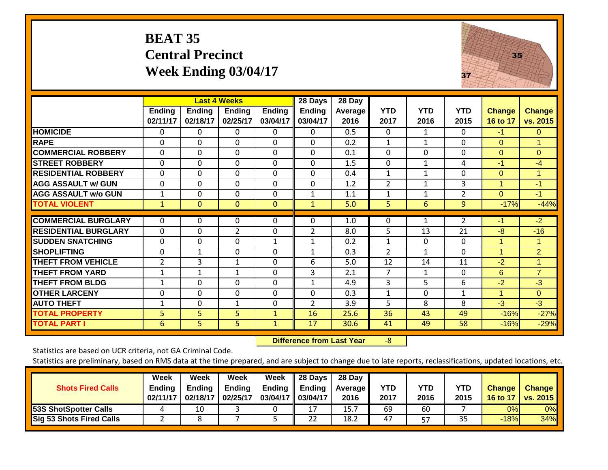# **BEAT 35 Central Precinct Week Ending 03/04/17**



|                             |                           |                           | <b>Last 4 Weeks</b>       |                           | 28 Days                   | 28 Day                 |                    |                    |                    |                           |                           |
|-----------------------------|---------------------------|---------------------------|---------------------------|---------------------------|---------------------------|------------------------|--------------------|--------------------|--------------------|---------------------------|---------------------------|
|                             | <b>Ending</b><br>02/11/17 | <b>Ending</b><br>02/18/17 | <b>Ending</b><br>02/25/17 | <b>Ending</b><br>03/04/17 | <b>Ending</b><br>03/04/17 | <b>Average</b><br>2016 | <b>YTD</b><br>2017 | <b>YTD</b><br>2016 | <b>YTD</b><br>2015 | <b>Change</b><br>16 to 17 | <b>Change</b><br>vs. 2015 |
| <b>HOMICIDE</b>             | 0                         | 0                         | 0                         | 0                         | 0                         | 0.5                    | $\mathbf{0}$       | 1                  | 0                  | $-1$                      | $\Omega$                  |
| <b>RAPE</b>                 | 0                         | $\Omega$                  | $\Omega$                  | 0                         | 0                         | 0.2                    | 1                  | 1                  | 0                  | $\Omega$                  | $\mathbf{1}$              |
| <b>COMMERCIAL ROBBERY</b>   | $\Omega$                  | $\Omega$                  | $\Omega$                  | $\Omega$                  | 0                         | 0.1                    | $\mathbf{0}$       | 0                  | $\Omega$           | $\Omega$                  | $\Omega$                  |
| <b>STREET ROBBERY</b>       | 0                         | $\Omega$                  | $\Omega$                  | $\Omega$                  | $\Omega$                  | 1.5                    | $\Omega$           | $\mathbf{1}$       | 4                  | $-1$                      | $-4$                      |
| <b>RESIDENTIAL ROBBERY</b>  | 0                         | 0                         | $\Omega$                  | 0                         | 0                         | 0.4                    | 1                  | $\mathbf{1}$       | 0                  | $\Omega$                  | $\mathbf 1$               |
| <b>AGG ASSAULT w/ GUN</b>   | 0                         | $\Omega$                  | $\Omega$                  | 0                         | $\Omega$                  | 1.2                    | 2                  | 1                  | 3                  | 1                         | $-1$                      |
| <b>AGG ASSAULT w/o GUN</b>  | 1                         | 0                         | $\Omega$                  | 0                         | 1                         | 1.1                    | 1                  | 1                  | $\overline{2}$     | $\Omega$                  | $-1$                      |
| <b>TOTAL VIOLENT</b>        | $\mathbf{1}$              | $\mathbf{0}$              | $\mathbf{0}$              | $\mathbf{0}$              | $\mathbf{1}$              | 5.0                    | 5                  | 6                  | 9                  | $-17%$                    | $-44%$                    |
| <b>COMMERCIAL BURGLARY</b>  | 0                         | 0                         | $\Omega$                  | 0                         | 0                         | 1.0                    | 0                  |                    | 2                  | -1                        | $-2$                      |
| <b>RESIDENTIAL BURGLARY</b> | 0                         | $\Omega$                  | $\overline{2}$            | 0                         | $\overline{2}$            | 8.0                    | 5                  | 13                 | 21                 | $-8$                      | $-16$                     |
| <b>SUDDEN SNATCHING</b>     | 0                         | 0                         | $\Omega$                  | $\mathbf{1}$              | $\mathbf{1}$              | 0.2                    | $\mathbf{1}$       | 0                  | $\Omega$           | 1                         | 1                         |
| <b>SHOPLIFTING</b>          | 0                         | $\mathbf{1}$              | $\Omega$                  | $\Omega$                  |                           | 0.3                    | 2                  | 1                  | $\Omega$           | 1                         | $\overline{2}$            |
| <b>THEFT FROM VEHICLE</b>   | $\overline{2}$            | 3                         | $\mathbf{1}$              | $\Omega$                  | 6                         | 5.0                    | 12                 | 14                 | 11                 | $-2$                      | $\blacktriangleleft$      |
| <b>THEFT FROM YARD</b>      |                           |                           |                           | $\Omega$                  | 3                         | 2.1                    | 7                  |                    | $\mathbf 0$        | 6                         | $\overline{7}$            |
|                             | 1                         | $\mathbf{1}$              | $\mathbf{1}$              |                           |                           |                        |                    | 1                  |                    |                           |                           |
| <b>THEFT FROM BLDG</b>      | 1                         | 0                         | $\Omega$                  | $\Omega$                  | $\mathbf{1}$              | 4.9                    | 3                  | 5                  | 6                  | $-2$                      | $-3$                      |
| <b>OTHER LARCENY</b>        | 0                         | $\Omega$                  | $\Omega$                  | $\Omega$                  | $\Omega$                  | 0.3                    | 1                  | $\Omega$           | 1                  | 1                         | $\Omega$                  |
| <b>AUTO THEFT</b>           | 1                         | 0                         | 1                         | 0                         | $\overline{2}$            | 3.9                    | 5                  | 8                  | 8                  | $-3$                      | $-3$                      |
| <b>TOTAL PROPERTY</b>       | 5                         | 5                         | 5                         | $\mathbf{1}$              | 16                        | 25.6                   | 36                 | 43                 | 49                 | $-16%$                    | $-27%$                    |
| <b>TOTAL PART I</b>         | 6                         | 5                         | 5                         | $\mathbf{1}$              | 17                        | 30.6                   | 41                 | 49                 | 58                 | $-16%$                    | $-29%$                    |

 **Difference from Last Year**‐8

Statistics are based on UCR criteria, not GA Criminal Code.

| <b>Shots Fired Calls</b>     | Week<br>Ending<br>02/11/17 | Week<br><b>Ending</b><br>02/18/17 | Week<br><b>Ending</b><br>02/25/17 | Week<br><b>Ending</b><br>03/04/17 | 28 Days<br><b>Ending</b><br>03/04/17 | 28 Day<br><b>Average</b><br>2016 | <b>YTD</b><br>2017 | <b>YTD</b><br>2016 | <b>YTD</b><br>2015 | <b>Change</b><br>16 to 17 | <b>Change</b><br><b>vs. 2015</b> |
|------------------------------|----------------------------|-----------------------------------|-----------------------------------|-----------------------------------|--------------------------------------|----------------------------------|--------------------|--------------------|--------------------|---------------------------|----------------------------------|
| <b>53S ShotSpotter Calls</b> |                            | 10                                |                                   |                                   | 17<br>∸ ≀                            | 15.7                             | 69                 | 60                 |                    | 0%                        | 0%                               |
| Sig 53 Shots Fired Calls     |                            |                                   |                                   |                                   | 22                                   | 18.2                             | 47                 | 57                 | 35                 | $-18%$                    | 34%                              |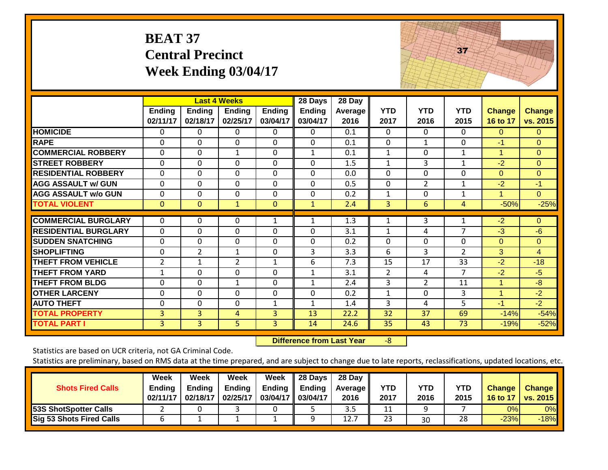| <b>BEAT 37</b>              |
|-----------------------------|
| <b>Central Precinct</b>     |
| <b>Week Ending 03/04/17</b> |



|                             |                           |                           | <b>Last 4 Weeks</b>       |                           | 28 Days            | 28 Day                 |                    |                    |                    |                           |                           |
|-----------------------------|---------------------------|---------------------------|---------------------------|---------------------------|--------------------|------------------------|--------------------|--------------------|--------------------|---------------------------|---------------------------|
|                             | <b>Ending</b><br>02/11/17 | <b>Ending</b><br>02/18/17 | <b>Ending</b><br>02/25/17 | <b>Ending</b><br>03/04/17 | Ending<br>03/04/17 | <b>Average</b><br>2016 | <b>YTD</b><br>2017 | <b>YTD</b><br>2016 | <b>YTD</b><br>2015 | <b>Change</b><br>16 to 17 | <b>Change</b><br>vs. 2015 |
| <b>HOMICIDE</b>             | $\Omega$                  | 0                         | 0                         | $\Omega$                  | $\Omega$           | 0.1                    | $\Omega$           | $\Omega$           | $\Omega$           | $\Omega$                  | $\Omega$                  |
| <b>RAPE</b>                 | $\Omega$                  | 0                         | 0                         | $\Omega$                  | $\Omega$           | 0.1                    | $\Omega$           | 1                  | $\Omega$           | $-1$                      | $\Omega$                  |
| <b>COMMERCIAL ROBBERY</b>   | $\mathbf 0$               | 0                         | $\mathbf{1}$              | $\mathbf 0$               | 1                  | 0.1                    | $\mathbf{1}$       | $\mathbf{0}$       | $\mathbf{1}$       | 1                         | $\overline{0}$            |
| <b>STREET ROBBERY</b>       | $\Omega$                  | 0                         | $\mathbf 0$               | $\mathbf 0$               | $\mathbf 0$        | 1.5                    | $\mathbf{1}$       | 3                  | $\mathbf{1}$       | $-2$                      | $\overline{0}$            |
| <b>RESIDENTIAL ROBBERY</b>  | $\Omega$                  | 0                         | $\Omega$                  | $\Omega$                  | $\Omega$           | 0.0                    | $\Omega$           | $\Omega$           | $\Omega$           | $\Omega$                  | $\Omega$                  |
| <b>AGG ASSAULT w/ GUN</b>   | $\mathbf{0}$              | 0                         | $\mathbf 0$               | $\mathbf 0$               | $\mathbf 0$        | 0.5                    | $\mathbf{0}$       | $\overline{2}$     | $\mathbf{1}$       | $-2$                      | $-1$                      |
| <b>AGG ASSAULT w/o GUN</b>  | $\mathbf 0$               | 0                         | $\mathbf 0$               | $\mathbf 0$               | $\mathbf 0$        | 0.2                    | $\mathbf{1}$       | $\mathbf{0}$       | $\mathbf{1}$       | 1                         | $\overline{0}$            |
| <b>TOTAL VIOLENT</b>        | $\overline{0}$            | $\Omega$                  | $\mathbf{1}$              | $\mathbf{0}$              | 1                  | 2.4                    | 3                  | 6                  | $\overline{4}$     | $-50%$                    | $-25%$                    |
| <b>COMMERCIAL BURGLARY</b>  | $\Omega$                  | 0                         | 0                         | 1                         |                    | 1.3                    | 1                  | 3                  | 1                  | $-2$                      | $\Omega$                  |
|                             |                           |                           |                           |                           |                    |                        |                    |                    | $\overline{7}$     |                           |                           |
| <b>RESIDENTIAL BURGLARY</b> | $\Omega$                  | 0                         | $\Omega$                  | $\Omega$                  | $\Omega$           | 3.1                    | $\mathbf{1}$       | 4                  |                    | $-3$                      | $-6$                      |
| <b>SUDDEN SNATCHING</b>     | $\mathbf 0$               | 0                         | 0                         | $\Omega$                  | $\mathbf 0$        | 0.2                    | $\Omega$           | $\mathbf{0}$       | $\Omega$           | $\Omega$                  | $\Omega$                  |
| <b>SHOPLIFTING</b>          | $\mathbf 0$               | $\overline{2}$            | $\mathbf{1}$              | $\mathbf 0$               | 3                  | 3.3                    | 6                  | $\overline{3}$     | $\overline{2}$     | $\overline{3}$            | $\overline{4}$            |
| <b>THEFT FROM VEHICLE</b>   | $\overline{2}$            | 1                         | $\overline{2}$            | $\mathbf{1}$              | 6                  | 7.3                    | 15                 | 17                 | 33                 | $-2$                      | $-18$                     |
| <b>THEFT FROM YARD</b>      | $\mathbf{1}$              | 0                         | 0                         | $\Omega$                  | 1                  | 3.1                    | $\overline{2}$     | 4                  | 7                  | $-2$                      | $-5$                      |
| <b>THEFT FROM BLDG</b>      | $\mathbf{0}$              | 0                         | $\mathbf{1}$              | $\Omega$                  | $\mathbf{1}$       | 2.4                    | 3                  | $\overline{2}$     | 11                 | 1                         | $-8$                      |
| <b>OTHER LARCENY</b>        | $\mathbf 0$               | 0                         | $\mathbf 0$               | $\mathbf 0$               | $\mathbf 0$        | 0.2                    | $\mathbf{1}$       | $\mathbf{0}$       | 3                  | 1                         | $-2$                      |
| <b>AUTO THEFT</b>           | $\mathbf{0}$              | 0                         | $\Omega$                  | $\mathbf{1}$              | $\mathbf{1}$       | 1.4                    | 3                  | 4                  | 5                  | $-1$                      | $-2$                      |
| <b>TOTAL PROPERTY</b>       | 3                         | 3                         | 4                         | $\overline{3}$            | 13                 | 22.2                   | 32                 | 37                 | 69                 | $-14%$                    | $-54%$                    |
| <b>TOTAL PART I</b>         | 3                         | 3                         | 5                         | 3                         | 14                 | 24.6                   | 35                 | 43                 | 73                 | $-19%$                    | $-52%$                    |

 **Difference from Last Year**‐8

Statistics are based on UCR criteria, not GA Criminal Code.

| <b>Shots Fired Calls</b>        | Week<br><b>Ending</b><br>02/11/17 | Week<br><b>Ending</b><br>02/18/17 | Week<br><b>Ending</b><br>02/25/17 | Week<br>Ending $\parallel$<br>03/04/17 03/04/17 | $\parallel$ 28 Days<br>Ending | 28 Day<br>Average II<br>2016 | YTD<br>2017 | YTD<br>2016 | <b>YTD</b><br>2015 | <b>Change</b><br>16 to 17 | <b>Change</b><br><b>vs. 2015</b> |
|---------------------------------|-----------------------------------|-----------------------------------|-----------------------------------|-------------------------------------------------|-------------------------------|------------------------------|-------------|-------------|--------------------|---------------------------|----------------------------------|
| <b>53S ShotSpotter Calls</b>    |                                   |                                   |                                   |                                                 |                               | 3.5                          | 11          |             |                    | 0%                        | $0\%$                            |
| <b>Sig 53 Shots Fired Calls</b> |                                   |                                   |                                   |                                                 |                               | 12.7                         | 23          | 30          | 28                 | $-23%$                    | $-18%$                           |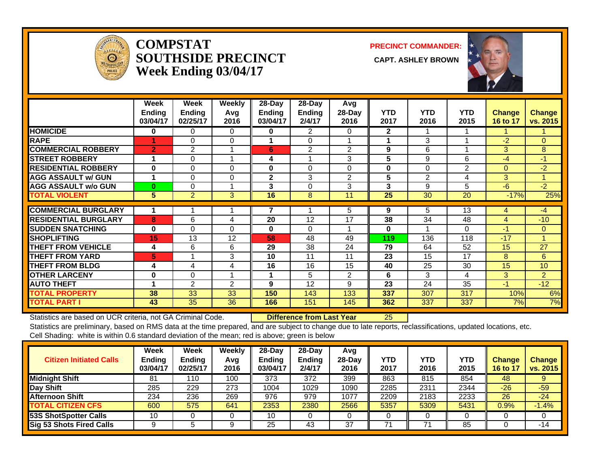

#### **COMPSTATSOUTHSIDE PRECINCT CAPT. ASHLEY BROWNWeek Ending 03/04/17**

**PRECINCT COMMANDER:**



|                             | Week<br><b>Ending</b><br>03/04/17 | Week<br>Ending<br>02/25/17 | Weekly<br>Avg<br>2016 | $28$ -Day<br>Ending<br>03/04/17 | $28$ -Day<br><b>Ending</b><br>2/4/17 | Avg<br>28-Day<br>2016 | <b>YTD</b><br>2017 | <b>YTD</b><br>2016 | <b>YTD</b><br>2015 | <b>Change</b><br>16 to 17 | <b>Change</b><br>vs. 2015 |
|-----------------------------|-----------------------------------|----------------------------|-----------------------|---------------------------------|--------------------------------------|-----------------------|--------------------|--------------------|--------------------|---------------------------|---------------------------|
| <b>HOMICIDE</b>             | 0                                 | 0                          | 0                     | 0                               | $\overline{2}$                       | $\Omega$              | $\mathbf{2}$       |                    |                    |                           |                           |
| <b>RAPE</b>                 |                                   | 0                          | $\mathbf{0}$          |                                 | 0                                    |                       | 1                  | 3                  |                    | $-2$                      | $\Omega$                  |
| <b>COMMERCIAL ROBBERY</b>   | $\overline{2}$                    | 2                          |                       | 6                               | 2                                    | $\overline{2}$        | 9                  | 6                  |                    | 3                         | 8                         |
| <b>STREET ROBBERY</b>       | 1                                 | 0                          |                       | 4                               |                                      | 3                     | 5                  | 9                  | 6                  | -4                        | $-1$                      |
| <b>RESIDENTIAL ROBBERY</b>  | 0                                 | 0                          | $\Omega$              | $\bf{0}$                        | $\Omega$                             | $\Omega$              | $\bf{0}$           | $\Omega$           | 2                  | $\Omega$                  | $-2$                      |
| <b>AGG ASSAULT w/ GUN</b>   | 1                                 | 0                          | 0                     | $\mathbf{2}$                    | 3                                    | 2                     | 5                  | $\overline{2}$     | 4                  | 3                         |                           |
| <b>AGG ASSAULT w/o GUN</b>  | $\bf{0}$                          | 0                          |                       | 3                               | 0                                    | 3                     | 3                  | 9                  | 5                  | -6                        | $-2$                      |
| <b>TOTAL VIOLENT</b>        | 5                                 | $\overline{2}$             | 3                     | 16                              | 8                                    | 11                    | 25                 | 30                 | 20                 | $-17%$                    | 25%                       |
| <b>COMMERCIAL BURGLARY</b>  | 1                                 |                            |                       |                                 |                                      | 5.                    | 9                  | 5                  | 13                 | 4                         | -4                        |
| <b>RESIDENTIAL BURGLARY</b> | 8                                 | 6                          | 4                     | 20                              | 12                                   | 17                    | 38                 | 34                 | 48                 | $\overline{4}$            | $-10$                     |
| <b>SUDDEN SNATCHING</b>     | $\bf{0}$                          | 0                          | $\mathbf{0}$          | $\bf{0}$                        | 0                                    |                       | 0                  |                    | $\Omega$           | $-1$                      | $\overline{0}$            |
| <b>SHOPLIFTING</b>          | 15                                | 13                         | 12                    | 58                              | 48                                   | 49                    | 119                | 136                | 118                | $-17$                     |                           |
| <b>THEFT FROM VEHICLE</b>   | 4                                 | 6                          | 6                     | 29                              | 38                                   | 24                    | 79                 | 64                 | 52                 | 15                        | 27                        |
| <b>THEFT FROM YARD</b>      | 5                                 |                            | 3                     | 10                              | 11                                   | 11                    | 23                 | 15                 | 17                 | 8                         | 6                         |
| <b>THEFT FROM BLDG</b>      | 4                                 | 4                          | 4                     | 16                              | 16                                   | 15                    | 40                 | 25                 | $\overline{30}$    | 15                        | 10                        |
| <b>OTHER LARCENY</b>        | 0                                 | 0                          |                       |                                 | 5                                    | $\overline{2}$        | 6                  | 3                  | 4                  | 3                         | $\overline{2}$            |
| <b>AUTO THEFT</b>           | 1                                 | $\overline{2}$             | 2                     | 9                               | 12                                   | 9                     | 23                 | 24                 | 35                 | $-1$                      | $-12$                     |
| <b>TOTAL PROPERTY</b>       | 38                                | 33                         | 33                    | 150                             | 143                                  | 133                   | 337                | 307                | 317                | 10%                       | 6%                        |
| <b>TOTAL PART I</b>         | 43                                | 35                         | 36                    | 166                             | 151                                  | 145                   | 362                | 337                | 337                | 7%                        | 7%                        |

Statistics are based on UCR criteria, not GA Criminal Code. **Difference from Last Year** 25

| <b>Citizen Initiated Calls</b>  | Week<br>Ending<br>03/04/17 | <b>Week</b><br>Ending<br>02/25/17 | Weekly<br>Avg<br>2016 | $28-Dav$<br><b>Ending</b><br>03/04/17 | 28-Dav<br><b>Ending</b><br>2/4/17 | Avg<br>$28-Day$<br>2016 | YTD<br>2017 | YTD<br>2016 | YTD<br>2015 | <b>Change</b><br>16 to 17 | <b>Change</b><br>vs. 2015 |
|---------------------------------|----------------------------|-----------------------------------|-----------------------|---------------------------------------|-----------------------------------|-------------------------|-------------|-------------|-------------|---------------------------|---------------------------|
| <b>Midnight Shift</b>           | 81                         | 110                               | 100                   | 373                                   | 372                               | 399                     | 863         | 815         | 854         | 48                        | 9                         |
| Day Shift                       | 285                        | 229                               | 273                   | 1004                                  | 1029                              | 1090                    | 2285        | 2311        | 2344        | $-26$                     | $-59$                     |
| <b>Afternoon Shift</b>          | 234                        | 236                               | 269                   | 976                                   | 979                               | 1077                    | 2209        | 2183        | 2233        | 26                        | $-24$                     |
| <b>TOTAL CITIZEN CFS</b>        | 600                        | 575                               | 641                   | 2353                                  | 2380                              | 2566                    | 5357        | 5309        | 5431        | 0.9%                      | $-1.4%$                   |
| <b>53S ShotSpotter Calls</b>    | 10                         |                                   |                       | 10                                    |                                   |                         | C           |             |             |                           | 0                         |
| <b>Sig 53 Shots Fired Calls</b> |                            |                                   |                       | 25                                    | 43                                | 37                      |             |             | 85          |                           | -14                       |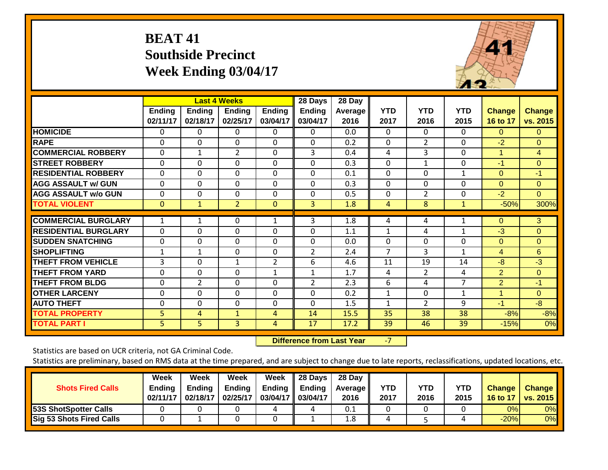# **BEAT 41 Southside Precinct Week Ending 03/04/17**



|                             |               |               | <b>Last 4 Weeks</b> |                | 28 Days        | 28 Day         |              |                |                |               |                |
|-----------------------------|---------------|---------------|---------------------|----------------|----------------|----------------|--------------|----------------|----------------|---------------|----------------|
|                             | <b>Ending</b> | <b>Ending</b> | <b>Ending</b>       | <b>Ending</b>  | <b>Ending</b>  | <b>Average</b> | <b>YTD</b>   | <b>YTD</b>     | <b>YTD</b>     | <b>Change</b> | <b>Change</b>  |
|                             | 02/11/17      | 02/18/17      | 02/25/17            | 03/04/17       | 03/04/17       | 2016           | 2017         | 2016           | 2015           | 16 to 17      | vs. 2015       |
| <b>HOMICIDE</b>             | 0             | 0             | 0                   | 0              | 0              | 0.0            | $\Omega$     | 0              | 0              | $\Omega$      | $\Omega$       |
| <b>RAPE</b>                 | 0             | $\Omega$      | $\Omega$            | 0              | $\Omega$       | 0.2            | $\Omega$     | $\overline{2}$ | $\Omega$       | $-2$          | $\Omega$       |
| <b>COMMERCIAL ROBBERY</b>   | 0             | 1             | $\overline{2}$      | $\Omega$       | 3              | 0.4            | 4            | 3              | $\Omega$       | 1             | $\overline{4}$ |
| <b>STREET ROBBERY</b>       | 0             | $\Omega$      | $\Omega$            | $\Omega$       | $\Omega$       | 0.3            | $\mathbf 0$  | $\mathbf{1}$   | 0              | $-1$          | $\Omega$       |
| <b>RESIDENTIAL ROBBERY</b>  | 0             | 0             | $\Omega$            | 0              | 0              | 0.1            | $\Omega$     | $\Omega$       | $\mathbf 1$    | $\Omega$      | $-1$           |
| <b>AGG ASSAULT w/ GUN</b>   | 0             | 0             | $\Omega$            | $\Omega$       | 0              | 0.3            | $\Omega$     | $\Omega$       | 0              | $\Omega$      | $\Omega$       |
| <b>AGG ASSAULT w/o GUN</b>  | 0             | 0             | $\Omega$            | $\Omega$       | 0              | 0.5            | $\mathbf{0}$ | $\overline{2}$ | 0              | $-2$          | $\Omega$       |
| <b>TOTAL VIOLENT</b>        | $\mathbf{0}$  | $\mathbf{1}$  | $\overline{2}$      | $\Omega$       | 3              | 1.8            | 4            | 8              | $\mathbf{1}$   | $-50%$        | 300%           |
|                             |               |               |                     |                |                |                |              |                |                |               |                |
| <b>COMMERCIAL BURGLARY</b>  | 1             |               | 0                   | 1              | 3              | 1.8            | 4            | 4              |                | $\mathbf{0}$  | 3              |
| <b>RESIDENTIAL BURGLARY</b> | 0             | $\Omega$      | $\Omega$            | $\Omega$       | $\Omega$       | 1.1            | 1            | 4              | 1              | $-3$          | $\Omega$       |
| <b>SUDDEN SNATCHING</b>     | 0             | 0             | $\Omega$            | $\Omega$       | 0              | 0.0            | $\Omega$     | $\Omega$       | 0              | $\Omega$      | $\Omega$       |
| <b>SHOPLIFTING</b>          | 1             | $\mathbf{1}$  | $\Omega$            | $\Omega$       | $\overline{2}$ | 2.4            | 7            | 3              | 1              | 4             | 6              |
| <b>THEFT FROM VEHICLE</b>   | 3             | $\Omega$      | 1                   | $\overline{2}$ | 6              | 4.6            | 11           | 19             | 14             | $-8$          | $-3$           |
| <b>THEFT FROM YARD</b>      | 0             | $\Omega$      | $\Omega$            | $\mathbf{1}$   | $\mathbf{1}$   | 1.7            | 4            | $\overline{2}$ | 4              | 2             | $\Omega$       |
| <b>THEFT FROM BLDG</b>      | 0             | 2             | $\Omega$            | $\Omega$       | $\overline{2}$ | 2.3            | 6            | 4              | $\overline{7}$ | 2             | $-1$           |
| <b>OTHER LARCENY</b>        | 0             | $\Omega$      | $\Omega$            | $\Omega$       | 0              | 0.2            | 1            | $\Omega$       | 1              | 1             | $\Omega$       |
| <b>AUTO THEFT</b>           | 0             | 0             | $\Omega$            | 0              | $\Omega$       | 1.5            | $\mathbf{1}$ | $\overline{2}$ | 9              | $-1$          | $-8$           |
| <b>TOTAL PROPERTY</b>       | 5             | 4             | $\mathbf{1}$        | $\overline{4}$ | 14             | 15.5           | 35           | 38             | 38             | $-8%$         | $-8%$          |
| <b>TOTAL PART I</b>         | 5             | 5             | $\overline{3}$      | 4              | 17             | 17.2           | 39           | 46             | 39             | $-15%$        | 0%             |

 **Difference from Last Year**

‐7

Statistics are based on UCR criteria, not GA Criminal Code.

| <b>Shots Fired Calls</b>        | Week<br><b>Ending</b><br>02/11/17 | Week<br>Endina<br>02/18/17 | Week<br><b>Ending</b><br>02/25/17 | Week<br>Ending<br>03/04/17 03/04/17 | 28 Days<br>Ending | 28 Day<br><b>Average II</b><br>2016 | YTD<br>2017 | YTD<br>2016 | <b>YTD</b><br>2015 | <b>Change</b><br>16 to 17 | <b>Change</b><br><b>vs. 2015</b> |
|---------------------------------|-----------------------------------|----------------------------|-----------------------------------|-------------------------------------|-------------------|-------------------------------------|-------------|-------------|--------------------|---------------------------|----------------------------------|
| 53S ShotSpotter Calls           |                                   |                            |                                   | ,,                                  |                   | 0.1                                 |             |             |                    | 0%                        | $0\%$                            |
| <b>Sig 53 Shots Fired Calls</b> |                                   |                            |                                   |                                     |                   | 1.8                                 |             |             |                    | $-20%$                    | 0%                               |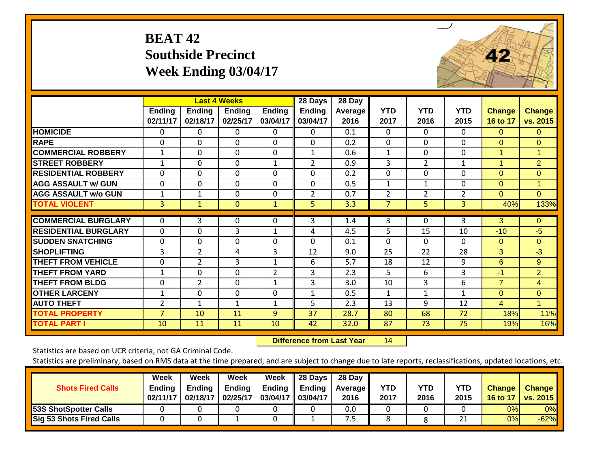# **BEAT 42 Southside Precinct Week Ending 03/04/17**



|                             |                           |                           | <b>Last 4 Weeks</b>       |                           | 28 Days                   | 28 Day                 |                    |                    |                    |                           |                           |
|-----------------------------|---------------------------|---------------------------|---------------------------|---------------------------|---------------------------|------------------------|--------------------|--------------------|--------------------|---------------------------|---------------------------|
|                             | <b>Ending</b><br>02/11/17 | <b>Ending</b><br>02/18/17 | <b>Ending</b><br>02/25/17 | <b>Ending</b><br>03/04/17 | <b>Ending</b><br>03/04/17 | <b>Average</b><br>2016 | <b>YTD</b><br>2017 | <b>YTD</b><br>2016 | <b>YTD</b><br>2015 | <b>Change</b><br>16 to 17 | <b>Change</b><br>vs. 2015 |
| <b>HOMICIDE</b>             | 0                         | 0                         | $\Omega$                  | $\Omega$                  | $\Omega$                  | 0.1                    | $\mathbf{0}$       | $\Omega$           | $\Omega$           | $\Omega$                  | $\Omega$                  |
| <b>RAPE</b>                 | 0                         | $\Omega$                  | $\Omega$                  | 0                         | $\Omega$                  | 0.2                    | $\mathbf{0}$       | $\Omega$           | $\Omega$           | $\Omega$                  | $\Omega$                  |
| <b>COMMERCIAL ROBBERY</b>   | $\mathbf{1}$              | 0                         | $\Omega$                  | $\Omega$                  | $\mathbf{1}$              | 0.6                    | $\mathbf{1}$       | 0                  | $\mathbf 0$        | 1                         | $\mathbf{1}$              |
| <b>STREET ROBBERY</b>       | 1                         | 0                         | $\Omega$                  | 1                         | $\overline{2}$            | 0.9                    | 3                  | $\overline{2}$     | 1                  | 1                         | $\overline{2}$            |
| <b>RESIDENTIAL ROBBERY</b>  | $\Omega$                  | 0                         | $\Omega$                  | $\Omega$                  | $\Omega$                  | 0.2                    | $\Omega$           | 0                  | $\Omega$           | $\Omega$                  | $\Omega$                  |
| <b>AGG ASSAULT w/ GUN</b>   | 0                         | $\mathbf 0$               | $\mathbf 0$               | $\mathbf 0$               | 0                         | 0.5                    | $\mathbf{1}$       | $\mathbf{1}$       | 0                  | $\Omega$                  | $\mathbf{1}$              |
| <b>AGG ASSAULT w/o GUN</b>  | $\mathbf 1$               | 1                         | $\Omega$                  | $\Omega$                  | 2                         | 0.7                    | $\overline{2}$     | $\overline{2}$     | $\overline{2}$     | $\Omega$                  | $\Omega$                  |
| <b>TOTAL VIOLENT</b>        | 3                         | $\mathbf{1}$              | $\Omega$                  | $\mathbf{1}$              | 5 <sup>1</sup>            | 3.3                    | 7                  | 5                  | 3                  | 40%                       | 133%                      |
| <b>COMMERCIAL BURGLARY</b>  | 0                         | 3                         | 0                         | 0                         | 3                         | 1.4                    | 3                  | 0                  | 3                  | 3                         | $\overline{0}$            |
| <b>RESIDENTIAL BURGLARY</b> | $\Omega$                  | $\Omega$                  | 3                         | $\mathbf{1}$              | 4                         | 4.5                    | 5                  | 15                 | 10                 | $-10$                     | $-5$                      |
| <b>SUDDEN SNATCHING</b>     | 0                         | $\mathbf 0$               | $\mathbf 0$               | $\mathbf 0$               | $\Omega$                  | 0.1                    | $\mathbf 0$        | $\Omega$           | $\Omega$           | $\Omega$                  | $\Omega$                  |
| <b>SHOPLIFTING</b>          | 3                         | $\overline{2}$            | 4                         | 3                         | 12                        | 9.0                    | 25                 | 22                 | 28                 | $\overline{3}$            | $-3$                      |
| <b>THEFT FROM VEHICLE</b>   | 0                         | $\overline{2}$            | 3                         | $\mathbf{1}$              | 6                         | 5.7                    | 18                 | 12                 | 9                  | 6                         | 9                         |
| <b>THEFT FROM YARD</b>      | 1                         | 0                         | $\Omega$                  | $\overline{2}$            | 3                         | 2.3                    | 5                  | 6                  | 3                  | -1                        | $\overline{2}$            |
| <b>THEFT FROM BLDG</b>      | 0                         | $\overline{2}$            | $\Omega$                  | $\mathbf{1}$              | 3                         | 3.0                    | 10                 | 3                  | 6                  | $\overline{7}$            | $\overline{4}$            |
| <b>OTHER LARCENY</b>        | $\mathbf 1$               | 0                         | $\mathbf 0$               | $\mathbf 0$               | $\mathbf{1}$              | 0.5                    | 1                  | $\mathbf{1}$       | 1                  | $\Omega$                  | $\overline{0}$            |
| <b>AUTO THEFT</b>           | $\overline{2}$            | 1                         | $\mathbf{1}$              | $\mathbf{1}$              | 5                         | 2.3                    | 13                 | 9                  | 12                 | 4                         | 1                         |
| <b>TOTAL PROPERTY</b>       | $\overline{7}$            | 10                        | 11                        | 9                         | 37                        | 28.7                   | 80                 | 68                 | 72                 | 18%                       | 11%                       |
| <b>TOTAL PART I</b>         | 10                        | 11                        | 11                        | 10                        | 42                        | 32.0                   | 87                 | 73                 | 75                 | 19%                       | 16%                       |

 **Difference from Last Year**r 14

Statistics are based on UCR criteria, not GA Criminal Code.

| <b>Shots Fired Calls</b>        | Week<br><b>Ending</b><br>02/11/17 | Week<br><b>Ending</b><br>02/18/17 | Week<br><b>Ending</b><br>02/25/17 | Week<br>Ending $\parallel$<br>03/04/17 03/04/17 | $\parallel$ 28 Days<br>Ending | 28 Day<br>Average II<br>2016 | YTD<br>2017 | YTD<br>2016 | YTD<br>2015 | <b>Change</b><br>16 to 17 | <b>Change</b><br><b>vs. 2015</b> |
|---------------------------------|-----------------------------------|-----------------------------------|-----------------------------------|-------------------------------------------------|-------------------------------|------------------------------|-------------|-------------|-------------|---------------------------|----------------------------------|
| 53S ShotSpotter Calls           |                                   |                                   |                                   |                                                 |                               | 0.0                          |             |             |             | 0%                        | $0\%$                            |
| <b>Sig 53 Shots Fired Calls</b> |                                   |                                   |                                   |                                                 |                               | כ. י                         |             |             | ີ່          | 0%                        | $-62%$                           |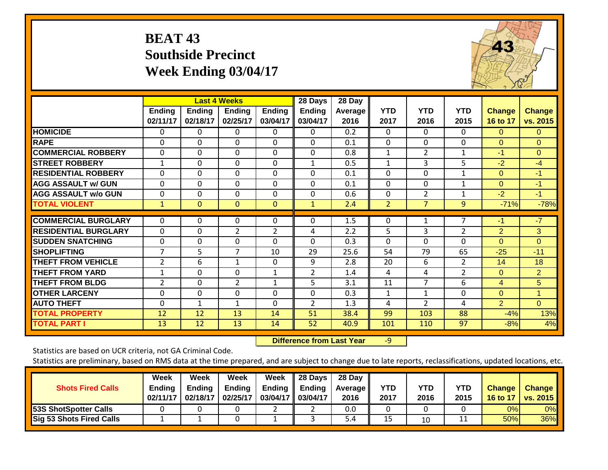## **BEAT 43 Southside Precinct Week Ending 03/04/17**



|                             |                    |                           | <b>Last 4 Weeks</b>       |                           | 28 Days            | 28 Day          |                    |                    |                    |                           |                           |
|-----------------------------|--------------------|---------------------------|---------------------------|---------------------------|--------------------|-----------------|--------------------|--------------------|--------------------|---------------------------|---------------------------|
|                             | Ending<br>02/11/17 | <b>Ending</b><br>02/18/17 | <b>Ending</b><br>02/25/17 | <b>Ending</b><br>03/04/17 | Ending<br>03/04/17 | Average<br>2016 | <b>YTD</b><br>2017 | <b>YTD</b><br>2016 | <b>YTD</b><br>2015 | <b>Change</b><br>16 to 17 | <b>Change</b><br>vs. 2015 |
| <b>HOMICIDE</b>             | 0                  | 0                         | $\Omega$                  | 0                         | 0                  | 0.2             | $\mathbf{0}$       | $\Omega$           | 0                  | $\Omega$                  | 0                         |
| <b>RAPE</b>                 | $\Omega$           | $\Omega$                  | $\Omega$                  | $\Omega$                  | $\Omega$           | 0.1             | $\Omega$           | $\Omega$           | $\Omega$           | $\Omega$                  | $\Omega$                  |
| <b>COMMERCIAL ROBBERY</b>   | $\Omega$           | $\Omega$                  | $\mathbf 0$               | $\Omega$                  | $\mathbf 0$        | 0.8             | 1                  | $\overline{2}$     | 1                  | -1                        | $\Omega$                  |
| <b>STREET ROBBERY</b>       | $\mathbf 1$        | $\mathbf 0$               | $\mathbf 0$               | $\mathbf 0$               | $\mathbf{1}$       | 0.5             | $\mathbf{1}$       | 3                  | 5                  | $-2$                      | $-4$                      |
| <b>RESIDENTIAL ROBBERY</b>  | $\Omega$           | 0                         | $\Omega$                  | $\Omega$                  | $\Omega$           | 0.1             | $\Omega$           | 0                  | $\mathbf{1}$       | $\Omega$                  | $-1$                      |
| <b>AGG ASSAULT w/ GUN</b>   | $\Omega$           | $\Omega$                  | $\Omega$                  | $\Omega$                  | $\Omega$           | 0.1             | $\Omega$           | 0                  | $\mathbf 1$        | $\Omega$                  | $-1$                      |
| <b>AGG ASSAULT w/o GUN</b>  | $\Omega$           | $\Omega$                  | $\Omega$                  | 0                         | $\Omega$           | 0.6             | $\Omega$           | 2                  | 1                  | $-2$                      | $-1$                      |
| <b>TOTAL VIOLENT</b>        | 1                  | $\mathbf{0}$              | $\mathbf{0}$              | 0                         | $\mathbf{1}$       | 2.4             | $\overline{2}$     | $\overline{7}$     | 9                  | $-71%$                    | $-78%$                    |
| <b>COMMERCIAL BURGLARY</b>  | $\Omega$           | $\Omega$                  | $\Omega$                  | $\Omega$                  | $\Omega$           | 1.5             | 0                  |                    | 7                  | $-1$                      | $-7$                      |
| <b>RESIDENTIAL BURGLARY</b> | $\Omega$           | $\Omega$                  | $\overline{2}$            | $\overline{2}$            | 4                  | 2.2             | 5                  | 3                  | $\overline{2}$     | $\overline{2}$            | 3                         |
| <b>SUDDEN SNATCHING</b>     | 0                  | 0                         | 0                         | 0                         | $\Omega$           | 0.3             | $\Omega$           | $\Omega$           | 0                  | $\Omega$                  | $\Omega$                  |
| <b>SHOPLIFTING</b>          | 7                  | 5                         | 7                         | 10                        | 29                 | 25.6            | 54                 | 79                 | 65                 | $-25$                     | $-11$                     |
| <b>THEFT FROM VEHICLE</b>   | $\overline{2}$     | 6                         | $\mathbf{1}$              | $\Omega$                  | 9                  | 2.8             | 20                 | 6                  | $\overline{2}$     | 14                        | 18                        |
| <b>THEFT FROM YARD</b>      | $\mathbf 1$        | $\Omega$                  | $\Omega$                  | $\mathbf{1}$              | $\overline{2}$     | 1.4             | 4                  | 4                  | $\overline{2}$     | $\Omega$                  | $\overline{2}$            |
| <b>THEFT FROM BLDG</b>      | 2                  | $\mathbf 0$               | $\overline{2}$            | $\mathbf{1}$              | 5                  | 3.1             | 11                 | $\overline{7}$     | 6                  | $\overline{4}$            | 5                         |
| <b>OTHER LARCENY</b>        | 0                  | 0                         | $\mathbf{0}$              | 0                         | $\Omega$           | 0.3             | 1                  | $\mathbf{1}$       | 0                  | $\Omega$                  | 1                         |
| <b>AUTO THEFT</b>           | $\Omega$           | 1                         | $\mathbf{1}$              | 0                         | $\overline{2}$     | 1.3             | 4                  | $\overline{2}$     | 4                  | 2                         | $\Omega$                  |
| <b>TOTAL PROPERTY</b>       | 12                 | 12                        | 13                        | 14                        | 51                 | 38.4            | 99                 | 103                | 88                 | $-4%$                     | 13%                       |
| <b>TOTAL PART I</b>         | 13                 | 12                        | 13                        | 14                        | 52                 | 40.9            | 101                | 110                | 97                 | $-8%$                     | 4%                        |

 **Difference from Last Year**r -9

Statistics are based on UCR criteria, not GA Criminal Code.

| <b>Shots Fired Calls</b>        | Week<br>Ending<br>02/11/17 | Week<br><b>Ending</b><br>02/18/17 | Week<br><b>Ending</b><br>02/25/17 | Week<br><b>Ending</b><br>03/04/17 | 28 Days<br><b>Ending</b><br>03/04/17 | 28 Day<br><b>Average</b><br>2016 | <b>YTD</b><br>2017 | <b>YTD</b><br>2016 | <b>YTD</b><br>2015 | <b>Change</b><br>16 to 17 | <b>Change</b><br><b>vs. 2015</b> |
|---------------------------------|----------------------------|-----------------------------------|-----------------------------------|-----------------------------------|--------------------------------------|----------------------------------|--------------------|--------------------|--------------------|---------------------------|----------------------------------|
| <b>53S ShotSpotter Calls</b>    |                            |                                   |                                   |                                   |                                      | 0.0                              |                    |                    |                    | 0%                        | 0%                               |
| <b>Sig 53 Shots Fired Calls</b> |                            |                                   |                                   |                                   |                                      | 5.4                              | 15                 | 10                 | ᆠ                  | 50%                       | 36%                              |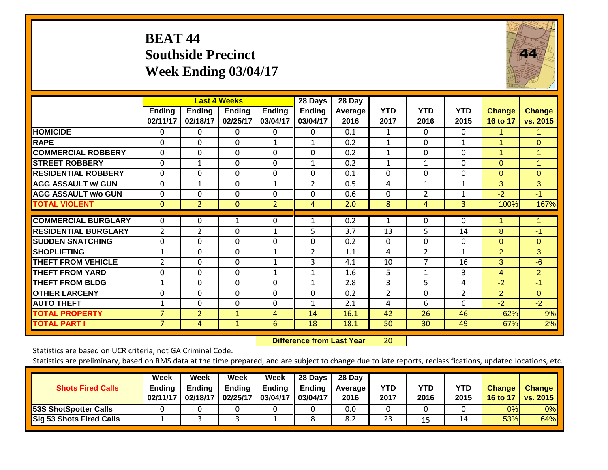# **BEAT 44 Southside Precinct Week Ending 03/04/17**



|                              |                    |                    | <b>Last 4 Weeks</b>       |                           | 28 Days                   | 28 Day          |                    |                    |                    |                           |                           |
|------------------------------|--------------------|--------------------|---------------------------|---------------------------|---------------------------|-----------------|--------------------|--------------------|--------------------|---------------------------|---------------------------|
|                              | Ending<br>02/11/17 | Ending<br>02/18/17 | <b>Ending</b><br>02/25/17 | <b>Ending</b><br>03/04/17 | <b>Ending</b><br>03/04/17 | Average<br>2016 | <b>YTD</b><br>2017 | <b>YTD</b><br>2016 | <b>YTD</b><br>2015 | <b>Change</b><br>16 to 17 | <b>Change</b><br>vs. 2015 |
| <b>HOMICIDE</b>              | $\Omega$           | 0                  | $\Omega$                  | $\Omega$                  | 0                         | 0.1             | $\mathbf{1}$       | $\Omega$           | 0                  | 1.                        |                           |
| <b>RAPE</b>                  | $\Omega$           | $\Omega$           | $\Omega$                  | 1                         | 1                         | 0.2             | 1                  | $\Omega$           | 1                  | 1                         | $\Omega$                  |
| <b>COMMERCIAL ROBBERY</b>    | $\Omega$           | $\Omega$           | $\Omega$                  | $\Omega$                  | 0                         | 0.2             | $\mathbf{1}$       | $\Omega$           | $\Omega$           | $\mathbf{1}$              | $\mathbf{1}$              |
| <b>STREET ROBBERY</b>        | $\Omega$           | $\mathbf{1}$       | $\mathbf 0$               | $\Omega$                  | 1                         | 0.2             | 1                  | $\mathbf{1}$       | 0                  | $\Omega$                  | $\mathbf{1}$              |
| <b>RESIDENTIAL ROBBERY</b>   | $\Omega$           | 0                  | $\mathbf 0$               | $\Omega$                  | 0                         | 0.1             | $\mathbf 0$        | $\mathbf 0$        | $\mathbf 0$        | $\Omega$                  | $\overline{0}$            |
| <b>AGG ASSAULT w/ GUN</b>    | $\Omega$           | $\mathbf{1}$       | $\Omega$                  | $\mathbf{1}$              | $\overline{2}$            | 0.5             | 4                  | $\mathbf{1}$       | $\mathbf{1}$       | 3                         | 3                         |
| <b>AGG ASSAULT w/o GUN</b>   | $\Omega$           | $\mathbf 0$        | $\Omega$                  | $\Omega$                  | 0                         | 0.6             | $\Omega$           | $\overline{2}$     | 1                  | $-2$                      | $-1$                      |
| <b>TOTAL VIOLENT</b>         | $\mathbf{0}$       | $\overline{2}$     | $\mathbf{0}$              | $\overline{2}$            | 4                         | 2.0             | 8                  | 4                  | 3                  | 100%                      | 167%                      |
|                              |                    |                    |                           |                           |                           |                 |                    |                    |                    |                           |                           |
| <b>COMMERCIAL BURGLARY</b>   | 0                  | 0                  | 1                         | 0                         |                           | 0.2             | 1                  | $\Omega$           | $\Omega$           | 1                         |                           |
| <b>IRESIDENTIAL BURGLARY</b> | $\overline{2}$     | $\overline{2}$     | $\Omega$                  | $\mathbf{1}$              | 5                         | 3.7             | 13                 | 5                  | 14                 | 8                         | $-1$                      |
| <b>SUDDEN SNATCHING</b>      | $\Omega$           | $\mathbf 0$        | $\Omega$                  | $\Omega$                  | $\mathbf 0$               | 0.2             | $\Omega$           | $\mathbf 0$        | $\mathbf{0}$       | $\Omega$                  | $\Omega$                  |
| <b>SHOPLIFTING</b>           | 1                  | $\Omega$           | $\Omega$                  | $\mathbf{1}$              | $\overline{2}$            | 1.1             | 4                  | $\overline{2}$     | 1                  | 2                         | 3                         |
| <b>THEFT FROM VEHICLE</b>    | $\overline{2}$     | $\Omega$           | $\Omega$                  | $\mathbf{1}$              | 3                         | 4.1             | 10                 | 7                  | 16                 | 3                         | $-6$                      |
| <b>THEFT FROM YARD</b>       | $\Omega$           | 0                  | $\mathbf 0$               | $\mathbf{1}$              | $\mathbf{1}$              | 1.6             | 5                  | $\mathbf{1}$       | 3                  | 4                         | $\overline{2}$            |
| <b>THEFT FROM BLDG</b>       | 1                  | $\mathbf 0$        | $\mathbf 0$               | $\Omega$                  | $\mathbf{1}$              | 2.8             | 3                  | 5                  | 4                  | $-2$                      | $-1$                      |
| <b>OTHER LARCENY</b>         | $\Omega$           | $\Omega$           | $\Omega$                  | $\Omega$                  | $\Omega$                  | 0.2             | 2                  | $\Omega$           | $\overline{2}$     | 2                         | $\Omega$                  |
| <b>AUTO THEFT</b>            | 1                  | $\Omega$           | $\Omega$                  | $\Omega$                  | 1                         | 2.1             | 4                  | 6                  | 6                  | $-2$                      | $-2$                      |
| <b>TOTAL PROPERTY</b>        | $\overline{7}$     | $\overline{2}$     | $\mathbf{1}$              | 4                         | 14                        | 16.1            | 42                 | 26                 | 46                 | 62%                       | $-9%$                     |
| <b>TOTAL PART I</b>          | $\overline{7}$     | 4                  | $\mathbf{1}$              | 6                         | 18                        | 18.1            | 50                 | 30                 | 49                 | 67%                       | 2%                        |

 **Difference from Last Year**r 20

Statistics are based on UCR criteria, not GA Criminal Code.

| <b>Shots Fired Calls</b>        | Week<br><b>Ending</b><br>02/11/17 | Week<br><b>Ending</b><br>02/18/17 | Week<br><b>Ending</b><br>02/25/17 | Week<br><b>Ending</b><br>03/04/17 | 28 Days<br>Ending<br>03/04/17 | 28 Day<br><b>Average II</b><br>2016 | YTD<br>2017 | <b>YTD</b><br>2016 | <b>YTD</b><br>2015 | <b>Change</b><br>16 to 17 | <b>Change</b><br><b>vs. 2015</b> |
|---------------------------------|-----------------------------------|-----------------------------------|-----------------------------------|-----------------------------------|-------------------------------|-------------------------------------|-------------|--------------------|--------------------|---------------------------|----------------------------------|
| <b>53S ShotSpotter Calls</b>    |                                   |                                   |                                   |                                   |                               | 0.0                                 |             |                    |                    | 0%                        | 0%                               |
| <b>Sig 53 Shots Fired Calls</b> |                                   |                                   |                                   |                                   |                               | 8.2                                 | 23          | 15                 | 14                 | 53%                       | 64%                              |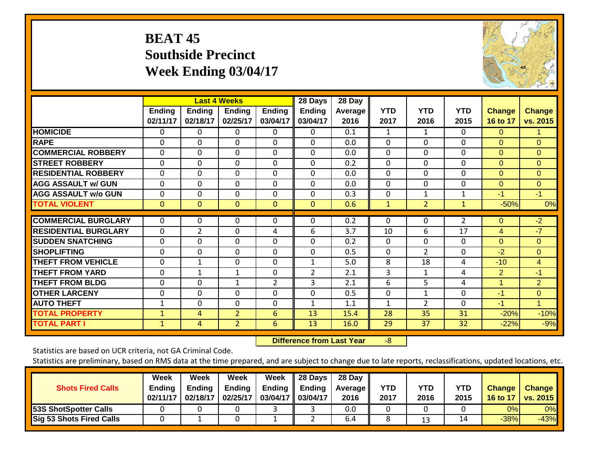# **BEAT 45 Southside Precinct Week Ending 03/04/17**



|                             |                    |                           | <b>Last 4 Weeks</b> |                           | 28 Days                   | 28 Day                 |                    |                    |                    |                           |                           |
|-----------------------------|--------------------|---------------------------|---------------------|---------------------------|---------------------------|------------------------|--------------------|--------------------|--------------------|---------------------------|---------------------------|
|                             | Ending<br>02/11/17 | <b>Ending</b><br>02/18/17 | Ending<br>02/25/17  | <b>Ending</b><br>03/04/17 | <b>Ending</b><br>03/04/17 | <b>Average</b><br>2016 | <b>YTD</b><br>2017 | <b>YTD</b><br>2016 | <b>YTD</b><br>2015 | <b>Change</b><br>16 to 17 | <b>Change</b><br>vs. 2015 |
| <b>HOMICIDE</b>             | 0                  | 0                         | $\Omega$            | $\Omega$                  | 0                         | 0.1                    | 1                  | 1                  | $\Omega$           | $\Omega$                  | 1                         |
| <b>RAPE</b>                 | $\Omega$           | $\Omega$                  | $\mathbf 0$         | $\Omega$                  | $\mathbf 0$               | 0.0                    | $\Omega$           | $\Omega$           | $\Omega$           | $\Omega$                  | $\overline{0}$            |
| <b>COMMERCIAL ROBBERY</b>   | $\Omega$           | $\Omega$                  | $\mathbf 0$         | $\Omega$                  | $\Omega$                  | 0.0                    | $\Omega$           | $\Omega$           | 0                  | $\Omega$                  | $\Omega$                  |
| <b>STREET ROBBERY</b>       | $\mathbf{0}$       | $\mathbf 0$               | $\mathbf 0$         | $\Omega$                  | $\mathbf 0$               | 0.2                    | $\Omega$           | $\Omega$           | $\mathbf 0$        | $\Omega$                  | $\Omega$                  |
| <b>RESIDENTIAL ROBBERY</b>  | $\Omega$           | 0                         | $\Omega$            | 0                         | $\mathbf 0$               | 0.0                    | 0                  | $\mathbf{0}$       | $\Omega$           | $\Omega$                  | $\Omega$                  |
| <b>AGG ASSAULT w/ GUN</b>   | $\Omega$           | 0                         | $\mathbf{0}$        | $\Omega$                  | 0                         | 0.0                    | $\Omega$           | $\Omega$           | $\mathbf{0}$       | $\Omega$                  | $\Omega$                  |
| <b>AGG ASSAULT w/o GUN</b>  | $\Omega$           | $\Omega$                  | $\Omega$            | $\Omega$                  | $\Omega$                  | 0.3                    | $\Omega$           | $\mathbf{1}$       | $\mathbf{1}$       | $-1$                      | $-1$                      |
| <b>TOTAL VIOLENT</b>        | $\mathbf{0}$       | $\mathbf{0}$              | $\mathbf{0}$        | $\Omega$                  | $\overline{0}$            | 0.6                    | $\mathbf{1}$       | $\overline{2}$     | $\mathbf{1}$       | $-50%$                    | 0%                        |
| <b>COMMERCIAL BURGLARY</b>  | $\Omega$           | $\Omega$                  | $\Omega$            | $\Omega$                  | $\Omega$                  | 0.2                    | 0                  | $\Omega$           | $\overline{2}$     | $\Omega$                  | $-2$                      |
| <b>RESIDENTIAL BURGLARY</b> | $\Omega$           | $\overline{2}$            | $\Omega$            | 4                         | 6                         | 3.7                    | 10                 | 6                  | 17                 | 4                         | $-7$                      |
| <b>SUDDEN SNATCHING</b>     | $\Omega$           | $\Omega$                  | $\Omega$            | 0                         | $\Omega$                  | 0.2                    | 0                  | $\Omega$           | $\Omega$           | $\Omega$                  | $\Omega$                  |
| <b>SHOPLIFTING</b>          | 0                  | $\Omega$                  | $\Omega$            | 0                         | 0                         | 0.5                    | $\Omega$           | $\overline{2}$     | $\Omega$           | $-2$                      | $\overline{0}$            |
| <b>THEFT FROM VEHICLE</b>   | $\Omega$           | 1                         | $\Omega$            | $\Omega$                  | 1                         | 5.0                    | 8                  | 18                 | 4                  | $-10$                     | $\overline{4}$            |
| <b>THEFT FROM YARD</b>      | $\Omega$           | $\mathbf{1}$              | $\mathbf{1}$        | $\Omega$                  | $\overline{2}$            | 2.1                    | 3                  | 1                  | 4                  | $\overline{2}$            | $-1$                      |
| <b>THEFT FROM BLDG</b>      | 0                  | 0                         | $\mathbf{1}$        | $\overline{2}$            | 3                         | 2.1                    | 6                  | 5                  | 4                  | 1                         | $\overline{2}$            |
| <b>OTHER LARCENY</b>        | $\Omega$           | $\Omega$                  | $\mathbf{0}$        | $\Omega$                  | $\Omega$                  | 0.5                    | 0                  | 1                  | $\Omega$           | $-1$                      | $\Omega$                  |
| <b>AUTO THEFT</b>           | 1                  | $\Omega$                  | $\Omega$            | $\Omega$                  | 1                         | 1.1                    | 1                  | $\overline{2}$     | $\Omega$           | $-1$                      | 1                         |
| <b>TOTAL PROPERTY</b>       | 1                  | 4                         | $\overline{2}$      | 6                         | 13                        | 15.4                   | 28                 | 35                 | 31                 | $-20%$                    | $-10%$                    |
| <b>TOTAL PART I</b>         | $\mathbf{1}$       | $\overline{4}$            | 2 <sup>1</sup>      | 6                         | 13                        | 16.0                   | 29                 | 37                 | 32                 | $-22%$                    | $-9%$                     |

 **Difference from Last Year**‐8

Statistics are based on UCR criteria, not GA Criminal Code.

| <b>Shots Fired Calls</b>        | Week<br><b>Ending</b><br>02/11/17 | Week<br>Endina<br>02/18/17 | Week<br><b>Ending</b><br>02/25/17 | Week<br>Ending<br>03/04/17 03/04/17 | 28 Days<br><b>Ending</b> | 28 Day<br><b>Average II</b><br>2016 | YTD<br>2017 | YTD<br>2016 | <b>YTD</b><br>2015 | <b>Change</b><br>16 to 17 | <b>Change</b><br><b>vs. 2015</b> |
|---------------------------------|-----------------------------------|----------------------------|-----------------------------------|-------------------------------------|--------------------------|-------------------------------------|-------------|-------------|--------------------|---------------------------|----------------------------------|
| 53S ShotSpotter Calls           |                                   |                            |                                   |                                     |                          | 0.0                                 |             |             |                    | 0%                        | 0%                               |
| <b>Sig 53 Shots Fired Calls</b> |                                   |                            |                                   |                                     |                          | 6.4                                 |             | 13          | 14                 | $-38%$                    | $-43%$                           |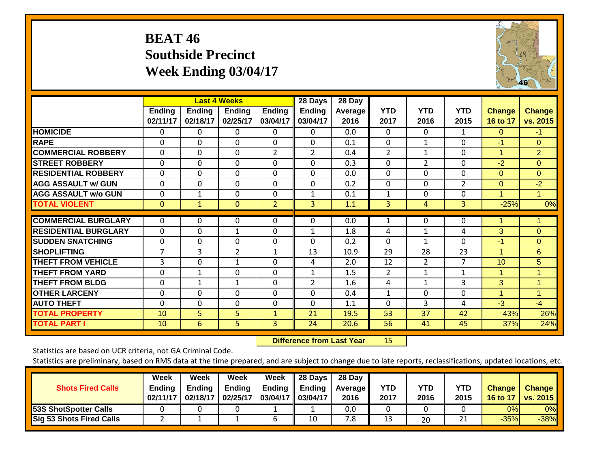# **BEAT 46 Southside Precinct Week Ending 03/04/17**



|                             |               |               | <b>Last 4 Weeks</b> |                | 28 Days        | 28 Day         |                |                |                |                 |                |
|-----------------------------|---------------|---------------|---------------------|----------------|----------------|----------------|----------------|----------------|----------------|-----------------|----------------|
|                             | <b>Ending</b> | <b>Ending</b> | <b>Ending</b>       | <b>Ending</b>  | <b>Ending</b>  | <b>Average</b> | <b>YTD</b>     | <b>YTD</b>     | <b>YTD</b>     | <b>Change</b>   | <b>Change</b>  |
|                             | 02/11/17      | 02/18/17      | 02/25/17            | 03/04/17       | 03/04/17       | 2016           | 2017           | 2016           | 2015           | 16 to 17        | vs. 2015       |
| <b>HOMICIDE</b>             | 0             | $\Omega$      | 0                   | 0              | $\Omega$       | 0.0            | $\Omega$       | $\Omega$       | 1              | $\Omega$        | $-1$           |
| <b>RAPE</b>                 | 0             | $\Omega$      | $\Omega$            | 0              | $\Omega$       | 0.1            | $\mathbf{0}$   | $\mathbf{1}$   | $\Omega$       | $-1$            | $\Omega$       |
| <b>COMMERCIAL ROBBERY</b>   | $\Omega$      | $\Omega$      | $\Omega$            | $\overline{2}$ | $\overline{2}$ | 0.4            | $\overline{2}$ | $\mathbf{1}$   | $\Omega$       | 1               | $\overline{2}$ |
| <b>STREET ROBBERY</b>       | 0             | 0             | $\Omega$            | 0              | 0              | 0.3            | $\Omega$       | $\overline{2}$ | $\Omega$       | $-2$            | $\Omega$       |
| <b>RESIDENTIAL ROBBERY</b>  | 0             | 0             | $\Omega$            | 0              | 0              | 0.0            | $\Omega$       | $\Omega$       | $\Omega$       | $\Omega$        | $\Omega$       |
| <b>AGG ASSAULT w/ GUN</b>   | 0             | 0             | $\Omega$            | $\Omega$       | 0              | 0.2            | $\Omega$       | 0              | $\overline{2}$ | $\Omega$        | $-2$           |
| <b>AGG ASSAULT w/o GUN</b>  | 0             | 1             | $\Omega$            | 0              | $\mathbf{1}$   | 0.1            | 1              | 0              | $\Omega$       | 1               | 1              |
| <b>TOTAL VIOLENT</b>        | $\mathbf{0}$  | $\mathbf{1}$  | $\mathbf{0}$        | $\overline{2}$ | 3              | 1.1            | 3              | 4              | 3              | $-25%$          | 0%             |
| <b>COMMERCIAL BURGLARY</b>  |               |               |                     |                |                |                |                |                |                |                 |                |
|                             | $\Omega$      | 0             | 0                   | 0              | 0              | 0.0            | 1              | $\Omega$       | $\Omega$       | 1               |                |
| <b>RESIDENTIAL BURGLARY</b> | 0             | $\Omega$      | $\mathbf{1}$        | $\Omega$       | $\mathbf{1}$   | 1.8            | 4              | $\mathbf{1}$   | 4              | 3               | $\overline{0}$ |
| <b>SUDDEN SNATCHING</b>     | 0             | 0             | $\Omega$            | $\Omega$       | $\Omega$       | 0.2            | 0              | 1              | $\Omega$       | $-1$            | $\Omega$       |
| <b>SHOPLIFTING</b>          | 7             | 3             | $\overline{2}$      | $\mathbf{1}$   | 13             | 10.9           | 29             | 28             | 23             | 1               | $6\phantom{1}$ |
| <b>THEFT FROM VEHICLE</b>   | 3             | $\Omega$      | $\mathbf{1}$        | 0              | 4              | 2.0            | 12             | 2              | $\overline{7}$ | 10 <sup>°</sup> | 5              |
| <b>THEFT FROM YARD</b>      | $\Omega$      | 1             | $\Omega$            | $\Omega$       | $\mathbf{1}$   | 1.5            | 2              | $\mathbf{1}$   | $\mathbf{1}$   | 1               | $\mathbf{1}$   |
| <b>THEFT FROM BLDG</b>      | 0             | $\mathbf{1}$  | $\mathbf{1}$        | 0              | $\overline{2}$ | 1.6            | 4              | $\mathbf{1}$   | 3              | 3               | $\mathbf{1}$   |
| <b>OTHER LARCENY</b>        | 0             | $\Omega$      | $\Omega$            | 0              | 0              | 0.4            | $\mathbf{1}$   | $\Omega$       | $\mathbf 0$    | 1               | 1              |
| <b>AUTO THEFT</b>           | $\Omega$      | 0             | $\Omega$            | $\Omega$       | 0              | 1.1            | 0              | 3              | 4              | $-3$            | $-4$           |
| <b>TOTAL PROPERTY</b>       | 10            | 5             | 5                   | $\mathbf{1}$   | 21             | 19.5           | 53             | 37             | 42             | 43%             | 26%            |
| <b>TOTAL PART I</b>         | 10            | 6             | 5                   | 3              | 24             | 20.6           | 56             | 41             | 45             | 37%             | 24%            |

 **Difference from Last Year**r 15

Statistics are based on UCR criteria, not GA Criminal Code.

| <b>Shots Fired Calls</b>        | Week<br><b>Ending</b><br>02/11/17 | Week<br><b>Ending</b><br>02/18/17 | Week<br><b>Ending</b><br>02/25/17 | Week<br><b>Ending</b><br>03/04/17 | 28 Days<br>Ending<br>03/04/17 | 28 Day<br><b>Average II</b><br>2016 | YTD<br>2017 | <b>YTD</b><br>2016 | <b>YTD</b><br>2015 | <b>Change</b><br>16 to 17 | <b>Change</b><br><b>vs. 2015</b> |
|---------------------------------|-----------------------------------|-----------------------------------|-----------------------------------|-----------------------------------|-------------------------------|-------------------------------------|-------------|--------------------|--------------------|---------------------------|----------------------------------|
| <b>53S ShotSpotter Calls</b>    |                                   |                                   |                                   |                                   |                               | 0.0                                 |             |                    |                    | 0%                        | 0%                               |
| <b>Sig 53 Shots Fired Calls</b> |                                   |                                   |                                   |                                   | 10                            | –<br>8.                             | 13          | 20                 | ำ1<br>ᅀ            | $-35%$                    | $-38%$                           |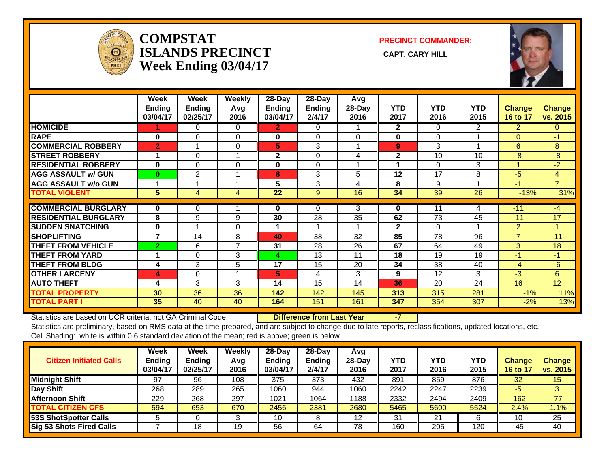

#### **COMPSTATISLANDS PRECINCT** CAPT. CARY HILL **Week Ending 03/04/17**

**PRECINCT COMMANDER:**



|                             | Week<br><b>Ending</b><br>03/04/17 | Week<br>Ending<br>02/25/17 | Weekly<br>Avg<br>2016 | $28-Day$<br><b>Ending</b><br>03/04/17 | $28$ -Day<br>Ending<br>2/4/17 | Avg<br>28-Day<br>2016 | <b>YTD</b><br>2017 | <b>YTD</b><br>2016 | <b>YTD</b><br>2015 | <b>Change</b><br>16 to 17 | <b>Change</b><br>vs. 2015 |
|-----------------------------|-----------------------------------|----------------------------|-----------------------|---------------------------------------|-------------------------------|-----------------------|--------------------|--------------------|--------------------|---------------------------|---------------------------|
| <b>HOMICIDE</b>             |                                   | 0                          | 0                     | 2.                                    | 0                             |                       | $\mathbf{2}$       | 0                  | 2                  | $\overline{2}$            | $\mathbf{0}$              |
| <b>RAPE</b>                 | $\bf{0}$                          | 0                          | 0                     | 0                                     | $\Omega$                      | $\Omega$              | 0                  | 0                  |                    | $\Omega$                  | $-1$                      |
| <b>COMMERCIAL ROBBERY</b>   | $\overline{2}$                    |                            | $\Omega$              | 5                                     | 3                             |                       | 9                  | 3                  |                    | 6                         | 8                         |
| <b>STREET ROBBERY</b>       |                                   | 0                          |                       | $\mathbf 2$                           | $\Omega$                      | 4                     | $\mathbf{2}$       | 10                 | 10                 | $-8$                      | -8                        |
| <b>RESIDENTIAL ROBBERY</b>  | 0                                 | 0                          | 0                     | 0                                     | $\Omega$                      |                       |                    | 0                  | 3                  |                           | $-2$                      |
| <b>AGG ASSAULT w/ GUN</b>   | $\bf{0}$                          | 2                          |                       | 8                                     | 3                             | 5                     | 12                 | 17                 | 8                  | $-5$                      | 4                         |
| <b>AGG ASSAULT w/o GUN</b>  |                                   |                            |                       | 5                                     | 3                             | 4                     | 8                  | 9                  |                    | -1                        | $\overline{7}$            |
| <b>TOTAL VIOLENT</b>        | 5                                 | 4                          | 4                     | 22                                    | 9                             | 16                    | 34                 | 39                 | 26                 | $-13%$                    | 31%                       |
|                             |                                   |                            |                       |                                       |                               |                       |                    |                    |                    |                           |                           |
| <b>COMMERCIAL BURGLARY</b>  | 0                                 | 0                          |                       | 0                                     | 0                             | 3                     | 0                  | 11                 | 4                  | $-11$                     | $-4$                      |
| <b>RESIDENTIAL BURGLARY</b> | 8                                 | 9                          | 9                     | 30                                    | 28                            | 35                    | 62                 | 73                 | 45                 | $-11$                     | 17                        |
| <b>SUDDEN SNATCHING</b>     | 0                                 |                            | $\Omega$              |                                       |                               |                       | $\mathbf{2}$       | $\Omega$           |                    | $\overline{2}$            | 1                         |
| <b>SHOPLIFTING</b>          | $\overline{ }$                    | 14                         | 8                     | 40                                    | 38                            | 32                    | 85                 | 78                 | 96                 | 7                         | $-11$                     |
| <b>THEFT FROM VEHICLE</b>   | $\overline{2}$                    | 6                          | $\overline{7}$        | 31                                    | 28                            | 26                    | 67                 | 64                 | 49                 | 3                         | 18                        |
| <b>THEFT FROM YARD</b>      | 1                                 | 0                          | 3                     | 4                                     | 13                            | 11                    | 18                 | 19                 | 19                 | $-1$                      | $-1$                      |
| <b>THEFT FROM BLDG</b>      | 4                                 | 3                          | 5                     | 17                                    | 15                            | 20                    | 34                 | 38                 | 40                 | $-4$                      | $-6$                      |
| <b>OTHER LARCENY</b>        | 4                                 | 0                          | и                     | 5                                     | 4                             | 3                     | 9                  | 12                 | 3                  | $-3$                      | 6                         |
| <b>AUTO THEFT</b>           | 4                                 | 3                          | 3                     | 14                                    | 15                            | 14                    | 36                 | 20                 | 24                 | 16                        | 12                        |
| <b>TOTAL PROPERTY</b>       | 30                                | 36                         | 36                    | 142                                   | 142                           | 145                   | 313                | 315                | 281                | $-1%$                     | 11%                       |
| <b>TOTAL PART I</b>         | 35                                | 40                         | 40                    | 164                                   | 151                           | 161                   | 347                | 354                | 307                | $-2%$                     | 13%                       |

Statistics are based on UCR criteria, not GA Criminal Code. **Difference from Last Year** -7

Statistics are preliminary, based on RMS data at the time prepared, and are subject to change due to late reports, reclassifications, updated locations, etc.

Cell Shading: white is within 0.6 standard deviation of the mean; red is above; green is below.

| <b>Citizen Initiated Calls</b> | <b>Week</b><br><b>Ending</b><br>03/04/17 | <b>Week</b><br><b>Ending</b><br>02/25/17 | <b>Weekly</b><br>Avg<br>2016 | $28-Dav$<br><b>Ending</b><br>03/04/17 | $28 - Day$<br><b>Ending</b><br>2/4/17 | Avg<br>$28-Day$<br>2016 | YTD<br>2017 | YTD<br>2016 | <b>YTD</b><br>2015 | <b>Change</b><br>16 to 17 | <b>Change</b><br>vs. 2015 |
|--------------------------------|------------------------------------------|------------------------------------------|------------------------------|---------------------------------------|---------------------------------------|-------------------------|-------------|-------------|--------------------|---------------------------|---------------------------|
| <b>Midnight Shift</b>          | 97                                       | 96                                       | 108                          | 375                                   | 373                                   | 432                     | 891         | 859         | 876                | 32                        | 15                        |
| Day Shift                      | 268                                      | 289                                      | 265                          | 1060                                  | 944                                   | 1060                    | 2242        | 2247        | 2239               | -5                        |                           |
| Afternoon Shift                | 229                                      | 268                                      | 297                          | 1021                                  | 1064                                  | 1188                    | 2332        | 2494        | 2409               | $-162$                    | $-77$                     |
| <b>TOTAL CITIZEN CFS</b>       | 594                                      | 653                                      | 670                          | 2456                                  | 2381                                  | 2680                    | 5465        | 5600        | 5524               | $-2.4%$                   | $-1.1%$                   |
| <b>53S ShotSpotter Calls</b>   |                                          |                                          |                              | 10                                    |                                       | 12                      | 31          | 21          | 6                  | 10                        | 25                        |
| Sig 53 Shots Fired Calls       |                                          | 18                                       | 19                           | 56                                    | 64                                    | 78                      | 160         | 205         | 120                | -45                       | 40                        |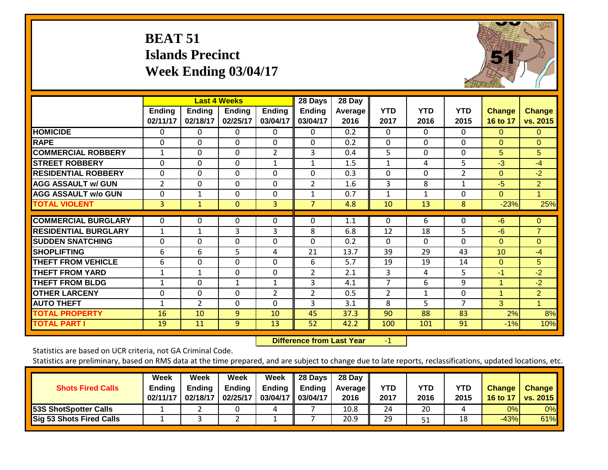# **BEAT 51 Islands Precinct Week Ending 03/04/17**



|                             |                           |                           | <b>Last 4 Weeks</b>       |                           | 28 Days                   | 28 Day          |                    |                    |                    |                           |                           |
|-----------------------------|---------------------------|---------------------------|---------------------------|---------------------------|---------------------------|-----------------|--------------------|--------------------|--------------------|---------------------------|---------------------------|
|                             | <b>Ending</b><br>02/11/17 | <b>Ending</b><br>02/18/17 | <b>Ending</b><br>02/25/17 | <b>Ending</b><br>03/04/17 | <b>Ending</b><br>03/04/17 | Average<br>2016 | <b>YTD</b><br>2017 | <b>YTD</b><br>2016 | <b>YTD</b><br>2015 | <b>Change</b><br>16 to 17 | <b>Change</b><br>vs. 2015 |
| <b>HOMICIDE</b>             | 0                         | 0                         | 0                         | 0                         | $\Omega$                  | 0.2             | $\Omega$           | $\Omega$           | 0                  | $\Omega$                  | $\Omega$                  |
| <b>RAPE</b>                 | 0                         | $\Omega$                  | $\Omega$                  | $\Omega$                  | 0                         | 0.2             | $\Omega$           | $\mathbf 0$        | $\Omega$           | $\Omega$                  | $\Omega$                  |
| <b>COMMERCIAL ROBBERY</b>   | 1                         | 0                         | $\Omega$                  | $\overline{2}$            | 3                         | 0.4             | 5                  | $\Omega$           | $\Omega$           | 5                         | 5                         |
| <b>STREET ROBBERY</b>       | $\mathbf 0$               | 0                         | $\Omega$                  | $\mathbf{1}$              | $\mathbf{1}$              | 1.5             | $\mathbf{1}$       | 4                  | 5                  | $-3$                      | $-4$                      |
| <b>RESIDENTIAL ROBBERY</b>  | 0                         | 0                         | $\Omega$                  | 0                         | $\Omega$                  | 0.3             | $\Omega$           | $\Omega$           | $\overline{2}$     | $\Omega$                  | $-2$                      |
| <b>AGG ASSAULT w/ GUN</b>   | $\overline{2}$            | $\Omega$                  | $\Omega$                  | $\Omega$                  | $\overline{2}$            | 1.6             | 3                  | 8                  | 1                  | $-5$                      | $\overline{2}$            |
| <b>AGG ASSAULT w/o GUN</b>  | 0                         | $\mathbf{1}$              | $\Omega$                  | 0                         | $\mathbf{1}$              | 0.7             | $\mathbf{1}$       | $\mathbf{1}$       | 0                  | $\Omega$                  |                           |
| <b>TOTAL VIOLENT</b>        | 3                         | $\mathbf{1}$              | $\mathbf{0}$              | 3                         | $\overline{7}$            | 4.8             | 10                 | 13                 | 8                  | $-23%$                    | 25%                       |
| <b>COMMERCIAL BURGLARY</b>  | $\Omega$                  | 0                         | $\Omega$                  | $\Omega$                  | $\Omega$                  | 1.1             | 0                  | 6                  | 0                  | $-6$                      | $\mathbf{0}$              |
| <b>RESIDENTIAL BURGLARY</b> | $\mathbf 1$               | $\mathbf{1}$              | 3                         | 3                         | 8                         | 6.8             | 12                 | 18                 | 5                  | $-6$                      | $\overline{7}$            |
| <b>ISUDDEN SNATCHING</b>    | 0                         | 0                         | $\Omega$                  | $\Omega$                  | $\Omega$                  | 0.2             | $\Omega$           | $\Omega$           | $\Omega$           | $\Omega$                  | $\overline{0}$            |
| <b>SHOPLIFTING</b>          | 6                         | 6                         | 5                         | 4                         | 21                        | 13.7            | 39                 | 29                 | 43                 | 10                        | $-4$                      |
| <b>THEFT FROM VEHICLE</b>   | 6                         | 0                         | $\Omega$                  | $\Omega$                  | 6                         | 5.7             | 19                 | 19                 | 14                 | $\Omega$                  | 5                         |
| <b>THEFT FROM YARD</b>      | $\mathbf 1$               | $\mathbf{1}$              | $\Omega$                  | $\Omega$                  | $\overline{2}$            | 2.1             | 3                  | 4                  | 5                  | $-1$                      | $-2$                      |
| <b>THEFT FROM BLDG</b>      | $\mathbf{1}$              | 0                         | $\mathbf{1}$              | $\mathbf{1}$              | 3                         | 4.1             | 7                  | 6                  | 9                  | $\overline{1}$            | $-2$                      |
| <b>OTHER LARCENY</b>        | 0                         | $\Omega$                  | $\Omega$                  | $\overline{2}$            | $\overline{2}$            | 0.5             | $\overline{2}$     | $\mathbf{1}$       | $\Omega$           | 1                         | $\overline{2}$            |
| <b>AUTO THEFT</b>           | $\mathbf 1$               | $\overline{2}$            | $\Omega$                  | $\Omega$                  | 3                         | 3.1             | 8                  | 5                  | 7                  | 3                         |                           |
| <b>TOTAL PROPERTY</b>       | 16                        | 10                        | 9                         | 10                        | 45                        | 37.3            | 90                 | 88                 | 83                 | 2%                        | 8%                        |
| <b>TOTAL PART I</b>         | 19                        | 11                        | 9                         | 13                        | 52                        | 42.2            | 100                | 101                | 91                 | $-1%$                     | 10%                       |

 **Difference from Last Year**r -1

Statistics are based on UCR criteria, not GA Criminal Code.

| <b>Shots Fired Calls</b>        | Week<br><b>Ending</b><br>02/11/17 | Week<br><b>Ending</b><br>02/18/17 | Week<br><b>Ending</b><br>02/25/17 | Week<br>Ending<br>03/04/17 03/04/17 | 28 Days<br>Ending | 28 Day<br><b>Average II</b><br>2016 | YTD<br>2017 | YTD<br>2016 | <b>YTD</b><br>2015 | <b>Change</b><br>16 to 17 | <b>Change</b><br><b>vs. 2015</b> |
|---------------------------------|-----------------------------------|-----------------------------------|-----------------------------------|-------------------------------------|-------------------|-------------------------------------|-------------|-------------|--------------------|---------------------------|----------------------------------|
| <b>53S ShotSpotter Calls</b>    |                                   |                                   |                                   | 4                                   |                   | 10.8                                | 24          | 20          |                    | 0%                        | 0%                               |
| <b>Sig 53 Shots Fired Calls</b> |                                   |                                   |                                   |                                     |                   | 20.9                                | 29          | 51          | 18                 | $-43%$                    | 61%                              |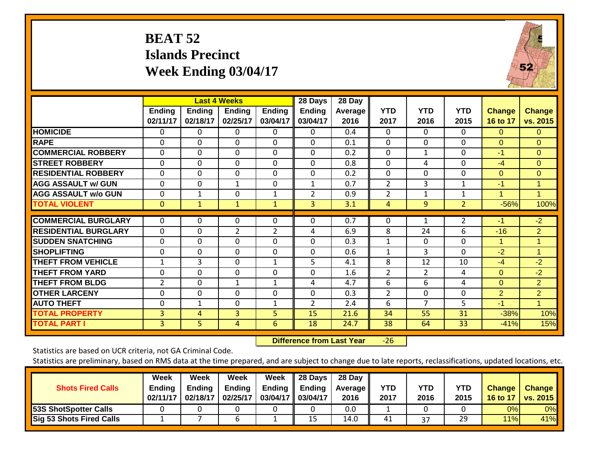# **BEAT 52 Islands Precinct Week Ending 03/04/17**



|                             |                           |                    | <b>Last 4 Weeks</b> |                    | 28 Days                   | 28 Day                 |                    |                    |                    |                           |                           |
|-----------------------------|---------------------------|--------------------|---------------------|--------------------|---------------------------|------------------------|--------------------|--------------------|--------------------|---------------------------|---------------------------|
|                             | <b>Ending</b><br>02/11/17 | Ending<br>02/18/17 | Ending<br>02/25/17  | Ending<br>03/04/17 | <b>Ending</b><br>03/04/17 | <b>Average</b><br>2016 | <b>YTD</b><br>2017 | <b>YTD</b><br>2016 | <b>YTD</b><br>2015 | <b>Change</b><br>16 to 17 | <b>Change</b><br>vs. 2015 |
| <b>HOMICIDE</b>             | 0                         | 0                  | 0                   | 0                  | 0                         | 0.4                    | 0                  | $\Omega$           | 0                  | $\Omega$                  | $\Omega$                  |
| <b>RAPE</b>                 | $\Omega$                  | $\Omega$           | $\Omega$            | $\Omega$           | 0                         | 0.1                    | $\mathbf{0}$       | $\Omega$           | $\Omega$           | $\Omega$                  | $\Omega$                  |
| <b>COMMERCIAL ROBBERY</b>   | $\Omega$                  | $\Omega$           | $\Omega$            | $\Omega$           | $\Omega$                  | 0.2                    | $\Omega$           | $\mathbf{1}$       | $\Omega$           | $-1$                      | $\Omega$                  |
| <b>STREET ROBBERY</b>       | 0                         | 0                  | $\mathbf 0$         | 0                  | $\mathbf 0$               | 0.8                    | $\mathbf{0}$       | 4                  | $\mathbf 0$        | $-4$                      | $\Omega$                  |
| <b>RESIDENTIAL ROBBERY</b>  | 0                         | $\Omega$           | $\Omega$            | 0                  | 0                         | 0.2                    | $\Omega$           | $\Omega$           | $\Omega$           | $\Omega$                  | $\mathbf{0}$              |
| <b>AGG ASSAULT w/ GUN</b>   | 0                         | 0                  | 1                   | 0                  | 1                         | 0.7                    | 2                  | 3                  | 1                  | $-1$                      | 1                         |
| <b>AGG ASSAULT w/o GUN</b>  | 0                         | 1                  | $\Omega$            | 1                  | $\overline{2}$            | 0.9                    | $\overline{2}$     | $\mathbf{1}$       | 1                  | 1                         | $\blacktriangleleft$      |
| <b>TOTAL VIOLENT</b>        | $\mathbf{0}$              | $\mathbf{1}$       | $\mathbf{1}$        | $\mathbf{1}$       | 3                         | 3.1                    | 4                  | 9                  | $\overline{2}$     | $-56%$                    | 100%                      |
| <b>COMMERCIAL BURGLARY</b>  | 0                         | 0                  | $\Omega$            | 0                  | 0                         | 0.7                    | $\Omega$           |                    | 2                  | $-1$                      | $-2$                      |
| <b>RESIDENTIAL BURGLARY</b> | 0                         | 0                  | $\overline{2}$      | $\overline{2}$     | 4                         | 6.9                    | 8                  | 24                 | 6                  | $-16$                     | $\overline{2}$            |
| <b>SUDDEN SNATCHING</b>     | 0                         | $\Omega$           | $\mathbf 0$         | $\Omega$           | 0                         | 0.3                    | $\mathbf{1}$       | 0                  | $\mathbf 0$        | 1                         |                           |
| <b>SHOPLIFTING</b>          | 0                         | 0                  | $\Omega$            | 0                  | 0                         | 0.6                    | 1                  | 3                  | $\Omega$           | $-2$                      | $\mathbf 1$               |
| <b>THEFT FROM VEHICLE</b>   | 1                         | 3                  | $\Omega$            | 1                  | 5                         | 4.1                    | 8                  | 12                 | 10                 | $-4$                      | $-2$                      |
| <b>THEFT FROM YARD</b>      | 0                         | $\Omega$           | 0                   | 0                  | 0                         | 1.6                    | $\overline{2}$     | $\overline{2}$     | 4                  | $\Omega$                  | $-2$                      |
| <b>THEFT FROM BLDG</b>      | $\overline{2}$            | 0                  | 1                   | $\mathbf{1}$       | 4                         | 4.7                    | 6                  | 6                  | 4                  | $\Omega$                  | $\overline{2}$            |
| <b>OTHER LARCENY</b>        | 0                         | 0                  | $\mathbf 0$         | $\Omega$           | 0                         | 0.3                    | $\overline{2}$     | 0                  | $\mathbf 0$        | $\overline{2}$            | $\overline{2}$            |
| <b>AUTO THEFT</b>           | 0                         | $\mathbf{1}$       | $\Omega$            | 1                  | $\overline{2}$            | 2.4                    | 6                  | $\overline{7}$     | 5                  | $-1$                      | 1                         |
| <b>TOTAL PROPERTY</b>       | 3                         | 4                  | 3                   | 5                  | 15                        | 21.6                   | 34                 | 55                 | 31                 | $-38%$                    | 10%                       |
| <b>TOTAL PART I</b>         | 3                         | 5                  | 4                   | 6                  | 18                        | 24.7                   | 38                 | 64                 | 33                 | $-41%$                    | 15%                       |

 **Difference from Last Year**‐26

Statistics are based on UCR criteria, not GA Criminal Code.

| <b>Shots Fired Calls</b>        | Week<br><b>Ending</b><br>02/11/17 | Week<br>Endina<br>02/18/17 | Week<br><b>Ending</b><br>02/25/17 | Week<br>Ending<br>03/04/17 03/04/17 | 28 Days<br><b>Ending</b> | 28 Day<br><b>Average II</b><br>2016 | YTD<br>2017 | YTD<br>2016 | <b>YTD</b><br>2015 | <b>Change</b><br>16 to 17 | <b>Change</b><br><b>vs. 2015</b> |
|---------------------------------|-----------------------------------|----------------------------|-----------------------------------|-------------------------------------|--------------------------|-------------------------------------|-------------|-------------|--------------------|---------------------------|----------------------------------|
| 53S ShotSpotter Calls           |                                   |                            |                                   |                                     |                          | 0.0                                 |             |             |                    | 0%                        | 0%                               |
| <b>Sig 53 Shots Fired Calls</b> |                                   |                            | b                                 |                                     | 15                       | 14.0                                | 41          | 37          | 29                 | 11%                       | 41%                              |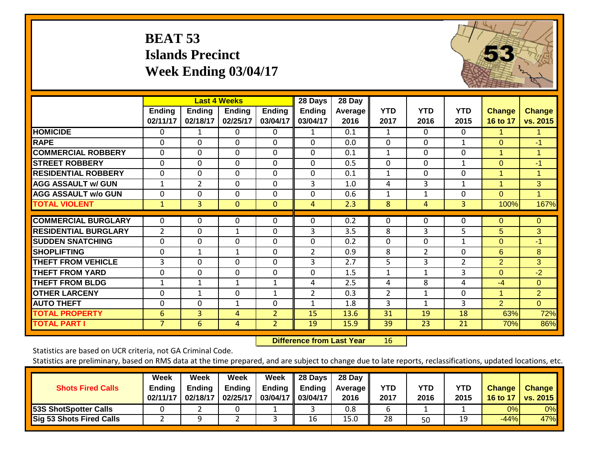# **BEAT 53 Islands Precinct Week Ending 03/04/17**



|                             |                    |                           | <b>Last 4 Weeks</b>       |                           | 28 Days                   | 28 Day                 |                    |                    |                    |                           |                           |
|-----------------------------|--------------------|---------------------------|---------------------------|---------------------------|---------------------------|------------------------|--------------------|--------------------|--------------------|---------------------------|---------------------------|
|                             | Ending<br>02/11/17 | <b>Ending</b><br>02/18/17 | <b>Ending</b><br>02/25/17 | <b>Ending</b><br>03/04/17 | <b>Ending</b><br>03/04/17 | <b>Average</b><br>2016 | <b>YTD</b><br>2017 | <b>YTD</b><br>2016 | <b>YTD</b><br>2015 | <b>Change</b><br>16 to 17 | <b>Change</b><br>vs. 2015 |
| <b>HOMICIDE</b>             | 0                  | 1                         | 0                         | 0                         | 1                         | 0.1                    | 1                  | 0                  | 0                  | 1                         |                           |
| <b>RAPE</b>                 | $\Omega$           | $\Omega$                  | $\Omega$                  | $\Omega$                  | $\Omega$                  | 0.0                    | $\Omega$           | $\Omega$           | 1                  | $\Omega$                  | $-1$                      |
| <b>COMMERCIAL ROBBERY</b>   | $\Omega$           | $\Omega$                  | $\mathbf{0}$              | $\Omega$                  | $\Omega$                  | 0.1                    | $\mathbf{1}$       | $\Omega$           | $\Omega$           | $\mathbf{1}$              | $\mathbf{1}$              |
| <b>STREET ROBBERY</b>       | $\Omega$           | $\Omega$                  | $\Omega$                  | $\Omega$                  | $\Omega$                  | 0.5                    | $\Omega$           | $\Omega$           | $\mathbf{1}$       | $\Omega$                  | $-1$                      |
| <b>RESIDENTIAL ROBBERY</b>  | 0                  | $\Omega$                  | $\Omega$                  | $\Omega$                  | $\Omega$                  | 0.1                    | 1                  | 0                  | $\Omega$           | 1                         | 1                         |
| <b>AGG ASSAULT w/ GUN</b>   | 1                  | 2                         | $\Omega$                  | $\Omega$                  | 3                         | 1.0                    | 4                  | 3                  | 1                  | 1                         | 3                         |
| <b>AGG ASSAULT w/o GUN</b>  | 0                  | $\Omega$                  | $\Omega$                  | 0                         | $\Omega$                  | 0.6                    | 1                  | 1                  | $\Omega$           | $\Omega$                  |                           |
| <b>TOTAL VIOLENT</b>        | $\mathbf{1}$       | 3                         | $\overline{0}$            | $\mathbf{0}$              | 4                         | 2.3                    | 8                  | 4                  | 3                  | 100%                      | 167%                      |
| <b>COMMERCIAL BURGLARY</b>  | $\Omega$           | $\Omega$                  | 0                         | $\Omega$                  | $\Omega$                  | 0.2                    | $\Omega$           | $\Omega$           | $\Omega$           | $\Omega$                  | $\Omega$                  |
| <b>RESIDENTIAL BURGLARY</b> | $\overline{2}$     | $\Omega$                  | $\mathbf{1}$              | $\Omega$                  | 3                         | 3.5                    | 8                  | 3                  | 5                  | 5                         | 3                         |
| <b>ISUDDEN SNATCHING</b>    | $\Omega$           | $\Omega$                  | 0                         | $\Omega$                  | $\Omega$                  | 0.2                    | $\Omega$           | 0                  | 1                  | $\Omega$                  | $-1$                      |
| <b>SHOPLIFTING</b>          | $\Omega$           | $\mathbf{1}$              | $\mathbf{1}$              | 0                         | 2                         | 0.9                    | 8                  | 2                  | $\Omega$           | 6                         | 8                         |
| <b>THEFT FROM VEHICLE</b>   | 3                  | $\Omega$                  | $\Omega$                  | 0                         | 3                         | 2.7                    | 5                  | 3                  | $\overline{2}$     | $\overline{2}$            | 3                         |
| <b>THEFT FROM YARD</b>      | 0                  | $\Omega$                  | 0                         | $\Omega$                  | $\Omega$                  | 1.5                    | 1                  | 1                  | 3                  | $\Omega$                  | $-2$                      |
| <b>THEFT FROM BLDG</b>      | 1                  | $\mathbf{1}$              | 1                         | 1                         | 4                         | 2.5                    | 4                  | 8                  | 4                  | $-4$                      | $\Omega$                  |
| <b>OTHER LARCENY</b>        | $\Omega$           | $\mathbf{1}$              | $\Omega$                  | $\mathbf{1}$              | 2                         | 0.3                    | $\overline{2}$     | $\mathbf{1}$       | $\Omega$           | $\overline{1}$            | 2 <sup>1</sup>            |
| <b>AUTO THEFT</b>           | $\Omega$           | $\Omega$                  | 1                         | 0                         | $\mathbf{1}$              | 1.8                    | 3                  | 1                  | 3                  | $\overline{2}$            | $\Omega$                  |
| <b>TOTAL PROPERTY</b>       | 6                  | 3                         | 4                         | $\overline{2}$            | 15                        | 13.6                   | 31                 | 19                 | 18                 | 63%                       | 72%                       |
| <b>TOTAL PART I</b>         | $\overline{7}$     | 6                         | 4                         | $\overline{2}$            | 19                        | 15.9                   | 39                 | 23                 | 21                 | 70%                       | 86%                       |

 **Difference from Last Year**r 16

Statistics are based on UCR criteria, not GA Criminal Code.

| <b>Shots Fired Calls</b>        | Week<br><b>Ending</b><br>02/11/17 | Week<br><b>Ending</b><br>02/18/17 | Week<br><b>Ending</b><br>02/25/17 | Week<br>Ending<br>03/04/17 03/04/17 | 28 Days<br><b>Ending</b> | 28 Day<br><b>Average II</b><br>2016 | YTD<br>2017 | YTD<br>2016 | <b>YTD</b><br>2015 | <b>Change</b><br>16 to 17 | <b>Change</b><br><b>vs. 2015</b> |
|---------------------------------|-----------------------------------|-----------------------------------|-----------------------------------|-------------------------------------|--------------------------|-------------------------------------|-------------|-------------|--------------------|---------------------------|----------------------------------|
| 53S ShotSpotter Calls           |                                   |                                   |                                   |                                     |                          | 0.8                                 |             |             |                    | 0%                        | 0%                               |
| <b>Sig 53 Shots Fired Calls</b> |                                   |                                   |                                   |                                     | 16                       | 15.0                                | 28          | 50          | 19                 | $-44%$                    | 47%                              |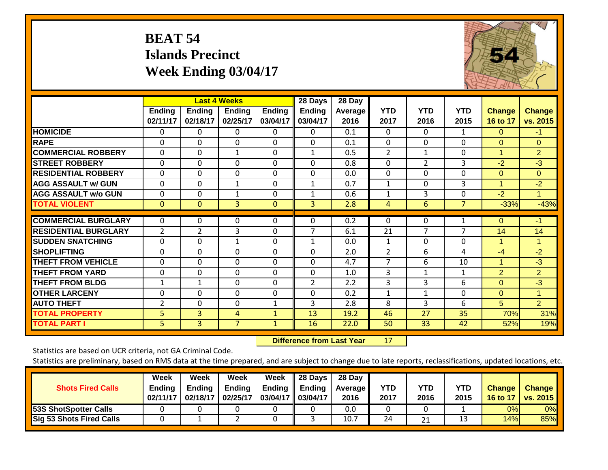# **BEAT 54 Islands Precinct Week Ending 03/04/17**



|                             |                    |                           | <b>Last 4 Weeks</b>       |                           | 28 Days                   | 28 Day                 |                    |                    |                    |                           |                           |
|-----------------------------|--------------------|---------------------------|---------------------------|---------------------------|---------------------------|------------------------|--------------------|--------------------|--------------------|---------------------------|---------------------------|
|                             | Ending<br>02/11/17 | <b>Ending</b><br>02/18/17 | <b>Ending</b><br>02/25/17 | <b>Ending</b><br>03/04/17 | <b>Ending</b><br>03/04/17 | <b>Average</b><br>2016 | <b>YTD</b><br>2017 | <b>YTD</b><br>2016 | <b>YTD</b><br>2015 | <b>Change</b><br>16 to 17 | <b>Change</b><br>vs. 2015 |
| <b>HOMICIDE</b>             | 0                  | 0                         | 0                         | 0                         | 0                         | 0.1                    | $\Omega$           | 0                  | 1                  | $\Omega$                  | $-1$                      |
| <b>RAPE</b>                 | $\Omega$           | $\Omega$                  | $\Omega$                  | $\Omega$                  | $\Omega$                  | 0.1                    | $\Omega$           | $\Omega$           | $\Omega$           | $\Omega$                  | $\Omega$                  |
| <b>COMMERCIAL ROBBERY</b>   | $\Omega$           | $\Omega$                  | $\mathbf{1}$              | $\Omega$                  | $\mathbf{1}$              | 0.5                    | 2                  | $\mathbf{1}$       | $\Omega$           | $\mathbf{1}$              | $\overline{2}$            |
| <b>STREET ROBBERY</b>       | $\mathbf 0$        | $\mathbf 0$               | $\mathbf 0$               | $\Omega$                  | $\Omega$                  | 0.8                    | $\Omega$           | $\overline{2}$     | 3                  | $-2$                      | $-3$                      |
| <b>RESIDENTIAL ROBBERY</b>  | $\Omega$           | $\Omega$                  | $\Omega$                  | $\Omega$                  | $\Omega$                  | 0.0                    | $\Omega$           | 0                  | $\Omega$           | $\Omega$                  | $\Omega$                  |
| <b>AGG ASSAULT w/ GUN</b>   | $\Omega$           | $\Omega$                  | $\mathbf{1}$              | $\Omega$                  | 1                         | 0.7                    | 1                  | 0                  | 3                  | 1                         | $-2$                      |
| <b>AGG ASSAULT w/o GUN</b>  | $\Omega$           | $\Omega$                  | 1                         | 0                         | $\mathbf{1}$              | 0.6                    | 1                  | 3                  | $\Omega$           | $-2$                      | 1                         |
| <b>TOTAL VIOLENT</b>        | $\mathbf{0}$       | $\Omega$                  | 3                         | $\mathbf{0}$              | 3 <sup>1</sup>            | 2.8                    | $\overline{4}$     | 6                  | 7                  | $-33%$                    | $-43%$                    |
| <b>COMMERCIAL BURGLARY</b>  | 0                  | 0                         | 0                         | 0                         | 0                         | 0.2                    | 0                  | $\Omega$           | 1                  | $\Omega$                  | $-1$                      |
| <b>RESIDENTIAL BURGLARY</b> | $\overline{2}$     | 2                         | 3                         | 0                         | $\overline{7}$            | 6.1                    | 21                 | 7                  | 7                  | 14                        | 14                        |
| <b>SUDDEN SNATCHING</b>     | $\Omega$           | $\Omega$                  | $\mathbf{1}$              | $\Omega$                  | $\mathbf{1}$              | 0.0                    | $\mathbf{1}$       | 0                  | $\Omega$           | 1                         |                           |
| <b>SHOPLIFTING</b>          | $\Omega$           | $\Omega$                  | 0                         | $\Omega$                  | $\Omega$                  | 2.0                    | 2                  | 6                  | 4                  | $-4$                      | $-2$                      |
| <b>THEFT FROM VEHICLE</b>   | $\Omega$           | $\Omega$                  | $\Omega$                  | $\Omega$                  | $\Omega$                  | 4.7                    | 7                  | 6                  | 10                 | 1                         | $-3$                      |
| <b>THEFT FROM YARD</b>      | 0                  | $\Omega$                  | $\mathbf{0}$              | $\Omega$                  | $\Omega$                  | 1.0                    | 3                  | $\mathbf{1}$       | 1                  | $\overline{2}$            | $\overline{2}$            |
| <b>THEFT FROM BLDG</b>      | $\mathbf 1$        | 1                         | $\Omega$                  | $\Omega$                  | 2                         | 2.2                    | 3                  | 3                  | 6                  | $\Omega$                  | $-3$                      |
| <b>OTHER LARCENY</b>        | $\Omega$           | $\Omega$                  | $\Omega$                  | $\Omega$                  | $\Omega$                  | 0.2                    | 1                  | $\mathbf{1}$       | $\Omega$           | $\Omega$                  | $\mathbf{1}$              |
| <b>AUTO THEFT</b>           | $\overline{2}$     | $\Omega$                  | $\Omega$                  | $\mathbf{1}$              | 3                         | 2.8                    | 8                  | 3                  | 6                  | 5                         | $\overline{2}$            |
| <b>TOTAL PROPERTY</b>       | 5                  | 3                         | 4                         | $\mathbf{1}$              | 13                        | 19.2                   | 46                 | 27                 | 35                 | 70%                       | 31%                       |
| <b>TOTAL PART I</b>         | 5                  | $\overline{3}$            | $\overline{7}$            | $\mathbf{1}$              | 16                        | 22.0                   | 50                 | 33                 | 42                 | 52%                       | 19%                       |

 **Difference from Last Year**r 17

Statistics are based on UCR criteria, not GA Criminal Code.

| <b>Shots Fired Calls</b>        | Week<br><b>Ending</b><br>02/11/17 | Week<br><b>Ending</b><br>02/18/17 | Week<br><b>Ending</b><br>02/25/17 | Week<br>Ending $\parallel$<br>03/04/17 03/04/17 | $\parallel$ 28 Days<br>Ending | 28 Day<br>Average II<br>2016 | YTD<br>2017 | YTD<br>2016 | YTD<br>2015 | <b>Change</b><br>16 to 17 | <b>Change</b><br><b>vs. 2015</b> |
|---------------------------------|-----------------------------------|-----------------------------------|-----------------------------------|-------------------------------------------------|-------------------------------|------------------------------|-------------|-------------|-------------|---------------------------|----------------------------------|
| <b>53S ShotSpotter Calls</b>    |                                   |                                   |                                   |                                                 |                               | 0.0                          |             |             |             | 0%                        | $0\%$                            |
| <b>Sig 53 Shots Fired Calls</b> |                                   |                                   |                                   |                                                 |                               | 10.                          | 24          | 21          |             | 14%                       | 85%                              |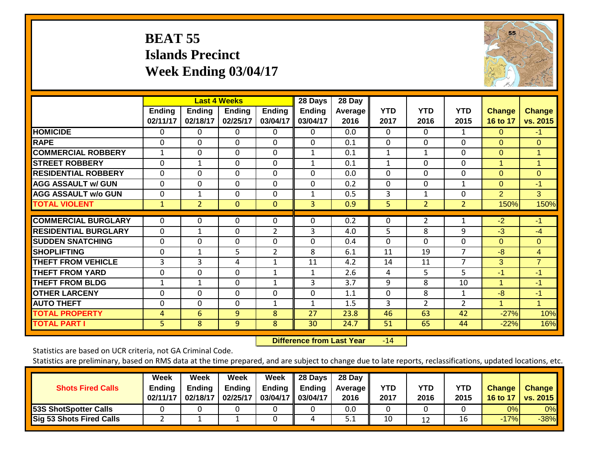# **BEAT 55 Islands Precinct Week Ending 03/04/17**



|                             | <b>Last 4 Weeks</b>       |                           |                           |                           | 28 Days                   | 28 Day                 |                    |                    |                    |                           |                           |
|-----------------------------|---------------------------|---------------------------|---------------------------|---------------------------|---------------------------|------------------------|--------------------|--------------------|--------------------|---------------------------|---------------------------|
|                             | <b>Ending</b><br>02/11/17 | <b>Ending</b><br>02/18/17 | <b>Ending</b><br>02/25/17 | <b>Ending</b><br>03/04/17 | <b>Ending</b><br>03/04/17 | <b>Average</b><br>2016 | <b>YTD</b><br>2017 | <b>YTD</b><br>2016 | <b>YTD</b><br>2015 | <b>Change</b><br>16 to 17 | <b>Change</b><br>vs. 2015 |
| <b>HOMICIDE</b>             | 0                         | 0                         | 0                         | 0                         | 0                         | 0.0                    | $\Omega$           | $\Omega$           | 1                  | $\Omega$                  | $-1$                      |
| <b>RAPE</b>                 | 0                         | 0                         | $\Omega$                  | $\Omega$                  | 0                         | 0.1                    | $\mathbf{0}$       | $\Omega$           | $\Omega$           | $\Omega$                  | $\Omega$                  |
| <b>COMMERCIAL ROBBERY</b>   | $\mathbf{1}$              | $\Omega$                  | $\Omega$                  | $\Omega$                  | $\mathbf{1}$              | 0.1                    | $\mathbf{1}$       | $\mathbf{1}$       | $\Omega$           | $\Omega$                  | 1                         |
| <b>STREET ROBBERY</b>       | 0                         | $\mathbf 1$               | $\Omega$                  | 0                         | $\mathbf{1}$              | 0.1                    | $\mathbf{1}$       | $\Omega$           | 0                  | 1                         | $\mathbf 1$               |
| <b>RESIDENTIAL ROBBERY</b>  | 0                         | 0                         | $\Omega$                  | 0                         | 0                         | 0.0                    | $\Omega$           | $\Omega$           | $\Omega$           | $\Omega$                  | $\Omega$                  |
| <b>AGG ASSAULT w/ GUN</b>   | $\Omega$                  | $\Omega$                  | $\Omega$                  | $\Omega$                  | 0                         | 0.2                    | $\Omega$           | 0                  | $\mathbf{1}$       | $\Omega$                  | $-1$                      |
| <b>AGG ASSAULT w/o GUN</b>  | 0                         | 1                         | $\Omega$                  | 0                         | 1                         | 0.5                    | 3                  | 1                  | 0                  | 2                         | 3                         |
| <b>TOTAL VIOLENT</b>        | $\mathbf{1}$              | 2                         | $\mathbf{0}$              | $\mathbf{0}$              | 3                         | 0.9                    | 5                  | $\overline{2}$     | $\overline{2}$     | 150%                      | 150%                      |
| <b>COMMERCIAL BURGLARY</b>  | $\Omega$                  | 0                         | $\Omega$                  | 0                         | 0                         | 0.2                    | 0                  | 2                  | 1                  | $-2$                      | $-1$                      |
| <b>RESIDENTIAL BURGLARY</b> | 0                         | 1                         | 0                         | $\overline{2}$            | 3                         | 4.0                    | 5                  | 8                  | 9                  | $-3$                      | $-4$                      |
| <b>ISUDDEN SNATCHING</b>    | 0                         | 0                         | $\Omega$                  | $\Omega$                  | 0                         | 0.4                    | $\Omega$           | $\Omega$           | $\Omega$           | $\Omega$                  | $\Omega$                  |
| <b>SHOPLIFTING</b>          | 0                         | $\mathbf{1}$              | 5.                        | $\overline{2}$            | 8                         | 6.1                    | 11                 | 19                 | 7                  | $-8$                      | $\overline{4}$            |
| <b>THEFT FROM VEHICLE</b>   | 3                         | 3                         | 4                         | 1                         | 11                        | 4.2                    | 14                 | 11                 | $\overline{7}$     | 3                         | $\overline{7}$            |
| <b>THEFT FROM YARD</b>      | 0                         | 0                         | $\mathbf 0$               | $\mathbf{1}$              | $\mathbf{1}$              | 2.6                    | 4                  | 5                  | 5                  | $-1$                      | $-1$                      |
| <b>THEFT FROM BLDG</b>      | 1                         | $\mathbf{1}$              | $\Omega$                  | $\mathbf{1}$              | 3                         | 3.7                    | 9                  | 8                  | 10                 | $\overline{1}$            | $-1$                      |
| <b>OTHER LARCENY</b>        | 0                         | $\Omega$                  | $\Omega$                  | $\Omega$                  | $\mathbf 0$               | 1.1                    | $\Omega$           | 8                  | 1                  | $-8$                      | $-1$                      |
| <b>AUTO THEFT</b>           | 0                         | 0                         | $\Omega$                  | $\mathbf{1}$              | 1                         | 1.5                    | 3                  | $\overline{2}$     | $\overline{2}$     | 1                         | 1                         |
|                             |                           |                           |                           |                           |                           |                        |                    |                    |                    |                           |                           |
| <b>TOTAL PROPERTY</b>       | 4                         | 6                         | 9                         | 8                         | 27                        | 23.8                   | 46                 | 63                 | 42                 | $-27%$                    | 10%                       |
| <b>TOTAL PART I</b>         | 5 <sup>1</sup>            | 8                         | 9                         | 8                         | 30                        | 24.7                   | 51                 | 65                 | 44                 | $-22%$                    | 16%                       |

 **Difference from Last Year**r -14

Statistics are based on UCR criteria, not GA Criminal Code.

| <b>Shots Fired Calls</b>        | Week<br><b>Ending</b><br>02/11/17 | Week<br><b>Ending</b><br>02/18/17 | Week<br><b>Ending</b><br>02/25/17 | Week<br><b>Ending</b><br>03/04/17 | 28 Days<br>Ending<br>03/04/17 | 28 Day<br><b>Average II</b><br>2016 | YTD<br>2017 | <b>YTD</b><br>2016 | <b>YTD</b><br>2015 | <b>Change</b><br>16 to 17 | <b>Change</b><br><b>vs. 2015</b> |
|---------------------------------|-----------------------------------|-----------------------------------|-----------------------------------|-----------------------------------|-------------------------------|-------------------------------------|-------------|--------------------|--------------------|---------------------------|----------------------------------|
| <b>53S ShotSpotter Calls</b>    |                                   |                                   |                                   |                                   |                               | 0.0                                 |             |                    |                    | 0%                        | 0%                               |
| <b>Sig 53 Shots Fired Calls</b> |                                   |                                   |                                   |                                   | 4                             | J.I                                 | 10          | 12                 | 16                 | $-17%$                    | $-38%$                           |